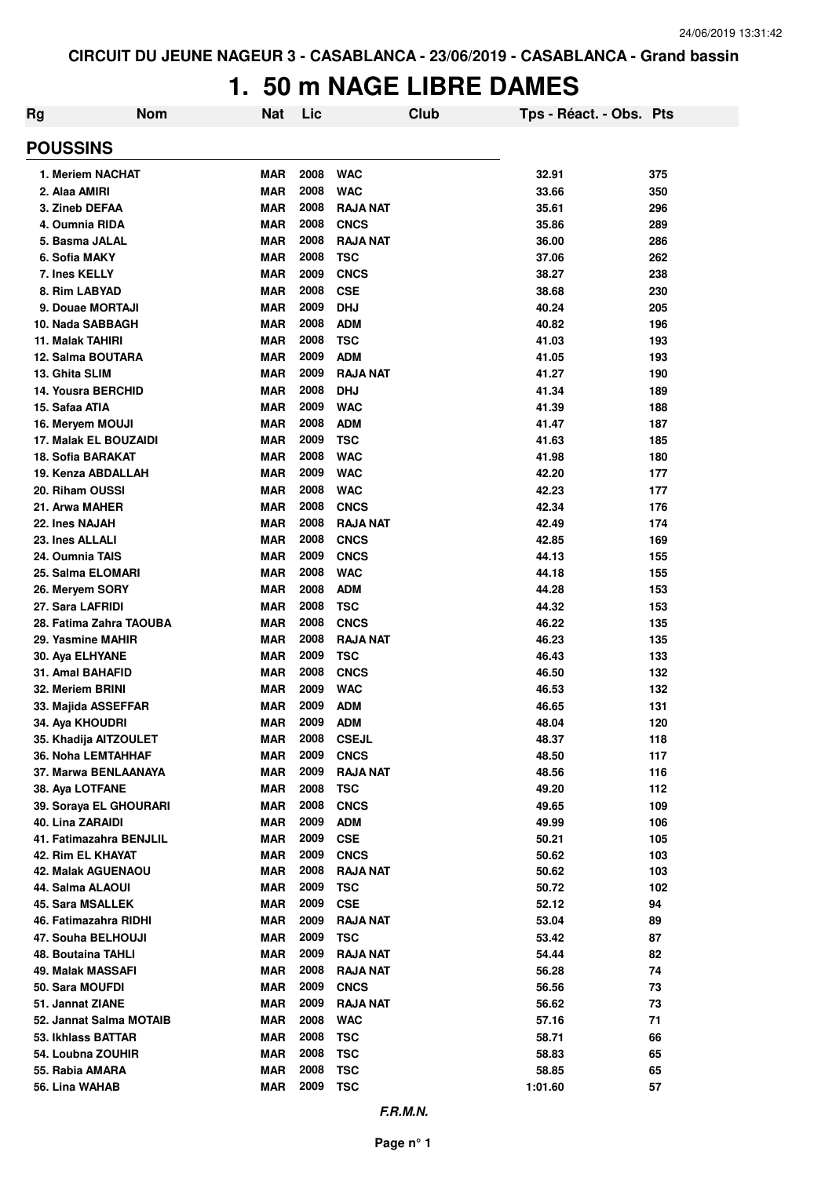# **1. 50 m NAGE LIBRE DAMES**

| <b>Rg</b>                                   | <b>Nom</b> | <b>Nat</b>               | Lic          |                          | Club | Tps - Réact. - Obs. Pts |            |
|---------------------------------------------|------------|--------------------------|--------------|--------------------------|------|-------------------------|------------|
| <b>POUSSINS</b>                             |            |                          |              |                          |      |                         |            |
| 1. Meriem NACHAT                            |            | MAR                      | 2008         | <b>WAC</b>               |      | 32.91                   | 375        |
| 2. Alaa AMIRI                               |            | <b>MAR</b>               | 2008         | <b>WAC</b>               |      | 33.66                   | 350        |
| 3. Zineb DEFAA                              |            | <b>MAR</b>               | 2008         | <b>RAJA NAT</b>          |      | 35.61                   | 296        |
| 4. Oumnia RIDA                              |            | <b>MAR</b>               | 2008         | <b>CNCS</b>              |      | 35.86                   | 289        |
| 5. Basma JALAL                              |            | <b>MAR</b>               | 2008         | <b>RAJA NAT</b>          |      | 36.00                   | 286        |
| 6. Sofia MAKY                               |            | <b>MAR</b>               | 2008         | <b>TSC</b>               |      | 37.06                   | 262        |
| 7. Ines KELLY                               |            | <b>MAR</b>               | 2009         | <b>CNCS</b>              |      | 38.27                   | 238        |
| 8. Rim LABYAD                               |            | <b>MAR</b>               | 2008         | <b>CSE</b>               |      | 38.68                   | 230        |
| 9. Douae MORTAJI                            |            | <b>MAR</b>               | 2009         | <b>DHJ</b>               |      | 40.24                   | 205        |
| 10. Nada SABBAGH                            |            | <b>MAR</b>               | 2008         | <b>ADM</b>               |      | 40.82                   | 196        |
| 11. Malak TAHIRI                            |            | <b>MAR</b>               | 2008         | <b>TSC</b>               |      | 41.03                   | 193        |
| 12. Salma BOUTARA                           |            | <b>MAR</b>               | 2009         | <b>ADM</b>               |      | 41.05                   | 193        |
| 13. Ghita SLIM                              |            | <b>MAR</b>               | 2009         | <b>RAJA NAT</b>          |      | 41.27                   | 190        |
| <b>14. Yousra BERCHID</b>                   |            | <b>MAR</b>               | 2008         | <b>DHJ</b>               |      | 41.34                   | 189        |
| 15. Safaa ATIA                              |            | <b>MAR</b>               | 2009         | <b>WAC</b>               |      | 41.39                   | 188        |
| 16. Mervem MOUJI                            |            | <b>MAR</b>               | 2008         | <b>ADM</b>               |      | 41.47                   | 187        |
| 17. Malak EL BOUZAIDI                       |            | <b>MAR</b><br><b>MAR</b> | 2009<br>2008 | <b>TSC</b><br><b>WAC</b> |      | 41.63                   | 185        |
| 18. Sofia BARAKAT<br>19. Kenza ABDALLAH     |            | <b>MAR</b>               | 2009         | <b>WAC</b>               |      | 41.98<br>42.20          | 180        |
| 20. Riham OUSSI                             |            | <b>MAR</b>               | 2008         | <b>WAC</b>               |      | 42.23                   | 177<br>177 |
| 21. Arwa MAHER                              |            | <b>MAR</b>               | 2008         | <b>CNCS</b>              |      | 42.34                   | 176        |
| 22. Ines NAJAH                              |            | <b>MAR</b>               | 2008         | <b>RAJA NAT</b>          |      | 42.49                   | 174        |
| 23. Ines ALLALI                             |            | <b>MAR</b>               | 2008         | <b>CNCS</b>              |      | 42.85                   | 169        |
| 24. Oumnia TAIS                             |            | <b>MAR</b>               | 2009         | <b>CNCS</b>              |      | 44.13                   | 155        |
| 25. Salma ELOMARI                           |            | <b>MAR</b>               | 2008         | <b>WAC</b>               |      | 44.18                   | 155        |
| 26. Meryem SORY                             |            | <b>MAR</b>               | 2008         | <b>ADM</b>               |      | 44.28                   | 153        |
| 27. Sara LAFRIDI                            |            | <b>MAR</b>               | 2008         | <b>TSC</b>               |      | 44.32                   | 153        |
| 28. Fatima Zahra TAOUBA                     |            | <b>MAR</b>               | 2008         | <b>CNCS</b>              |      | 46.22                   | 135        |
| 29. Yasmine MAHIR                           |            | <b>MAR</b>               | 2008         | <b>RAJA NAT</b>          |      | 46.23                   | 135        |
| 30. Aya ELHYANE                             |            | <b>MAR</b>               | 2009         | <b>TSC</b>               |      | 46.43                   | 133        |
| 31. Amal BAHAFID                            |            | <b>MAR</b>               | 2008         | <b>CNCS</b>              |      | 46.50                   | 132        |
| 32. Meriem BRINI                            |            | <b>MAR</b>               | 2009         | <b>WAC</b>               |      | 46.53                   | 132        |
| 33. Majida ASSEFFAR                         |            | <b>MAR</b>               | 2009         | <b>ADM</b>               |      | 46.65                   | 131        |
| 34. Aya KHOUDRI                             |            | MAR                      | 2009         | <b>ADM</b>               |      | 48.04                   | 120        |
| 35. Khadija AITZOULET                       |            | <b>MAR</b>               | 2008         | <b>CSEJL</b>             |      | 48.37                   | 118        |
| <b>36. Noha LEMTAHHAF</b>                   |            | <b>MAR</b>               | 2009         | <b>CNCS</b>              |      | 48.50                   | 117        |
| 37. Marwa BENLAANAYA                        |            | <b>MAR</b>               | 2009         | <b>RAJA NAT</b>          |      | 48.56                   | 116        |
| 38. Aya LOTFANE                             |            | <b>MAR</b>               | 2008         | <b>TSC</b>               |      | 49.20                   | 112        |
| 39. Soraya EL GHOURARI                      |            | <b>MAR</b>               | 2008         | <b>CNCS</b>              |      | 49.65                   | 109        |
| 40. Lina ZARAIDI                            |            | <b>MAR</b>               | 2009         | <b>ADM</b>               |      | 49.99                   | 106        |
| 41. Fatimazahra BENJLIL                     |            | <b>MAR</b>               | 2009         | <b>CSE</b>               |      | 50.21                   | 105        |
| 42. Rim EL KHAYAT                           |            | <b>MAR</b>               | 2009         | <b>CNCS</b>              |      | 50.62                   | 103        |
| 42. Malak AGUENAOU                          |            | <b>MAR</b>               | 2008         | <b>RAJA NAT</b>          |      | 50.62                   | 103        |
| 44. Salma ALAOUI                            |            | <b>MAR</b>               | 2009         | <b>TSC</b>               |      | 50.72                   | 102        |
| 45. Sara MSALLEK                            |            | <b>MAR</b>               | 2009         | <b>CSE</b>               |      | 52.12                   | 94         |
| 46. Fatimazahra RIDHI                       |            | <b>MAR</b>               | 2009         | <b>RAJA NAT</b>          |      | 53.04                   | 89         |
| 47. Souha BELHOUJI                          |            | <b>MAR</b>               | 2009         | <b>TSC</b>               |      | 53.42                   | 87         |
| 48. Boutaina TAHLI                          |            | <b>MAR</b>               | 2009         | <b>RAJA NAT</b>          |      | 54.44                   | 82         |
| 49. Malak MASSAFI                           |            | <b>MAR</b>               | 2008         | <b>RAJA NAT</b>          |      | 56.28                   | 74         |
| 50. Sara MOUFDI                             |            | <b>MAR</b>               | 2009<br>2009 | <b>CNCS</b>              |      | 56.56                   | 73         |
| 51. Jannat ZIANE<br>52. Jannat Salma MOTAIB |            | <b>MAR</b><br><b>MAR</b> | 2008         | <b>RAJA NAT</b>          |      | 56.62                   | 73<br>71   |
| 53. Ikhlass BATTAR                          |            | <b>MAR</b>               | 2008         | <b>WAC</b>               |      | 57.16<br>58.71          |            |
| 54. Loubna ZOUHIR                           |            | <b>MAR</b>               | 2008         | <b>TSC</b>               |      | 58.83                   | 66<br>65   |
| 55. Rabia AMARA                             |            | <b>MAR</b>               | 2008         | <b>TSC</b><br><b>TSC</b> |      | 58.85                   | 65         |
| 56. Lina WAHAB                              |            | <b>MAR</b>               | 2009         | <b>TSC</b>               |      | 1:01.60                 | 57         |
|                                             |            |                          |              |                          |      |                         |            |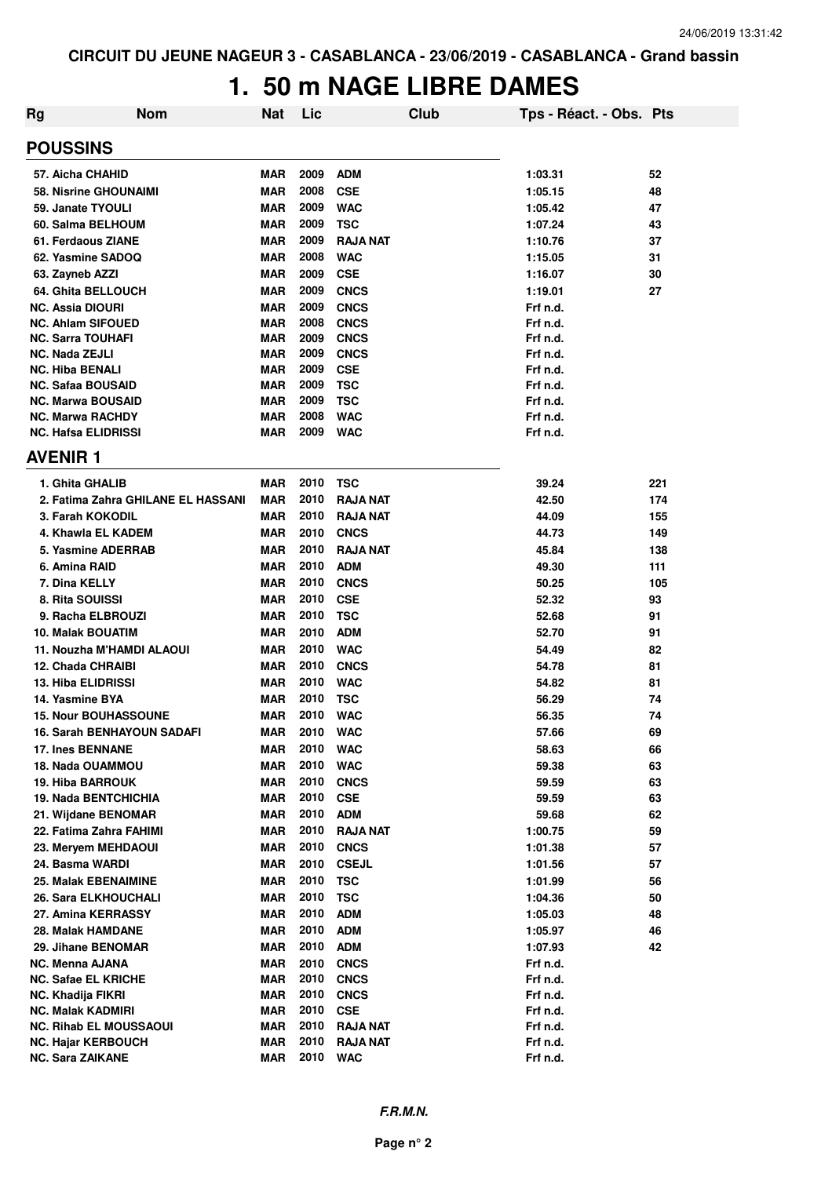## **1. 50 m NAGE LIBRE DAMES**

| <b>Rg</b> | <b>Nom</b>                                         | <b>Nat</b>               | Lic          |                           | <b>Club</b> | Tps - Réact. - Obs. Pts |          |
|-----------|----------------------------------------------------|--------------------------|--------------|---------------------------|-------------|-------------------------|----------|
|           | <b>POUSSINS</b>                                    |                          |              |                           |             |                         |          |
|           | 57. Aicha CHAHID                                   | <b>MAR</b>               | 2009         | <b>ADM</b>                |             | 1:03.31                 | 52       |
|           | <b>58. Nisrine GHOUNAIMI</b>                       | <b>MAR</b>               | 2008         | <b>CSE</b>                |             | 1:05.15                 | 48       |
|           | 59. Janate TYOULI                                  | <b>MAR</b>               | 2009         | <b>WAC</b>                |             | 1:05.42                 | 47       |
|           | 60. Salma BELHOUM                                  | <b>MAR</b>               | 2009         | <b>TSC</b>                |             | 1:07.24                 | 43       |
|           | 61. Ferdaous ZIANE                                 | <b>MAR</b>               | 2009         | <b>RAJA NAT</b>           |             | 1:10.76                 | 37       |
|           | 62. Yasmine SADOQ                                  | <b>MAR</b>               | 2008         | <b>WAC</b>                |             | 1:15.05                 | 31       |
|           | 63. Zayneb AZZI                                    | <b>MAR</b>               | 2009         | <b>CSE</b>                |             | 1:16.07                 | 30       |
|           | 64. Ghita BELLOUCH                                 | <b>MAR</b>               | 2009         | <b>CNCS</b>               |             | 1:19.01                 | 27       |
|           | NC. Assia DIOURI                                   | <b>MAR</b>               | 2009         | <b>CNCS</b>               |             | Frf n.d.                |          |
|           | <b>NC. Ahlam SIFOUED</b>                           | <b>MAR</b>               | 2008         | <b>CNCS</b>               |             | Frf n.d.                |          |
|           | <b>NC. Sarra TOUHAFI</b>                           | <b>MAR</b>               | 2009         | <b>CNCS</b>               |             | Frf n.d.                |          |
|           | <b>NC. Nada ZEJLI</b>                              | <b>MAR</b>               | 2009         | <b>CNCS</b>               |             | Frf n.d.                |          |
|           | <b>NC. Hiba BENALI</b>                             | <b>MAR</b>               | 2009         | <b>CSE</b>                |             | Frf n.d.                |          |
|           | <b>NC. Safaa BOUSAID</b>                           | <b>MAR</b>               | 2009         | <b>TSC</b>                |             | Frf n.d.                |          |
|           | <b>NC. Marwa BOUSAID</b>                           | <b>MAR</b>               | 2009         | <b>TSC</b>                |             | Frf n.d.                |          |
|           | <b>NC. Marwa RACHDY</b>                            | <b>MAR</b>               | 2008         | <b>WAC</b>                |             | Frf n.d.                |          |
|           | <b>NC. Hafsa ELIDRISSI</b>                         | <b>MAR</b>               | 2009         | <b>WAC</b>                |             | Frf n.d.                |          |
|           | <b>AVENIR 1</b>                                    |                          |              |                           |             |                         |          |
|           | 1. Ghita GHALIB                                    | <b>MAR</b>               | 2010         | <b>TSC</b>                |             | 39.24                   | 221      |
|           | 2. Fatima Zahra GHILANE EL HASSANI                 | <b>MAR</b>               | 2010         | <b>RAJA NAT</b>           |             | 42.50                   | 174      |
|           | 3. Farah KOKODIL                                   | <b>MAR</b>               | 2010         | <b>RAJA NAT</b>           |             | 44.09                   | 155      |
|           | 4. Khawla EL KADEM                                 | <b>MAR</b>               | 2010         | <b>CNCS</b>               |             | 44.73                   | 149      |
|           | 5. Yasmine ADERRAB                                 | <b>MAR</b>               | 2010         | <b>RAJA NAT</b>           |             | 45.84                   | 138      |
|           | 6. Amina RAID                                      | <b>MAR</b>               | 2010         | <b>ADM</b>                |             | 49.30                   | 111      |
|           | 7. Dina KELLY                                      | <b>MAR</b>               | 2010         | <b>CNCS</b>               |             | 50.25                   | 105      |
|           | 8. Rita SOUISSI                                    | <b>MAR</b>               | 2010         | <b>CSE</b>                |             | 52.32                   | 93       |
|           | 9. Racha ELBROUZI                                  | <b>MAR</b>               | 2010         | <b>TSC</b>                |             | 52.68                   | 91       |
|           | <b>10. Malak BOUATIM</b>                           | <b>MAR</b>               | 2010         | <b>ADM</b>                |             | 52.70                   | 91       |
|           | 11. Nouzha M'HAMDI ALAOUI                          | <b>MAR</b>               | 2010         | <b>WAC</b>                |             | 54.49                   | 82       |
|           | 12. Chada CHRAIBI                                  | <b>MAR</b>               | 2010         | <b>CNCS</b>               |             | 54.78                   | 81       |
|           | <b>13. Hiba ELIDRISSI</b>                          | <b>MAR</b>               | 2010         | <b>WAC</b>                |             | 54.82                   | 81       |
|           | 14. Yasmine BYA                                    | <b>MAR</b>               | 2010         | <b>TSC</b>                |             | 56.29                   | 74       |
|           | <b>15. Nour BOUHASSOUNE</b>                        | <b>MAR</b>               | 2010         | <b>WAC</b>                |             | 56.35                   | 74       |
|           | 16. Sarah BENHAYOUN SADAFI                         | MAR                      | 2010         | <b>WAC</b>                |             | 57.66                   | 69       |
|           | <b>17. Ines BENNANE</b><br><b>18. Nada OUAMMOU</b> | <b>MAR</b>               | 2010<br>2010 | <b>WAC</b>                |             | 58.63                   | 66       |
|           |                                                    | <b>MAR</b>               | 2010         | <b>WAC</b>                |             | 59.38                   | 63       |
|           | <b>19. Hiba BARROUK</b><br>19. Nada BENTCHICHIA    | <b>MAR</b><br><b>MAR</b> | 2010         | <b>CNCS</b><br><b>CSE</b> |             | 59.59<br>59.59          | 63<br>63 |
|           | 21. Wijdane BENOMAR                                | MAR                      | 2010         | <b>ADM</b>                |             | 59.68                   | 62       |
|           | 22. Fatima Zahra FAHIMI                            | <b>MAR</b>               | 2010         | <b>RAJA NAT</b>           |             | 1:00.75                 | 59       |
|           | 23. Mervem MEHDAOUI                                | <b>MAR</b>               | 2010         | <b>CNCS</b>               |             | 1:01.38                 | 57       |
|           | 24. Basma WARDI                                    | MAR                      | 2010         | <b>CSEJL</b>              |             | 1:01.56                 | 57       |
|           | <b>25. Malak EBENAIMINE</b>                        | MAR                      | 2010         | <b>TSC</b>                |             | 1:01.99                 | 56       |
|           | <b>26. Sara ELKHOUCHALI</b>                        | <b>MAR</b>               | 2010         | <b>TSC</b>                |             | 1:04.36                 | 50       |
|           | 27. Amina KERRASSY                                 | <b>MAR</b>               | 2010         | <b>ADM</b>                |             | 1:05.03                 | 48       |
|           | 28. Malak HAMDANE                                  | <b>MAR</b>               | 2010         | <b>ADM</b>                |             | 1:05.97                 | 46       |
|           | 29. Jihane BENOMAR                                 | <b>MAR</b>               | 2010         | <b>ADM</b>                |             | 1:07.93                 | 42       |
|           | <b>NC. Menna AJANA</b>                             | <b>MAR</b>               | 2010         | <b>CNCS</b>               |             | Frf n.d.                |          |
|           | <b>NC. Safae EL KRICHE</b>                         | <b>MAR</b>               | 2010         | <b>CNCS</b>               |             | Frf n.d.                |          |
|           | NC. Khadija FIKRI                                  | <b>MAR</b>               | 2010         | <b>CNCS</b>               |             | Frf n.d.                |          |
|           | <b>NC. Malak KADMIRI</b>                           | MAR                      | 2010         | <b>CSE</b>                |             | Frf n.d.                |          |
|           | <b>NC. Rihab EL MOUSSAOUI</b>                      | <b>MAR</b>               | 2010         | <b>RAJA NAT</b>           |             | Frf n.d.                |          |
|           | <b>NC. Hajar KERBOUCH</b>                          | <b>MAR</b>               | 2010         | <b>RAJA NAT</b>           |             | Frf n.d.                |          |
|           | <b>NC. Sara ZAIKANE</b>                            | <b>MAR</b>               | 2010         | <b>WAC</b>                |             | Frf n.d.                |          |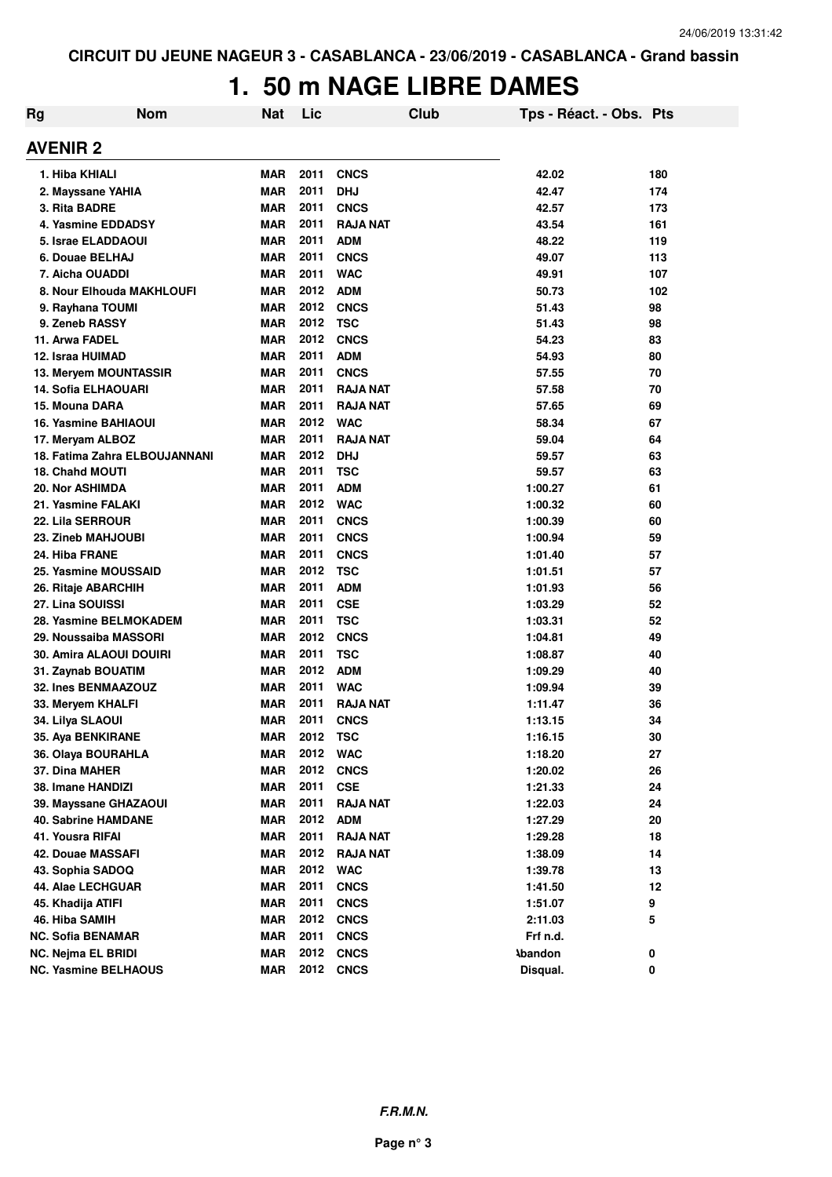## **1. 50 m NAGE LIBRE DAMES**

| Rg | <b>Nom</b>                    | <b>Nat</b> | Lic  |                 | Club | Tps - Réact. - Obs. Pts |     |
|----|-------------------------------|------------|------|-----------------|------|-------------------------|-----|
|    | <b>AVENIR 2</b>               |            |      |                 |      |                         |     |
|    | 1. Hiba KHIALI                | <b>MAR</b> | 2011 | <b>CNCS</b>     |      | 42.02                   | 180 |
|    | 2. Mayssane YAHIA             | <b>MAR</b> | 2011 | <b>DHJ</b>      |      | 42.47                   | 174 |
|    | 3. Rita BADRE                 | <b>MAR</b> | 2011 | <b>CNCS</b>     |      | 42.57                   | 173 |
|    | 4. Yasmine EDDADSY            | <b>MAR</b> | 2011 | <b>RAJA NAT</b> |      | 43.54                   | 161 |
|    | 5. Israe ELADDAOUI            | <b>MAR</b> | 2011 | <b>ADM</b>      |      | 48.22                   | 119 |
|    | 6. Douae BELHAJ               | <b>MAR</b> | 2011 | <b>CNCS</b>     |      | 49.07                   | 113 |
|    | 7. Aicha OUADDI               | <b>MAR</b> | 2011 | <b>WAC</b>      |      | 49.91                   | 107 |
|    | 8. Nour Elhouda MAKHLOUFI     | <b>MAR</b> | 2012 | <b>ADM</b>      |      | 50.73                   | 102 |
|    | 9. Rayhana TOUMI              | <b>MAR</b> | 2012 | <b>CNCS</b>     |      | 51.43                   | 98  |
|    | 9. Zeneb RASSY                | <b>MAR</b> | 2012 | <b>TSC</b>      |      | 51.43                   | 98  |
|    | 11. Arwa FADEL                | <b>MAR</b> | 2012 | <b>CNCS</b>     |      | 54.23                   | 83  |
|    | 12. Israa HUIMAD              | <b>MAR</b> | 2011 | <b>ADM</b>      |      | 54.93                   | 80  |
|    | 13. Meryem MOUNTASSIR         | <b>MAR</b> | 2011 | <b>CNCS</b>     |      | 57.55                   | 70  |
|    | <b>14. Sofia ELHAOUARI</b>    | <b>MAR</b> | 2011 | <b>RAJA NAT</b> |      | 57.58                   | 70  |
|    | 15. Mouna DARA                | <b>MAR</b> | 2011 | <b>RAJA NAT</b> |      | 57.65                   | 69  |
|    | 16. Yasmine BAHIAOUI          | <b>MAR</b> | 2012 | <b>WAC</b>      |      | 58.34                   | 67  |
|    | 17. Meryam ALBOZ              | <b>MAR</b> | 2011 | <b>RAJA NAT</b> |      | 59.04                   | 64  |
|    | 18. Fatima Zahra ELBOUJANNANI | <b>MAR</b> | 2012 | <b>DHJ</b>      |      | 59.57                   | 63  |
|    | 18. Chahd MOUTI               | <b>MAR</b> | 2011 | <b>TSC</b>      |      | 59.57                   | 63  |
|    | <b>20. Nor ASHIMDA</b>        | <b>MAR</b> | 2011 | <b>ADM</b>      |      | 1:00.27                 | 61  |
|    | 21. Yasmine FALAKI            | <b>MAR</b> | 2012 | <b>WAC</b>      |      | 1:00.32                 | 60  |
|    | 22. Lila SERROUR              | <b>MAR</b> | 2011 | <b>CNCS</b>     |      | 1:00.39                 | 60  |
|    | 23. Zineb MAHJOUBI            | <b>MAR</b> | 2011 | <b>CNCS</b>     |      | 1:00.94                 | 59  |
|    | 24. Hiba FRANE                | <b>MAR</b> | 2011 | <b>CNCS</b>     |      | 1:01.40                 | 57  |
|    | 25. Yasmine MOUSSAID          | <b>MAR</b> | 2012 | <b>TSC</b>      |      | 1:01.51                 | 57  |
|    | 26. Ritaje ABARCHIH           | <b>MAR</b> | 2011 | <b>ADM</b>      |      | 1:01.93                 | 56  |
|    | 27. Lina SOUISSI              | <b>MAR</b> | 2011 | <b>CSE</b>      |      | 1:03.29                 | 52  |
|    | 28. Yasmine BELMOKADEM        | <b>MAR</b> | 2011 | <b>TSC</b>      |      | 1:03.31                 | 52  |
|    | 29. Noussaiba MASSORI         | <b>MAR</b> | 2012 | <b>CNCS</b>     |      | 1:04.81                 | 49  |
|    | 30. Amira ALAOUI DOUIRI       | <b>MAR</b> | 2011 | TSC             |      | 1:08.87                 | 40  |
|    | 31. Zaynab BOUATIM            | <b>MAR</b> | 2012 | <b>ADM</b>      |      | 1:09.29                 | 40  |
|    | 32. Ines BENMAAZOUZ           | <b>MAR</b> | 2011 | <b>WAC</b>      |      | 1:09.94                 | 39  |
|    | 33. Meryem KHALFI             | <b>MAR</b> | 2011 | <b>RAJA NAT</b> |      | 1:11.47                 | 36  |
|    | 34. Lilya SLAOUI              | <b>MAR</b> | 2011 | <b>CNCS</b>     |      | 1:13.15                 | 34  |
|    | 35. Aya BENKIRANE             | <b>MAR</b> | 2012 | <b>TSC</b>      |      | 1:16.15                 | 30  |
|    | 36. Olaya BOURAHLA            | <b>MAR</b> | 2012 | <b>WAC</b>      |      | 1:18.20                 | 27  |
|    | 37. Dina MAHER                | <b>MAR</b> | 2012 | <b>CNCS</b>     |      | 1:20.02                 | 26  |
|    | 38. Imane HANDIZI             | <b>MAR</b> | 2011 | <b>CSE</b>      |      | 1:21.33                 | 24  |
|    | 39. Mayssane GHAZAOUI         | <b>MAR</b> | 2011 | <b>RAJA NAT</b> |      | 1:22.03                 | 24  |
|    | <b>40. Sabrine HAMDANE</b>    | <b>MAR</b> | 2012 | <b>ADM</b>      |      | 1:27.29                 | 20  |
|    | 41. Yousra RIFAI              | <b>MAR</b> | 2011 | <b>RAJA NAT</b> |      | 1:29.28                 | 18  |
|    | 42. Douae MASSAFI             | <b>MAR</b> | 2012 | <b>RAJA NAT</b> |      | 1:38.09                 | 14  |
|    | 43. Sophia SADOQ              | <b>MAR</b> | 2012 | <b>WAC</b>      |      | 1:39.78                 | 13  |
|    | 44. Alae LECHGUAR             | <b>MAR</b> | 2011 | <b>CNCS</b>     |      | 1:41.50                 | 12  |
|    | 45. Khadija ATIFI             | <b>MAR</b> | 2011 | <b>CNCS</b>     |      | 1:51.07                 | 9   |
|    | 46. Hiba SAMIH                | <b>MAR</b> | 2012 | <b>CNCS</b>     |      | 2:11.03                 | 5   |
|    | NC. Sofia BENAMAR             | <b>MAR</b> | 2011 | <b>CNCS</b>     |      | Frf n.d.                |     |
|    | <b>NC. Nejma EL BRIDI</b>     | <b>MAR</b> | 2012 | <b>CNCS</b>     |      | <b>\bandon</b>          | 0   |
|    | <b>NC. Yasmine BELHAOUS</b>   | <b>MAR</b> | 2012 | <b>CNCS</b>     |      | Disqual.                | 0   |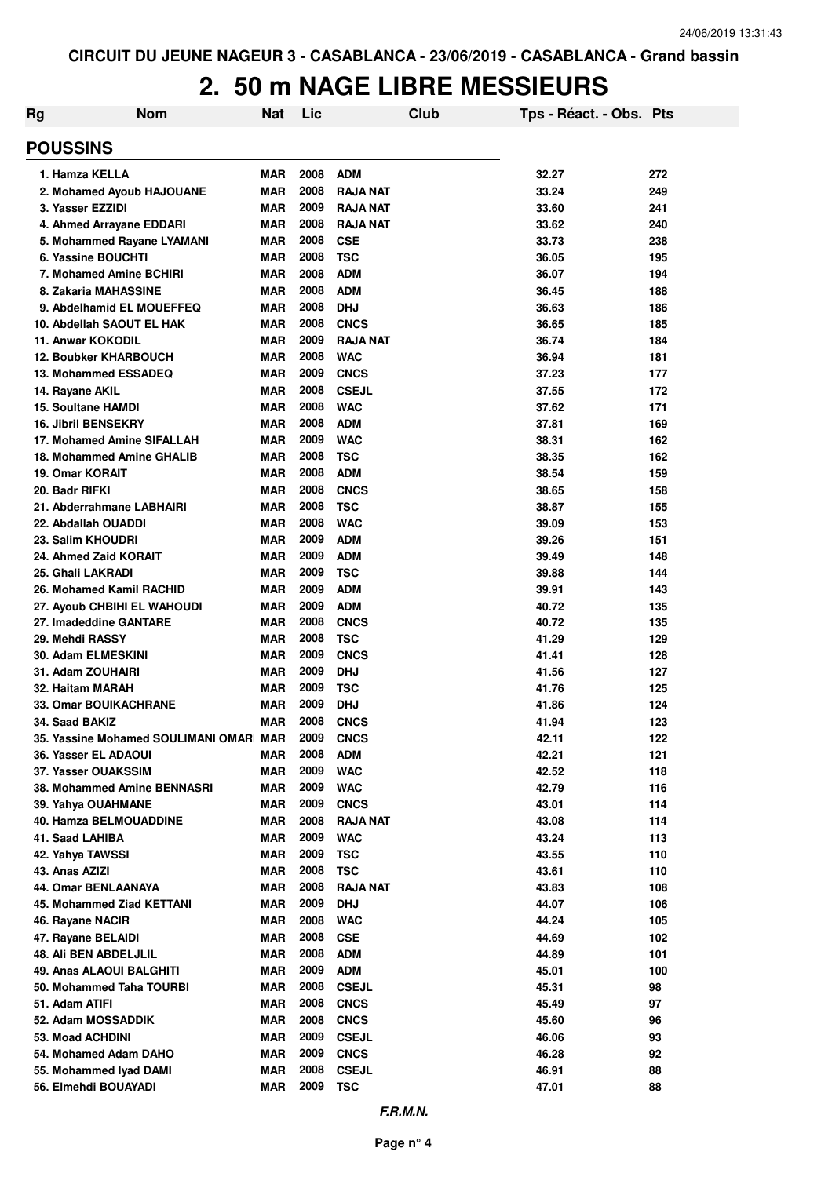| <b>POUSSINS</b><br>2008<br>1. Hamza KELLA<br><b>ADM</b><br>32.27<br>272<br><b>MAR</b><br>2008<br><b>MAR</b><br><b>RAJA NAT</b><br>33.24<br>249<br>2. Mohamed Ayoub HAJOUANE<br>2009<br>3. Yasser EZZIDI<br><b>MAR</b><br><b>RAJA NAT</b><br>33.60<br>241<br><b>MAR</b><br>2008<br>4. Ahmed Arrayane EDDARI<br><b>RAJA NAT</b><br>33.62<br>240<br>2008<br><b>MAR</b><br>33.73<br>5. Mohammed Rayane LYAMANI<br><b>CSE</b><br>238<br>2008<br>6. Yassine BOUCHTI<br><b>MAR</b><br><b>TSC</b><br>36.05<br>195<br><b>MAR</b><br>2008<br><b>ADM</b><br>36.07<br>7. Mohamed Amine BCHIRI<br>194<br><b>MAR</b><br>2008<br><b>ADM</b><br>8. Zakaria MAHASSINE<br>36.45<br>188<br>2008<br><b>MAR</b><br><b>DHJ</b><br>36.63<br>9. Abdelhamid EL MOUEFFEQ<br>186<br>2008<br><b>CNCS</b><br>10. Abdellah SAOUT EL HAK<br><b>MAR</b><br>36.65<br>185<br>2009<br><b>RAJA NAT</b><br>36.74<br>11. Anwar KOKODIL<br><b>MAR</b><br>184<br>2008<br><b>WAC</b><br><b>12. Boubker KHARBOUCH</b><br><b>MAR</b><br>36.94<br>181<br>2009<br><b>CNCS</b><br>13. Mohammed ESSADEQ<br><b>MAR</b><br>37.23<br>177<br>2008<br><b>CSEJL</b><br><b>MAR</b><br>37.55<br>172<br>14. Rayane AKIL<br>2008<br><b>WAC</b><br><b>15. Soultane HAMDI</b><br><b>MAR</b><br>37.62<br>171<br>2008<br><b>ADM</b><br><b>16. Jibril BENSEKRY</b><br><b>MAR</b><br>37.81<br>169<br>2009<br><b>WAC</b><br>17. Mohamed Amine SIFALLAH<br><b>MAR</b><br>38.31<br>162<br>2008<br><b>TSC</b><br>18. Mohammed Amine GHALIB<br><b>MAR</b><br>38.35<br>162<br>2008<br><b>ADM</b><br><b>19. Omar KORAIT</b><br><b>MAR</b><br>38.54<br>159<br>2008<br><b>CNCS</b><br>20. Badr RIFKI<br><b>MAR</b><br>38.65<br>158<br>2008<br><b>TSC</b><br>21. Abderrahmane LABHAIRI<br><b>MAR</b><br>38.87<br>155<br>2008<br><b>WAC</b><br>22. Abdallah OUADDI<br><b>MAR</b><br>39.09<br>153<br>2009<br>23. Salim KHOUDRI<br><b>MAR</b><br><b>ADM</b><br>39.26<br>151<br>2009<br>24. Ahmed Zaid KORAIT<br><b>MAR</b><br><b>ADM</b><br>39.49<br>148<br>2009<br><b>TSC</b><br>25. Ghali LAKRADI<br><b>MAR</b><br>39.88<br>144<br>2009<br><b>ADM</b><br>26. Mohamed Kamil RACHID<br><b>MAR</b><br>39.91<br>143<br>2009<br><b>ADM</b><br>27. Ayoub CHBIHI EL WAHOUDI<br><b>MAR</b><br>40.72<br>135<br>2008<br>27. Imadeddine GANTARE<br><b>MAR</b><br><b>CNCS</b><br>40.72<br>135<br>2008<br>29. Mehdi RASSY<br><b>MAR</b><br><b>TSC</b><br>41.29<br>129<br>2009<br><b>CNCS</b><br>30. Adam ELMESKINI<br><b>MAR</b><br>41.41<br>128<br>2009<br>31. Adam ZOUHAIRI<br><b>MAR</b><br><b>DHJ</b><br>41.56<br>127<br>2009<br>32. Haitam MARAH<br><b>MAR</b><br><b>TSC</b><br>41.76<br>125<br>2009<br><b>33. Omar BOUIKACHRANE</b><br><b>MAR</b><br><b>DHJ</b><br>124<br>41.86<br>2008<br><b>MAR</b><br><b>CNCS</b><br>123<br>34. Saad BAKIZ<br>41.94<br>2009<br>35. Yassine Mohamed SOULIMANI OMAR MAR<br><b>CNCS</b><br>42.11<br>122<br>2008<br>36. Yasser EL ADAOUI<br><b>ADM</b><br>42.21<br>121<br>MAR<br>2009<br><b>WAC</b><br>37. Yasser OUAKSSIM<br><b>MAR</b><br>42.52<br>118<br>2009<br><b>WAC</b><br>38. Mohammed Amine BENNASRI<br><b>MAR</b><br>42.79<br>116<br>2009<br><b>MAR</b><br><b>CNCS</b><br>43.01<br>114<br>39. Yahya OUAHMANE<br>2008<br>40. Hamza BELMOUADDINE<br><b>MAR</b><br><b>RAJA NAT</b><br>43.08<br>114<br>2009<br>41. Saad LAHIBA<br><b>MAR</b><br><b>WAC</b><br>43.24<br>113<br>2009<br>42. Yahya TAWSSI<br><b>MAR</b><br><b>TSC</b><br>43.55<br>110<br>2008<br>43. Anas AZIZI<br><b>MAR</b><br><b>TSC</b><br>43.61<br>110<br>2008<br>44. Omar BENLAANAYA<br><b>MAR</b><br><b>RAJA NAT</b><br>43.83<br>108<br>2009<br>45. Mohammed Ziad KETTANI<br><b>MAR</b><br><b>DHJ</b><br>44.07<br>106<br>2008<br><b>MAR</b><br>44.24<br>46. Rayane NACIR<br><b>WAC</b><br>105<br>2008<br>47. Rayane BELAIDI<br><b>MAR</b><br><b>CSE</b><br>44.69<br>102<br>2008<br><b>ADM</b><br>48. Ali BEN ABDELJLIL<br><b>MAR</b><br>44.89<br>101<br>2009<br><b>ADM</b><br><b>MAR</b><br>45.01<br>49. Anas ALAOUI BALGHITI<br>100<br>2008<br><b>CSEJL</b><br>50. Mohammed Taha TOURBI<br><b>MAR</b><br>45.31<br>98<br>2008<br><b>CNCS</b><br>51. Adam ATIFI<br><b>MAR</b><br>45.49<br>97 | <b>Rg</b> | <b>Nom</b> | Nat | Lic  | Club | Tps - Réact. - Obs. Pts |  |
|---------------------------------------------------------------------------------------------------------------------------------------------------------------------------------------------------------------------------------------------------------------------------------------------------------------------------------------------------------------------------------------------------------------------------------------------------------------------------------------------------------------------------------------------------------------------------------------------------------------------------------------------------------------------------------------------------------------------------------------------------------------------------------------------------------------------------------------------------------------------------------------------------------------------------------------------------------------------------------------------------------------------------------------------------------------------------------------------------------------------------------------------------------------------------------------------------------------------------------------------------------------------------------------------------------------------------------------------------------------------------------------------------------------------------------------------------------------------------------------------------------------------------------------------------------------------------------------------------------------------------------------------------------------------------------------------------------------------------------------------------------------------------------------------------------------------------------------------------------------------------------------------------------------------------------------------------------------------------------------------------------------------------------------------------------------------------------------------------------------------------------------------------------------------------------------------------------------------------------------------------------------------------------------------------------------------------------------------------------------------------------------------------------------------------------------------------------------------------------------------------------------------------------------------------------------------------------------------------------------------------------------------------------------------------------------------------------------------------------------------------------------------------------------------------------------------------------------------------------------------------------------------------------------------------------------------------------------------------------------------------------------------------------------------------------------------------------------------------------------------------------------------------------------------------------------------------------------------------------------------------------------------------------------------------------------------------------------------------------------------------------------------------------------------------------------------------------------------------------------------------------------------------------------------------------------------------------------------------------------------------------------------------------------------------------------------------------------------------------------------------------------------------------------------------------------------------------------------------------------------------------------------------------------------------------------------------------------------------------------------------------------------------------------------------------------------------------------------------------------------|-----------|------------|-----|------|------|-------------------------|--|
|                                                                                                                                                                                                                                                                                                                                                                                                                                                                                                                                                                                                                                                                                                                                                                                                                                                                                                                                                                                                                                                                                                                                                                                                                                                                                                                                                                                                                                                                                                                                                                                                                                                                                                                                                                                                                                                                                                                                                                                                                                                                                                                                                                                                                                                                                                                                                                                                                                                                                                                                                                                                                                                                                                                                                                                                                                                                                                                                                                                                                                                                                                                                                                                                                                                                                                                                                                                                                                                                                                                                                                                                                                                                                                                                                                                                                                                                                                                                                                                                                                                                                                                     |           |            |     |      |      |                         |  |
|                                                                                                                                                                                                                                                                                                                                                                                                                                                                                                                                                                                                                                                                                                                                                                                                                                                                                                                                                                                                                                                                                                                                                                                                                                                                                                                                                                                                                                                                                                                                                                                                                                                                                                                                                                                                                                                                                                                                                                                                                                                                                                                                                                                                                                                                                                                                                                                                                                                                                                                                                                                                                                                                                                                                                                                                                                                                                                                                                                                                                                                                                                                                                                                                                                                                                                                                                                                                                                                                                                                                                                                                                                                                                                                                                                                                                                                                                                                                                                                                                                                                                                                     |           |            |     |      |      |                         |  |
|                                                                                                                                                                                                                                                                                                                                                                                                                                                                                                                                                                                                                                                                                                                                                                                                                                                                                                                                                                                                                                                                                                                                                                                                                                                                                                                                                                                                                                                                                                                                                                                                                                                                                                                                                                                                                                                                                                                                                                                                                                                                                                                                                                                                                                                                                                                                                                                                                                                                                                                                                                                                                                                                                                                                                                                                                                                                                                                                                                                                                                                                                                                                                                                                                                                                                                                                                                                                                                                                                                                                                                                                                                                                                                                                                                                                                                                                                                                                                                                                                                                                                                                     |           |            |     |      |      |                         |  |
|                                                                                                                                                                                                                                                                                                                                                                                                                                                                                                                                                                                                                                                                                                                                                                                                                                                                                                                                                                                                                                                                                                                                                                                                                                                                                                                                                                                                                                                                                                                                                                                                                                                                                                                                                                                                                                                                                                                                                                                                                                                                                                                                                                                                                                                                                                                                                                                                                                                                                                                                                                                                                                                                                                                                                                                                                                                                                                                                                                                                                                                                                                                                                                                                                                                                                                                                                                                                                                                                                                                                                                                                                                                                                                                                                                                                                                                                                                                                                                                                                                                                                                                     |           |            |     |      |      |                         |  |
|                                                                                                                                                                                                                                                                                                                                                                                                                                                                                                                                                                                                                                                                                                                                                                                                                                                                                                                                                                                                                                                                                                                                                                                                                                                                                                                                                                                                                                                                                                                                                                                                                                                                                                                                                                                                                                                                                                                                                                                                                                                                                                                                                                                                                                                                                                                                                                                                                                                                                                                                                                                                                                                                                                                                                                                                                                                                                                                                                                                                                                                                                                                                                                                                                                                                                                                                                                                                                                                                                                                                                                                                                                                                                                                                                                                                                                                                                                                                                                                                                                                                                                                     |           |            |     |      |      |                         |  |
|                                                                                                                                                                                                                                                                                                                                                                                                                                                                                                                                                                                                                                                                                                                                                                                                                                                                                                                                                                                                                                                                                                                                                                                                                                                                                                                                                                                                                                                                                                                                                                                                                                                                                                                                                                                                                                                                                                                                                                                                                                                                                                                                                                                                                                                                                                                                                                                                                                                                                                                                                                                                                                                                                                                                                                                                                                                                                                                                                                                                                                                                                                                                                                                                                                                                                                                                                                                                                                                                                                                                                                                                                                                                                                                                                                                                                                                                                                                                                                                                                                                                                                                     |           |            |     |      |      |                         |  |
|                                                                                                                                                                                                                                                                                                                                                                                                                                                                                                                                                                                                                                                                                                                                                                                                                                                                                                                                                                                                                                                                                                                                                                                                                                                                                                                                                                                                                                                                                                                                                                                                                                                                                                                                                                                                                                                                                                                                                                                                                                                                                                                                                                                                                                                                                                                                                                                                                                                                                                                                                                                                                                                                                                                                                                                                                                                                                                                                                                                                                                                                                                                                                                                                                                                                                                                                                                                                                                                                                                                                                                                                                                                                                                                                                                                                                                                                                                                                                                                                                                                                                                                     |           |            |     |      |      |                         |  |
|                                                                                                                                                                                                                                                                                                                                                                                                                                                                                                                                                                                                                                                                                                                                                                                                                                                                                                                                                                                                                                                                                                                                                                                                                                                                                                                                                                                                                                                                                                                                                                                                                                                                                                                                                                                                                                                                                                                                                                                                                                                                                                                                                                                                                                                                                                                                                                                                                                                                                                                                                                                                                                                                                                                                                                                                                                                                                                                                                                                                                                                                                                                                                                                                                                                                                                                                                                                                                                                                                                                                                                                                                                                                                                                                                                                                                                                                                                                                                                                                                                                                                                                     |           |            |     |      |      |                         |  |
|                                                                                                                                                                                                                                                                                                                                                                                                                                                                                                                                                                                                                                                                                                                                                                                                                                                                                                                                                                                                                                                                                                                                                                                                                                                                                                                                                                                                                                                                                                                                                                                                                                                                                                                                                                                                                                                                                                                                                                                                                                                                                                                                                                                                                                                                                                                                                                                                                                                                                                                                                                                                                                                                                                                                                                                                                                                                                                                                                                                                                                                                                                                                                                                                                                                                                                                                                                                                                                                                                                                                                                                                                                                                                                                                                                                                                                                                                                                                                                                                                                                                                                                     |           |            |     |      |      |                         |  |
|                                                                                                                                                                                                                                                                                                                                                                                                                                                                                                                                                                                                                                                                                                                                                                                                                                                                                                                                                                                                                                                                                                                                                                                                                                                                                                                                                                                                                                                                                                                                                                                                                                                                                                                                                                                                                                                                                                                                                                                                                                                                                                                                                                                                                                                                                                                                                                                                                                                                                                                                                                                                                                                                                                                                                                                                                                                                                                                                                                                                                                                                                                                                                                                                                                                                                                                                                                                                                                                                                                                                                                                                                                                                                                                                                                                                                                                                                                                                                                                                                                                                                                                     |           |            |     |      |      |                         |  |
|                                                                                                                                                                                                                                                                                                                                                                                                                                                                                                                                                                                                                                                                                                                                                                                                                                                                                                                                                                                                                                                                                                                                                                                                                                                                                                                                                                                                                                                                                                                                                                                                                                                                                                                                                                                                                                                                                                                                                                                                                                                                                                                                                                                                                                                                                                                                                                                                                                                                                                                                                                                                                                                                                                                                                                                                                                                                                                                                                                                                                                                                                                                                                                                                                                                                                                                                                                                                                                                                                                                                                                                                                                                                                                                                                                                                                                                                                                                                                                                                                                                                                                                     |           |            |     |      |      |                         |  |
|                                                                                                                                                                                                                                                                                                                                                                                                                                                                                                                                                                                                                                                                                                                                                                                                                                                                                                                                                                                                                                                                                                                                                                                                                                                                                                                                                                                                                                                                                                                                                                                                                                                                                                                                                                                                                                                                                                                                                                                                                                                                                                                                                                                                                                                                                                                                                                                                                                                                                                                                                                                                                                                                                                                                                                                                                                                                                                                                                                                                                                                                                                                                                                                                                                                                                                                                                                                                                                                                                                                                                                                                                                                                                                                                                                                                                                                                                                                                                                                                                                                                                                                     |           |            |     |      |      |                         |  |
|                                                                                                                                                                                                                                                                                                                                                                                                                                                                                                                                                                                                                                                                                                                                                                                                                                                                                                                                                                                                                                                                                                                                                                                                                                                                                                                                                                                                                                                                                                                                                                                                                                                                                                                                                                                                                                                                                                                                                                                                                                                                                                                                                                                                                                                                                                                                                                                                                                                                                                                                                                                                                                                                                                                                                                                                                                                                                                                                                                                                                                                                                                                                                                                                                                                                                                                                                                                                                                                                                                                                                                                                                                                                                                                                                                                                                                                                                                                                                                                                                                                                                                                     |           |            |     |      |      |                         |  |
|                                                                                                                                                                                                                                                                                                                                                                                                                                                                                                                                                                                                                                                                                                                                                                                                                                                                                                                                                                                                                                                                                                                                                                                                                                                                                                                                                                                                                                                                                                                                                                                                                                                                                                                                                                                                                                                                                                                                                                                                                                                                                                                                                                                                                                                                                                                                                                                                                                                                                                                                                                                                                                                                                                                                                                                                                                                                                                                                                                                                                                                                                                                                                                                                                                                                                                                                                                                                                                                                                                                                                                                                                                                                                                                                                                                                                                                                                                                                                                                                                                                                                                                     |           |            |     |      |      |                         |  |
|                                                                                                                                                                                                                                                                                                                                                                                                                                                                                                                                                                                                                                                                                                                                                                                                                                                                                                                                                                                                                                                                                                                                                                                                                                                                                                                                                                                                                                                                                                                                                                                                                                                                                                                                                                                                                                                                                                                                                                                                                                                                                                                                                                                                                                                                                                                                                                                                                                                                                                                                                                                                                                                                                                                                                                                                                                                                                                                                                                                                                                                                                                                                                                                                                                                                                                                                                                                                                                                                                                                                                                                                                                                                                                                                                                                                                                                                                                                                                                                                                                                                                                                     |           |            |     |      |      |                         |  |
|                                                                                                                                                                                                                                                                                                                                                                                                                                                                                                                                                                                                                                                                                                                                                                                                                                                                                                                                                                                                                                                                                                                                                                                                                                                                                                                                                                                                                                                                                                                                                                                                                                                                                                                                                                                                                                                                                                                                                                                                                                                                                                                                                                                                                                                                                                                                                                                                                                                                                                                                                                                                                                                                                                                                                                                                                                                                                                                                                                                                                                                                                                                                                                                                                                                                                                                                                                                                                                                                                                                                                                                                                                                                                                                                                                                                                                                                                                                                                                                                                                                                                                                     |           |            |     |      |      |                         |  |
|                                                                                                                                                                                                                                                                                                                                                                                                                                                                                                                                                                                                                                                                                                                                                                                                                                                                                                                                                                                                                                                                                                                                                                                                                                                                                                                                                                                                                                                                                                                                                                                                                                                                                                                                                                                                                                                                                                                                                                                                                                                                                                                                                                                                                                                                                                                                                                                                                                                                                                                                                                                                                                                                                                                                                                                                                                                                                                                                                                                                                                                                                                                                                                                                                                                                                                                                                                                                                                                                                                                                                                                                                                                                                                                                                                                                                                                                                                                                                                                                                                                                                                                     |           |            |     |      |      |                         |  |
|                                                                                                                                                                                                                                                                                                                                                                                                                                                                                                                                                                                                                                                                                                                                                                                                                                                                                                                                                                                                                                                                                                                                                                                                                                                                                                                                                                                                                                                                                                                                                                                                                                                                                                                                                                                                                                                                                                                                                                                                                                                                                                                                                                                                                                                                                                                                                                                                                                                                                                                                                                                                                                                                                                                                                                                                                                                                                                                                                                                                                                                                                                                                                                                                                                                                                                                                                                                                                                                                                                                                                                                                                                                                                                                                                                                                                                                                                                                                                                                                                                                                                                                     |           |            |     |      |      |                         |  |
|                                                                                                                                                                                                                                                                                                                                                                                                                                                                                                                                                                                                                                                                                                                                                                                                                                                                                                                                                                                                                                                                                                                                                                                                                                                                                                                                                                                                                                                                                                                                                                                                                                                                                                                                                                                                                                                                                                                                                                                                                                                                                                                                                                                                                                                                                                                                                                                                                                                                                                                                                                                                                                                                                                                                                                                                                                                                                                                                                                                                                                                                                                                                                                                                                                                                                                                                                                                                                                                                                                                                                                                                                                                                                                                                                                                                                                                                                                                                                                                                                                                                                                                     |           |            |     |      |      |                         |  |
|                                                                                                                                                                                                                                                                                                                                                                                                                                                                                                                                                                                                                                                                                                                                                                                                                                                                                                                                                                                                                                                                                                                                                                                                                                                                                                                                                                                                                                                                                                                                                                                                                                                                                                                                                                                                                                                                                                                                                                                                                                                                                                                                                                                                                                                                                                                                                                                                                                                                                                                                                                                                                                                                                                                                                                                                                                                                                                                                                                                                                                                                                                                                                                                                                                                                                                                                                                                                                                                                                                                                                                                                                                                                                                                                                                                                                                                                                                                                                                                                                                                                                                                     |           |            |     |      |      |                         |  |
|                                                                                                                                                                                                                                                                                                                                                                                                                                                                                                                                                                                                                                                                                                                                                                                                                                                                                                                                                                                                                                                                                                                                                                                                                                                                                                                                                                                                                                                                                                                                                                                                                                                                                                                                                                                                                                                                                                                                                                                                                                                                                                                                                                                                                                                                                                                                                                                                                                                                                                                                                                                                                                                                                                                                                                                                                                                                                                                                                                                                                                                                                                                                                                                                                                                                                                                                                                                                                                                                                                                                                                                                                                                                                                                                                                                                                                                                                                                                                                                                                                                                                                                     |           |            |     |      |      |                         |  |
|                                                                                                                                                                                                                                                                                                                                                                                                                                                                                                                                                                                                                                                                                                                                                                                                                                                                                                                                                                                                                                                                                                                                                                                                                                                                                                                                                                                                                                                                                                                                                                                                                                                                                                                                                                                                                                                                                                                                                                                                                                                                                                                                                                                                                                                                                                                                                                                                                                                                                                                                                                                                                                                                                                                                                                                                                                                                                                                                                                                                                                                                                                                                                                                                                                                                                                                                                                                                                                                                                                                                                                                                                                                                                                                                                                                                                                                                                                                                                                                                                                                                                                                     |           |            |     |      |      |                         |  |
|                                                                                                                                                                                                                                                                                                                                                                                                                                                                                                                                                                                                                                                                                                                                                                                                                                                                                                                                                                                                                                                                                                                                                                                                                                                                                                                                                                                                                                                                                                                                                                                                                                                                                                                                                                                                                                                                                                                                                                                                                                                                                                                                                                                                                                                                                                                                                                                                                                                                                                                                                                                                                                                                                                                                                                                                                                                                                                                                                                                                                                                                                                                                                                                                                                                                                                                                                                                                                                                                                                                                                                                                                                                                                                                                                                                                                                                                                                                                                                                                                                                                                                                     |           |            |     |      |      |                         |  |
|                                                                                                                                                                                                                                                                                                                                                                                                                                                                                                                                                                                                                                                                                                                                                                                                                                                                                                                                                                                                                                                                                                                                                                                                                                                                                                                                                                                                                                                                                                                                                                                                                                                                                                                                                                                                                                                                                                                                                                                                                                                                                                                                                                                                                                                                                                                                                                                                                                                                                                                                                                                                                                                                                                                                                                                                                                                                                                                                                                                                                                                                                                                                                                                                                                                                                                                                                                                                                                                                                                                                                                                                                                                                                                                                                                                                                                                                                                                                                                                                                                                                                                                     |           |            |     |      |      |                         |  |
|                                                                                                                                                                                                                                                                                                                                                                                                                                                                                                                                                                                                                                                                                                                                                                                                                                                                                                                                                                                                                                                                                                                                                                                                                                                                                                                                                                                                                                                                                                                                                                                                                                                                                                                                                                                                                                                                                                                                                                                                                                                                                                                                                                                                                                                                                                                                                                                                                                                                                                                                                                                                                                                                                                                                                                                                                                                                                                                                                                                                                                                                                                                                                                                                                                                                                                                                                                                                                                                                                                                                                                                                                                                                                                                                                                                                                                                                                                                                                                                                                                                                                                                     |           |            |     |      |      |                         |  |
|                                                                                                                                                                                                                                                                                                                                                                                                                                                                                                                                                                                                                                                                                                                                                                                                                                                                                                                                                                                                                                                                                                                                                                                                                                                                                                                                                                                                                                                                                                                                                                                                                                                                                                                                                                                                                                                                                                                                                                                                                                                                                                                                                                                                                                                                                                                                                                                                                                                                                                                                                                                                                                                                                                                                                                                                                                                                                                                                                                                                                                                                                                                                                                                                                                                                                                                                                                                                                                                                                                                                                                                                                                                                                                                                                                                                                                                                                                                                                                                                                                                                                                                     |           |            |     |      |      |                         |  |
|                                                                                                                                                                                                                                                                                                                                                                                                                                                                                                                                                                                                                                                                                                                                                                                                                                                                                                                                                                                                                                                                                                                                                                                                                                                                                                                                                                                                                                                                                                                                                                                                                                                                                                                                                                                                                                                                                                                                                                                                                                                                                                                                                                                                                                                                                                                                                                                                                                                                                                                                                                                                                                                                                                                                                                                                                                                                                                                                                                                                                                                                                                                                                                                                                                                                                                                                                                                                                                                                                                                                                                                                                                                                                                                                                                                                                                                                                                                                                                                                                                                                                                                     |           |            |     |      |      |                         |  |
|                                                                                                                                                                                                                                                                                                                                                                                                                                                                                                                                                                                                                                                                                                                                                                                                                                                                                                                                                                                                                                                                                                                                                                                                                                                                                                                                                                                                                                                                                                                                                                                                                                                                                                                                                                                                                                                                                                                                                                                                                                                                                                                                                                                                                                                                                                                                                                                                                                                                                                                                                                                                                                                                                                                                                                                                                                                                                                                                                                                                                                                                                                                                                                                                                                                                                                                                                                                                                                                                                                                                                                                                                                                                                                                                                                                                                                                                                                                                                                                                                                                                                                                     |           |            |     |      |      |                         |  |
|                                                                                                                                                                                                                                                                                                                                                                                                                                                                                                                                                                                                                                                                                                                                                                                                                                                                                                                                                                                                                                                                                                                                                                                                                                                                                                                                                                                                                                                                                                                                                                                                                                                                                                                                                                                                                                                                                                                                                                                                                                                                                                                                                                                                                                                                                                                                                                                                                                                                                                                                                                                                                                                                                                                                                                                                                                                                                                                                                                                                                                                                                                                                                                                                                                                                                                                                                                                                                                                                                                                                                                                                                                                                                                                                                                                                                                                                                                                                                                                                                                                                                                                     |           |            |     |      |      |                         |  |
|                                                                                                                                                                                                                                                                                                                                                                                                                                                                                                                                                                                                                                                                                                                                                                                                                                                                                                                                                                                                                                                                                                                                                                                                                                                                                                                                                                                                                                                                                                                                                                                                                                                                                                                                                                                                                                                                                                                                                                                                                                                                                                                                                                                                                                                                                                                                                                                                                                                                                                                                                                                                                                                                                                                                                                                                                                                                                                                                                                                                                                                                                                                                                                                                                                                                                                                                                                                                                                                                                                                                                                                                                                                                                                                                                                                                                                                                                                                                                                                                                                                                                                                     |           |            |     |      |      |                         |  |
|                                                                                                                                                                                                                                                                                                                                                                                                                                                                                                                                                                                                                                                                                                                                                                                                                                                                                                                                                                                                                                                                                                                                                                                                                                                                                                                                                                                                                                                                                                                                                                                                                                                                                                                                                                                                                                                                                                                                                                                                                                                                                                                                                                                                                                                                                                                                                                                                                                                                                                                                                                                                                                                                                                                                                                                                                                                                                                                                                                                                                                                                                                                                                                                                                                                                                                                                                                                                                                                                                                                                                                                                                                                                                                                                                                                                                                                                                                                                                                                                                                                                                                                     |           |            |     |      |      |                         |  |
|                                                                                                                                                                                                                                                                                                                                                                                                                                                                                                                                                                                                                                                                                                                                                                                                                                                                                                                                                                                                                                                                                                                                                                                                                                                                                                                                                                                                                                                                                                                                                                                                                                                                                                                                                                                                                                                                                                                                                                                                                                                                                                                                                                                                                                                                                                                                                                                                                                                                                                                                                                                                                                                                                                                                                                                                                                                                                                                                                                                                                                                                                                                                                                                                                                                                                                                                                                                                                                                                                                                                                                                                                                                                                                                                                                                                                                                                                                                                                                                                                                                                                                                     |           |            |     |      |      |                         |  |
|                                                                                                                                                                                                                                                                                                                                                                                                                                                                                                                                                                                                                                                                                                                                                                                                                                                                                                                                                                                                                                                                                                                                                                                                                                                                                                                                                                                                                                                                                                                                                                                                                                                                                                                                                                                                                                                                                                                                                                                                                                                                                                                                                                                                                                                                                                                                                                                                                                                                                                                                                                                                                                                                                                                                                                                                                                                                                                                                                                                                                                                                                                                                                                                                                                                                                                                                                                                                                                                                                                                                                                                                                                                                                                                                                                                                                                                                                                                                                                                                                                                                                                                     |           |            |     |      |      |                         |  |
|                                                                                                                                                                                                                                                                                                                                                                                                                                                                                                                                                                                                                                                                                                                                                                                                                                                                                                                                                                                                                                                                                                                                                                                                                                                                                                                                                                                                                                                                                                                                                                                                                                                                                                                                                                                                                                                                                                                                                                                                                                                                                                                                                                                                                                                                                                                                                                                                                                                                                                                                                                                                                                                                                                                                                                                                                                                                                                                                                                                                                                                                                                                                                                                                                                                                                                                                                                                                                                                                                                                                                                                                                                                                                                                                                                                                                                                                                                                                                                                                                                                                                                                     |           |            |     |      |      |                         |  |
|                                                                                                                                                                                                                                                                                                                                                                                                                                                                                                                                                                                                                                                                                                                                                                                                                                                                                                                                                                                                                                                                                                                                                                                                                                                                                                                                                                                                                                                                                                                                                                                                                                                                                                                                                                                                                                                                                                                                                                                                                                                                                                                                                                                                                                                                                                                                                                                                                                                                                                                                                                                                                                                                                                                                                                                                                                                                                                                                                                                                                                                                                                                                                                                                                                                                                                                                                                                                                                                                                                                                                                                                                                                                                                                                                                                                                                                                                                                                                                                                                                                                                                                     |           |            |     |      |      |                         |  |
|                                                                                                                                                                                                                                                                                                                                                                                                                                                                                                                                                                                                                                                                                                                                                                                                                                                                                                                                                                                                                                                                                                                                                                                                                                                                                                                                                                                                                                                                                                                                                                                                                                                                                                                                                                                                                                                                                                                                                                                                                                                                                                                                                                                                                                                                                                                                                                                                                                                                                                                                                                                                                                                                                                                                                                                                                                                                                                                                                                                                                                                                                                                                                                                                                                                                                                                                                                                                                                                                                                                                                                                                                                                                                                                                                                                                                                                                                                                                                                                                                                                                                                                     |           |            |     |      |      |                         |  |
|                                                                                                                                                                                                                                                                                                                                                                                                                                                                                                                                                                                                                                                                                                                                                                                                                                                                                                                                                                                                                                                                                                                                                                                                                                                                                                                                                                                                                                                                                                                                                                                                                                                                                                                                                                                                                                                                                                                                                                                                                                                                                                                                                                                                                                                                                                                                                                                                                                                                                                                                                                                                                                                                                                                                                                                                                                                                                                                                                                                                                                                                                                                                                                                                                                                                                                                                                                                                                                                                                                                                                                                                                                                                                                                                                                                                                                                                                                                                                                                                                                                                                                                     |           |            |     |      |      |                         |  |
|                                                                                                                                                                                                                                                                                                                                                                                                                                                                                                                                                                                                                                                                                                                                                                                                                                                                                                                                                                                                                                                                                                                                                                                                                                                                                                                                                                                                                                                                                                                                                                                                                                                                                                                                                                                                                                                                                                                                                                                                                                                                                                                                                                                                                                                                                                                                                                                                                                                                                                                                                                                                                                                                                                                                                                                                                                                                                                                                                                                                                                                                                                                                                                                                                                                                                                                                                                                                                                                                                                                                                                                                                                                                                                                                                                                                                                                                                                                                                                                                                                                                                                                     |           |            |     |      |      |                         |  |
|                                                                                                                                                                                                                                                                                                                                                                                                                                                                                                                                                                                                                                                                                                                                                                                                                                                                                                                                                                                                                                                                                                                                                                                                                                                                                                                                                                                                                                                                                                                                                                                                                                                                                                                                                                                                                                                                                                                                                                                                                                                                                                                                                                                                                                                                                                                                                                                                                                                                                                                                                                                                                                                                                                                                                                                                                                                                                                                                                                                                                                                                                                                                                                                                                                                                                                                                                                                                                                                                                                                                                                                                                                                                                                                                                                                                                                                                                                                                                                                                                                                                                                                     |           |            |     |      |      |                         |  |
|                                                                                                                                                                                                                                                                                                                                                                                                                                                                                                                                                                                                                                                                                                                                                                                                                                                                                                                                                                                                                                                                                                                                                                                                                                                                                                                                                                                                                                                                                                                                                                                                                                                                                                                                                                                                                                                                                                                                                                                                                                                                                                                                                                                                                                                                                                                                                                                                                                                                                                                                                                                                                                                                                                                                                                                                                                                                                                                                                                                                                                                                                                                                                                                                                                                                                                                                                                                                                                                                                                                                                                                                                                                                                                                                                                                                                                                                                                                                                                                                                                                                                                                     |           |            |     |      |      |                         |  |
|                                                                                                                                                                                                                                                                                                                                                                                                                                                                                                                                                                                                                                                                                                                                                                                                                                                                                                                                                                                                                                                                                                                                                                                                                                                                                                                                                                                                                                                                                                                                                                                                                                                                                                                                                                                                                                                                                                                                                                                                                                                                                                                                                                                                                                                                                                                                                                                                                                                                                                                                                                                                                                                                                                                                                                                                                                                                                                                                                                                                                                                                                                                                                                                                                                                                                                                                                                                                                                                                                                                                                                                                                                                                                                                                                                                                                                                                                                                                                                                                                                                                                                                     |           |            |     |      |      |                         |  |
|                                                                                                                                                                                                                                                                                                                                                                                                                                                                                                                                                                                                                                                                                                                                                                                                                                                                                                                                                                                                                                                                                                                                                                                                                                                                                                                                                                                                                                                                                                                                                                                                                                                                                                                                                                                                                                                                                                                                                                                                                                                                                                                                                                                                                                                                                                                                                                                                                                                                                                                                                                                                                                                                                                                                                                                                                                                                                                                                                                                                                                                                                                                                                                                                                                                                                                                                                                                                                                                                                                                                                                                                                                                                                                                                                                                                                                                                                                                                                                                                                                                                                                                     |           |            |     |      |      |                         |  |
|                                                                                                                                                                                                                                                                                                                                                                                                                                                                                                                                                                                                                                                                                                                                                                                                                                                                                                                                                                                                                                                                                                                                                                                                                                                                                                                                                                                                                                                                                                                                                                                                                                                                                                                                                                                                                                                                                                                                                                                                                                                                                                                                                                                                                                                                                                                                                                                                                                                                                                                                                                                                                                                                                                                                                                                                                                                                                                                                                                                                                                                                                                                                                                                                                                                                                                                                                                                                                                                                                                                                                                                                                                                                                                                                                                                                                                                                                                                                                                                                                                                                                                                     |           |            |     |      |      |                         |  |
|                                                                                                                                                                                                                                                                                                                                                                                                                                                                                                                                                                                                                                                                                                                                                                                                                                                                                                                                                                                                                                                                                                                                                                                                                                                                                                                                                                                                                                                                                                                                                                                                                                                                                                                                                                                                                                                                                                                                                                                                                                                                                                                                                                                                                                                                                                                                                                                                                                                                                                                                                                                                                                                                                                                                                                                                                                                                                                                                                                                                                                                                                                                                                                                                                                                                                                                                                                                                                                                                                                                                                                                                                                                                                                                                                                                                                                                                                                                                                                                                                                                                                                                     |           |            |     |      |      |                         |  |
|                                                                                                                                                                                                                                                                                                                                                                                                                                                                                                                                                                                                                                                                                                                                                                                                                                                                                                                                                                                                                                                                                                                                                                                                                                                                                                                                                                                                                                                                                                                                                                                                                                                                                                                                                                                                                                                                                                                                                                                                                                                                                                                                                                                                                                                                                                                                                                                                                                                                                                                                                                                                                                                                                                                                                                                                                                                                                                                                                                                                                                                                                                                                                                                                                                                                                                                                                                                                                                                                                                                                                                                                                                                                                                                                                                                                                                                                                                                                                                                                                                                                                                                     |           |            |     |      |      |                         |  |
|                                                                                                                                                                                                                                                                                                                                                                                                                                                                                                                                                                                                                                                                                                                                                                                                                                                                                                                                                                                                                                                                                                                                                                                                                                                                                                                                                                                                                                                                                                                                                                                                                                                                                                                                                                                                                                                                                                                                                                                                                                                                                                                                                                                                                                                                                                                                                                                                                                                                                                                                                                                                                                                                                                                                                                                                                                                                                                                                                                                                                                                                                                                                                                                                                                                                                                                                                                                                                                                                                                                                                                                                                                                                                                                                                                                                                                                                                                                                                                                                                                                                                                                     |           |            |     |      |      |                         |  |
|                                                                                                                                                                                                                                                                                                                                                                                                                                                                                                                                                                                                                                                                                                                                                                                                                                                                                                                                                                                                                                                                                                                                                                                                                                                                                                                                                                                                                                                                                                                                                                                                                                                                                                                                                                                                                                                                                                                                                                                                                                                                                                                                                                                                                                                                                                                                                                                                                                                                                                                                                                                                                                                                                                                                                                                                                                                                                                                                                                                                                                                                                                                                                                                                                                                                                                                                                                                                                                                                                                                                                                                                                                                                                                                                                                                                                                                                                                                                                                                                                                                                                                                     |           |            |     |      |      |                         |  |
|                                                                                                                                                                                                                                                                                                                                                                                                                                                                                                                                                                                                                                                                                                                                                                                                                                                                                                                                                                                                                                                                                                                                                                                                                                                                                                                                                                                                                                                                                                                                                                                                                                                                                                                                                                                                                                                                                                                                                                                                                                                                                                                                                                                                                                                                                                                                                                                                                                                                                                                                                                                                                                                                                                                                                                                                                                                                                                                                                                                                                                                                                                                                                                                                                                                                                                                                                                                                                                                                                                                                                                                                                                                                                                                                                                                                                                                                                                                                                                                                                                                                                                                     |           |            |     |      |      |                         |  |
|                                                                                                                                                                                                                                                                                                                                                                                                                                                                                                                                                                                                                                                                                                                                                                                                                                                                                                                                                                                                                                                                                                                                                                                                                                                                                                                                                                                                                                                                                                                                                                                                                                                                                                                                                                                                                                                                                                                                                                                                                                                                                                                                                                                                                                                                                                                                                                                                                                                                                                                                                                                                                                                                                                                                                                                                                                                                                                                                                                                                                                                                                                                                                                                                                                                                                                                                                                                                                                                                                                                                                                                                                                                                                                                                                                                                                                                                                                                                                                                                                                                                                                                     |           |            |     |      |      |                         |  |
| 52. Adam MOSSADDIK<br><b>MAR</b><br>45.60<br>96                                                                                                                                                                                                                                                                                                                                                                                                                                                                                                                                                                                                                                                                                                                                                                                                                                                                                                                                                                                                                                                                                                                                                                                                                                                                                                                                                                                                                                                                                                                                                                                                                                                                                                                                                                                                                                                                                                                                                                                                                                                                                                                                                                                                                                                                                                                                                                                                                                                                                                                                                                                                                                                                                                                                                                                                                                                                                                                                                                                                                                                                                                                                                                                                                                                                                                                                                                                                                                                                                                                                                                                                                                                                                                                                                                                                                                                                                                                                                                                                                                                                     |           |            |     | 2008 |      |                         |  |
| <b>CNCS</b><br>2009<br><b>CSEJL</b><br>53. Moad ACHDINI<br><b>MAR</b><br>46.06<br>93                                                                                                                                                                                                                                                                                                                                                                                                                                                                                                                                                                                                                                                                                                                                                                                                                                                                                                                                                                                                                                                                                                                                                                                                                                                                                                                                                                                                                                                                                                                                                                                                                                                                                                                                                                                                                                                                                                                                                                                                                                                                                                                                                                                                                                                                                                                                                                                                                                                                                                                                                                                                                                                                                                                                                                                                                                                                                                                                                                                                                                                                                                                                                                                                                                                                                                                                                                                                                                                                                                                                                                                                                                                                                                                                                                                                                                                                                                                                                                                                                                |           |            |     |      |      |                         |  |
| 2009<br>54. Mohamed Adam DAHO<br><b>MAR</b><br><b>CNCS</b><br>46.28<br>92                                                                                                                                                                                                                                                                                                                                                                                                                                                                                                                                                                                                                                                                                                                                                                                                                                                                                                                                                                                                                                                                                                                                                                                                                                                                                                                                                                                                                                                                                                                                                                                                                                                                                                                                                                                                                                                                                                                                                                                                                                                                                                                                                                                                                                                                                                                                                                                                                                                                                                                                                                                                                                                                                                                                                                                                                                                                                                                                                                                                                                                                                                                                                                                                                                                                                                                                                                                                                                                                                                                                                                                                                                                                                                                                                                                                                                                                                                                                                                                                                                           |           |            |     |      |      |                         |  |
| 2008<br><b>CSEJL</b><br>55. Mohammed Iyad DAMI<br><b>MAR</b><br>46.91<br>88                                                                                                                                                                                                                                                                                                                                                                                                                                                                                                                                                                                                                                                                                                                                                                                                                                                                                                                                                                                                                                                                                                                                                                                                                                                                                                                                                                                                                                                                                                                                                                                                                                                                                                                                                                                                                                                                                                                                                                                                                                                                                                                                                                                                                                                                                                                                                                                                                                                                                                                                                                                                                                                                                                                                                                                                                                                                                                                                                                                                                                                                                                                                                                                                                                                                                                                                                                                                                                                                                                                                                                                                                                                                                                                                                                                                                                                                                                                                                                                                                                         |           |            |     |      |      |                         |  |
| 2009<br>56. Elmehdi BOUAYADI<br><b>MAR</b><br><b>TSC</b><br>47.01<br>88                                                                                                                                                                                                                                                                                                                                                                                                                                                                                                                                                                                                                                                                                                                                                                                                                                                                                                                                                                                                                                                                                                                                                                                                                                                                                                                                                                                                                                                                                                                                                                                                                                                                                                                                                                                                                                                                                                                                                                                                                                                                                                                                                                                                                                                                                                                                                                                                                                                                                                                                                                                                                                                                                                                                                                                                                                                                                                                                                                                                                                                                                                                                                                                                                                                                                                                                                                                                                                                                                                                                                                                                                                                                                                                                                                                                                                                                                                                                                                                                                                             |           |            |     |      |      |                         |  |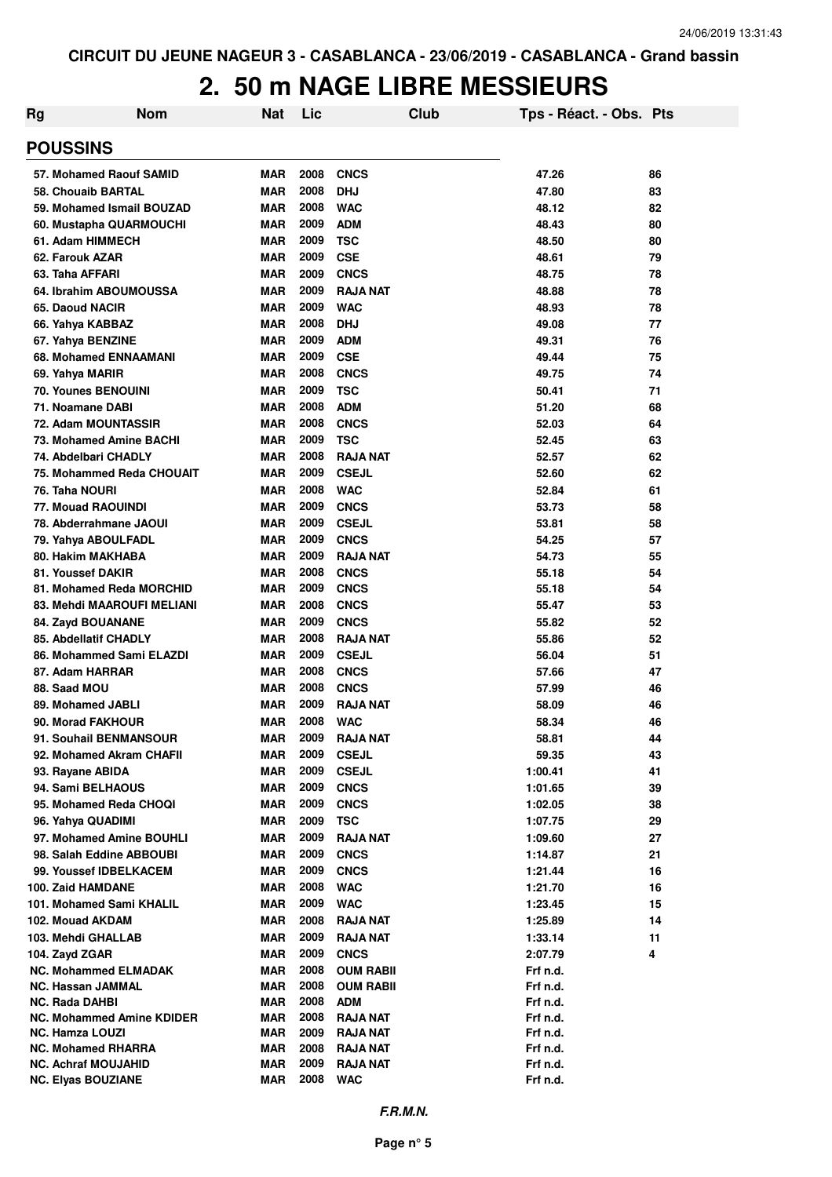| Rg | <b>Nom</b>                                    | <b>Nat</b>        | Lic          |                                    | Club | Tps - Réact. - Obs. Pts |          |
|----|-----------------------------------------------|-------------------|--------------|------------------------------------|------|-------------------------|----------|
|    | <b>POUSSINS</b>                               |                   |              |                                    |      |                         |          |
|    | 57. Mohamed Raouf SAMID                       | <b>MAR</b>        | 2008         | <b>CNCS</b>                        |      | 47.26                   | 86       |
|    | 58. Chouaib BARTAL                            | <b>MAR</b>        | 2008         | <b>DHJ</b>                         |      | 47.80                   | 83       |
|    | 59. Mohamed Ismail BOUZAD                     | <b>MAR</b>        | 2008         | <b>WAC</b>                         |      | 48.12                   | 82       |
|    | 60. Mustapha QUARMOUCHI                       | <b>MAR</b>        | 2009         | <b>ADM</b>                         |      | 48.43                   | 80       |
|    | 61. Adam HIMMECH                              | <b>MAR</b>        | 2009         | <b>TSC</b>                         |      | 48.50                   | 80       |
|    | 62. Farouk AZAR                               | <b>MAR</b>        | 2009         | <b>CSE</b>                         |      | 48.61                   | 79       |
|    | 63. Taha AFFARI                               | <b>MAR</b>        | 2009         | <b>CNCS</b>                        |      | 48.75                   | 78       |
|    | 64. Ibrahim ABOUMOUSSA                        | <b>MAR</b>        | 2009         | <b>RAJA NAT</b>                    |      | 48.88                   | 78       |
|    | 65. Daoud NACIR                               | <b>MAR</b>        | 2009         | <b>WAC</b>                         |      | 48.93                   | 78       |
|    | 66. Yahya KABBAZ                              | <b>MAR</b>        | 2008         | <b>DHJ</b>                         |      | 49.08                   | 77       |
|    | 67. Yahya BENZINE                             | <b>MAR</b>        | 2009         | <b>ADM</b>                         |      | 49.31                   | 76       |
|    | 68. Mohamed ENNAAMANI                         | <b>MAR</b>        | 2009         | <b>CSE</b>                         |      | 49.44                   | 75       |
|    | 69. Yahya MARIR                               | <b>MAR</b>        | 2008         | <b>CNCS</b>                        |      | 49.75                   | 74       |
|    | <b>70. Younes BENOUINI</b>                    | <b>MAR</b>        | 2009         | <b>TSC</b>                         |      | 50.41                   | 71       |
|    | 71. Noamane DABI                              | <b>MAR</b>        | 2008         | <b>ADM</b>                         |      | 51.20                   | 68       |
|    | 72. Adam MOUNTASSIR                           | <b>MAR</b>        | 2008         | <b>CNCS</b>                        |      | 52.03                   | 64       |
|    | 73. Mohamed Amine BACHI                       | <b>MAR</b>        | 2009         | <b>TSC</b>                         |      | 52.45                   | 63       |
|    | 74. Abdelbari CHADLY                          | <b>MAR</b>        | 2008         | <b>RAJA NAT</b>                    |      | 52.57                   | 62       |
|    | 75. Mohammed Reda CHOUAIT                     | <b>MAR</b>        | 2009         | <b>CSEJL</b>                       |      | 52.60                   | 62       |
|    | 76. Taha NOURI                                | <b>MAR</b>        | 2008         | <b>WAC</b>                         |      | 52.84                   | 61       |
|    | <b>77. Mouad RAOUINDI</b>                     | <b>MAR</b>        | 2009         | <b>CNCS</b>                        |      | 53.73                   | 58       |
|    | 78. Abderrahmane JAOUI                        | <b>MAR</b>        | 2009         | <b>CSEJL</b>                       |      | 53.81                   | 58       |
|    | 79. Yahya ABOULFADL                           | <b>MAR</b>        | 2009         | <b>CNCS</b>                        |      | 54.25                   | 57       |
|    | 80. Hakim MAKHABA                             | <b>MAR</b>        | 2009         | <b>RAJA NAT</b>                    |      | 54.73                   | 55       |
|    | 81. Youssef DAKIR                             | <b>MAR</b>        | 2008         | <b>CNCS</b>                        |      | 55.18                   | 54       |
|    | 81. Mohamed Reda MORCHID                      | <b>MAR</b>        | 2009         | <b>CNCS</b>                        |      | 55.18                   | 54       |
|    | 83. Mehdi MAAROUFI MELIANI                    | <b>MAR</b>        | 2008         | <b>CNCS</b>                        |      | 55.47                   | 53       |
|    | 84. Zayd BOUANANE                             | <b>MAR</b>        | 2009         | <b>CNCS</b>                        |      | 55.82                   | 52       |
|    | <b>85. Abdellatif CHADLY</b>                  | <b>MAR</b>        | 2008         | <b>RAJA NAT</b>                    |      | 55.86                   | 52       |
|    | 86. Mohammed Sami ELAZDI                      | <b>MAR</b>        | 2009         | <b>CSEJL</b>                       |      | 56.04                   | 51       |
|    | 87. Adam HARRAR                               | <b>MAR</b>        | 2008         | <b>CNCS</b>                        |      | 57.66                   | 47       |
|    | 88. Saad MOU                                  | <b>MAR</b>        | 2008         | <b>CNCS</b>                        |      | 57.99                   | 46       |
|    | 89. Mohamed JABLI                             | <b>MAR</b>        | 2009         | <b>RAJA NAT</b>                    |      | 58.09                   | 46       |
|    | 90. Morad FAKHOUR                             | <b>MAR</b>        | 2008         | <b>WAC</b>                         |      | 58.34                   | 46       |
|    | 91. Souhail BENMANSOUR                        | MAR               | 2009         | <b>RAJA NAT</b>                    |      | 58.81                   | 44       |
|    | 92. Mohamed Akram CHAFII                      | <b>MAR</b>        | 2009         | <b>CSEJL</b>                       |      | 59.35                   | 43       |
|    | 93. Rayane ABIDA                              | <b>MAR</b>        | 2009         | <b>CSEJL</b>                       |      | 1:00.41                 | 41       |
|    | 94. Sami BELHAOUS                             | <b>MAR</b>        | 2009         | <b>CNCS</b>                        |      | 1:01.65                 | 39       |
|    | 95. Mohamed Reda CHOQI                        | <b>MAR</b>        | 2009         | <b>CNCS</b>                        |      | 1:02.05                 | 38       |
|    | 96. Yahya QUADIMI                             | <b>MAR</b>        | 2009         | <b>TSC</b>                         |      | 1:07.75                 | 29       |
|    | 97. Mohamed Amine BOUHLI                      | <b>MAR</b>        | 2009         | <b>RAJA NAT</b>                    |      | 1:09.60                 | 27       |
|    | 98. Salah Eddine ABBOUBI                      | MAR               | 2009         | <b>CNCS</b>                        |      | 1:14.87                 | 21       |
|    | 99. Youssef IDBELKACEM<br>100. Zaid HAMDANE   | <b>MAR</b>        | 2009         | <b>CNCS</b>                        |      | 1:21.44                 | 16       |
|    |                                               | MAR               | 2008<br>2009 | <b>WAC</b>                         |      | 1:21.70                 | 16       |
|    | 101. Mohamed Sami KHALIL                      | MAR<br><b>MAR</b> | 2008         | <b>WAC</b>                         |      | 1:23.45                 | 15       |
|    | 102. Mouad AKDAM<br>103. Mehdi GHALLAB        | MAR               | 2009         | <b>RAJA NAT</b><br><b>RAJA NAT</b> |      | 1:25.89                 | 14<br>11 |
|    |                                               | MAR               | 2009         | <b>CNCS</b>                        |      | 1:33.14                 | 4        |
|    | 104. Zayd ZGAR<br><b>NC. Mohammed ELMADAK</b> | MAR               | 2008         | <b>OUM RABII</b>                   |      | 2:07.79<br>Frf n.d.     |          |
|    | <b>NC. Hassan JAMMAL</b>                      | MAR               | 2008         | <b>OUM RABII</b>                   |      | Frf n.d.                |          |
|    | <b>NC. Rada DAHBI</b>                         | <b>MAR</b>        | 2008         | <b>ADM</b>                         |      | Frf n.d.                |          |
|    | <b>NC. Mohammed Amine KDIDER</b>              | <b>MAR</b>        | 2008         | <b>RAJA NAT</b>                    |      | Frf n.d.                |          |
|    | <b>NC. Hamza LOUZI</b>                        | MAR               | 2009         | RAJA NAT                           |      | Frf n.d.                |          |
|    | <b>NC. Mohamed RHARRA</b>                     | MAR               | 2008         | <b>RAJA NAT</b>                    |      | Frf n.d.                |          |
|    | <b>NC. Achraf MOUJAHID</b>                    | <b>MAR</b>        | 2009         | <b>RAJA NAT</b>                    |      | Frf n.d.                |          |
|    | <b>NC. Elyas BOUZIANE</b>                     | <b>MAR</b>        | 2008         | <b>WAC</b>                         |      | Frf n.d.                |          |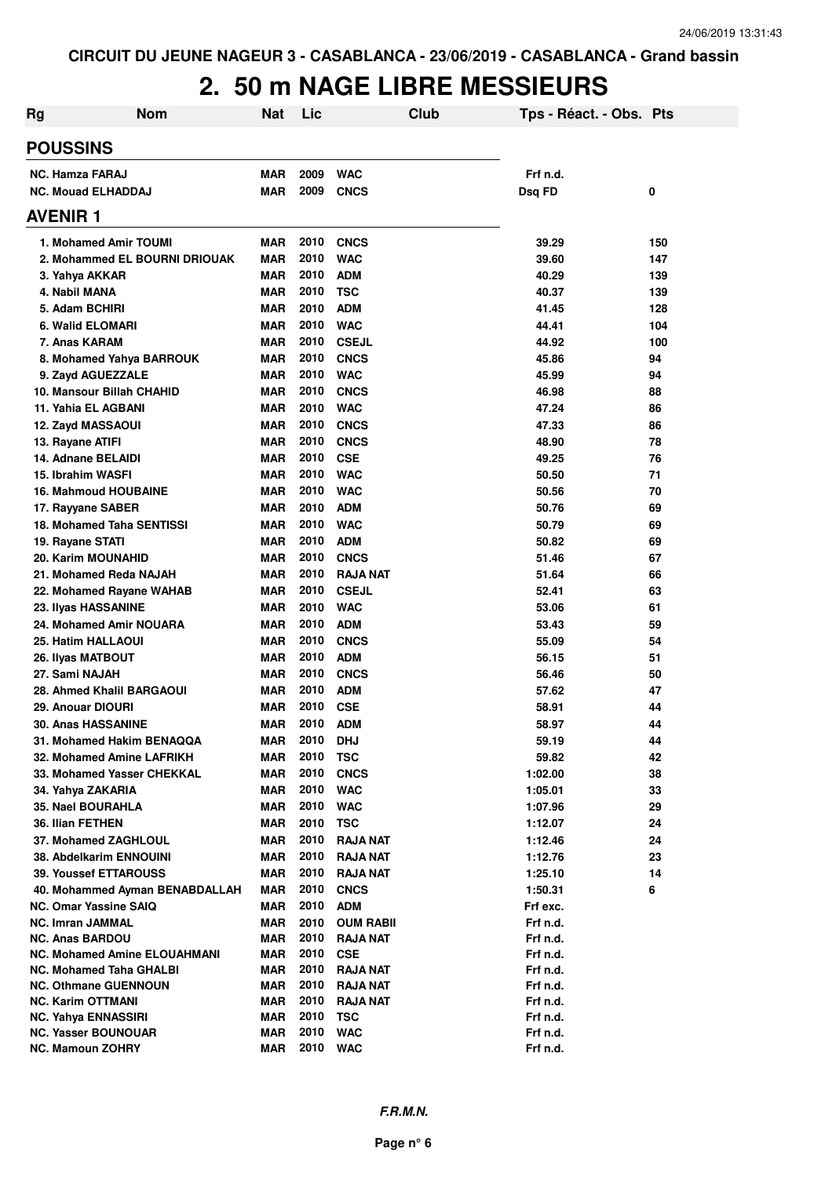| Rg                                               | <b>Nom</b>                          | <b>Nat</b> | Lic          |                                    | <b>Club</b> |                    | Tps - Réact. - Obs. Pts |     |
|--------------------------------------------------|-------------------------------------|------------|--------------|------------------------------------|-------------|--------------------|-------------------------|-----|
| <b>POUSSINS</b>                                  |                                     |            |              |                                    |             |                    |                         |     |
| <b>NC. Hamza FARAJ</b>                           |                                     | <b>MAR</b> | 2009         | <b>WAC</b>                         |             | Frf n.d.           |                         |     |
| <b>NC. Mouad ELHADDAJ</b>                        |                                     | <b>MAR</b> | 2009         | <b>CNCS</b>                        |             | Dsq FD             |                         | 0   |
| <b>AVENIR 1</b>                                  |                                     |            |              |                                    |             |                    |                         |     |
| 1. Mohamed Amir TOUMI                            |                                     | <b>MAR</b> | 2010         | <b>CNCS</b>                        |             | 39.29              |                         | 150 |
|                                                  | 2. Mohammed EL BOURNI DRIOUAK       | <b>MAR</b> | 2010         | <b>WAC</b>                         |             | 39.60              |                         | 147 |
| 3. Yahya AKKAR                                   |                                     | <b>MAR</b> | 2010         | <b>ADM</b>                         |             | 40.29              |                         | 139 |
| 4. Nabil MANA                                    |                                     | <b>MAR</b> | 2010         | <b>TSC</b>                         |             | 40.37              |                         | 139 |
| 5. Adam BCHIRI                                   |                                     | <b>MAR</b> | 2010         | <b>ADM</b>                         |             | 41.45              |                         | 128 |
| 6. Walid ELOMARI                                 |                                     | <b>MAR</b> | 2010         | <b>WAC</b>                         |             | 44.41              |                         | 104 |
| 7. Anas KARAM                                    |                                     | <b>MAR</b> | 2010         | <b>CSEJL</b>                       |             | 44.92              |                         | 100 |
| 8. Mohamed Yahya BARROUK                         |                                     | <b>MAR</b> | 2010         | <b>CNCS</b>                        |             | 45.86              |                         | 94  |
| 9. Zayd AGUEZZALE                                |                                     | <b>MAR</b> | 2010         | <b>WAC</b>                         |             | 45.99              |                         | 94  |
| 10. Mansour Billah CHAHID                        |                                     | <b>MAR</b> | 2010         | <b>CNCS</b>                        |             | 46.98              |                         | 88  |
| 11. Yahia EL AGBANI                              |                                     | <b>MAR</b> | 2010         | <b>WAC</b>                         |             | 47.24              |                         | 86  |
| 12. Zayd MASSAOUI                                |                                     | <b>MAR</b> | 2010         | <b>CNCS</b>                        |             | 47.33              |                         | 86  |
| 13. Rayane ATIFI                                 |                                     | <b>MAR</b> | 2010         | <b>CNCS</b>                        |             | 48.90              |                         | 78  |
| 14. Adnane BELAIDI                               |                                     | <b>MAR</b> | 2010         | <b>CSE</b>                         |             | 49.25              |                         | 76  |
| 15. Ibrahim WASFI                                |                                     | <b>MAR</b> | 2010         | <b>WAC</b>                         |             | 50.50              |                         | 71  |
| <b>16. Mahmoud HOUBAINE</b>                      |                                     | <b>MAR</b> | 2010         | <b>WAC</b>                         |             | 50.56              |                         | 70  |
| 17. Rayyane SABER                                |                                     | <b>MAR</b> | 2010         | <b>ADM</b>                         |             | 50.76              |                         | 69  |
| <b>18. Mohamed Taha SENTISSI</b>                 |                                     | <b>MAR</b> | 2010         | <b>WAC</b>                         |             | 50.79              |                         | 69  |
| 19. Rayane STATI                                 |                                     | <b>MAR</b> | 2010         | <b>ADM</b>                         |             | 50.82              |                         | 69  |
| <b>20. Karim MOUNAHID</b>                        |                                     | <b>MAR</b> | 2010         | <b>CNCS</b>                        |             | 51.46              |                         | 67  |
| 21. Mohamed Reda NAJAH                           |                                     | <b>MAR</b> | 2010         | <b>RAJA NAT</b>                    |             | 51.64              |                         | 66  |
| 22. Mohamed Rayane WAHAB                         |                                     | <b>MAR</b> | 2010         | <b>CSEJL</b>                       |             | 52.41              |                         | 63  |
| 23. Ilyas HASSANINE                              |                                     | <b>MAR</b> | 2010         | <b>WAC</b>                         |             | 53.06              |                         | 61  |
| 24. Mohamed Amir NOUARA                          |                                     | <b>MAR</b> | 2010         | <b>ADM</b>                         |             | 53.43              |                         | 59  |
| 25. Hatim HALLAOUI                               |                                     | <b>MAR</b> | 2010         | <b>CNCS</b>                        |             | 55.09              |                         | 54  |
| 26. Ilyas MATBOUT                                |                                     | <b>MAR</b> | 2010         | <b>ADM</b>                         |             | 56.15              |                         | 51  |
| 27. Sami NAJAH                                   |                                     | <b>MAR</b> | 2010         | <b>CNCS</b>                        |             | 56.46              |                         | 50  |
| 28. Ahmed Khalil BARGAOUI                        |                                     | <b>MAR</b> | 2010         | <b>ADM</b>                         |             | 57.62              |                         | 47  |
| 29. Anouar DIOURI                                |                                     | <b>MAR</b> | 2010         | <b>CSE</b>                         |             | 58.91              |                         | 44  |
| <b>30. Anas HASSANINE</b>                        |                                     | <b>MAR</b> | 2010         | <b>ADM</b>                         |             | 58.97              |                         | 44  |
| 31. Mohamed Hakim BENAQQA                        |                                     | MAR        | 2010         | <b>DHJ</b>                         |             | 59.19              |                         | 44  |
| 32. Mohamed Amine LAFRIKH                        |                                     | MAR        | 2010         | <b>TSC</b>                         |             | 59.82              |                         | 42  |
| 33. Mohamed Yasser CHEKKAL                       |                                     | <b>MAR</b> | 2010         | <b>CNCS</b>                        |             | 1:02.00            |                         | 38  |
| 34. Yahya ZAKARIA                                |                                     | MAR        | 2010         | <b>WAC</b>                         |             | 1:05.01            |                         | 33  |
| 35. Nael BOURAHLA                                |                                     | MAR        | 2010         | <b>WAC</b>                         |             | 1:07.96            |                         | 29  |
| 36. Ilian FETHEN                                 |                                     | MAR        | 2010         | <b>TSC</b>                         |             | 1:12.07            |                         | 24  |
| 37. Mohamed ZAGHLOUL                             |                                     | MAR        | 2010<br>2010 | <b>RAJA NAT</b>                    |             | 1:12.46            |                         | 24  |
| 38. Abdelkarim ENNOUINI<br>39. Youssef ETTAROUSS |                                     | MAR        | 2010         | <b>RAJA NAT</b><br><b>RAJA NAT</b> |             | 1:12.76            |                         | 23  |
|                                                  | 40. Mohammed Ayman BENABDALLAH      | MAR<br>MAR | 2010         | <b>CNCS</b>                        |             | 1:25.10<br>1:50.31 |                         | 14  |
| <b>NC. Omar Yassine SAIQ</b>                     |                                     | <b>MAR</b> | 2010         | <b>ADM</b>                         |             | Frf exc.           |                         | 6   |
| <b>NC. Imran JAMMAL</b>                          |                                     | <b>MAR</b> | 2010         | <b>OUM RABII</b>                   |             | Frf n.d.           |                         |     |
| <b>NC. Anas BARDOU</b>                           |                                     | MAR        | 2010         | <b>RAJA NAT</b>                    |             | Frf n.d.           |                         |     |
|                                                  | <b>NC. Mohamed Amine ELOUAHMANI</b> | MAR        | 2010         | <b>CSE</b>                         |             | Frf n.d.           |                         |     |
| <b>NC. Mohamed Taha GHALBI</b>                   |                                     | <b>MAR</b> | 2010         | <b>RAJA NAT</b>                    |             | Frf n.d.           |                         |     |
| <b>NC. Othmane GUENNOUN</b>                      |                                     | <b>MAR</b> | 2010         | <b>RAJA NAT</b>                    |             | Frf n.d.           |                         |     |
| <b>NC. Karim OTTMANI</b>                         |                                     | MAR        | 2010         | <b>RAJA NAT</b>                    |             | Frf n.d.           |                         |     |
| <b>NC. Yahya ENNASSIRI</b>                       |                                     | <b>MAR</b> | 2010         | <b>TSC</b>                         |             | Frf n.d.           |                         |     |
| <b>NC. Yasser BOUNOUAR</b>                       |                                     | <b>MAR</b> | 2010         | <b>WAC</b>                         |             | Frf n.d.           |                         |     |
| NC. Mamoun ZOHRY                                 |                                     | <b>MAR</b> | 2010         | <b>WAC</b>                         |             | Frf n.d.           |                         |     |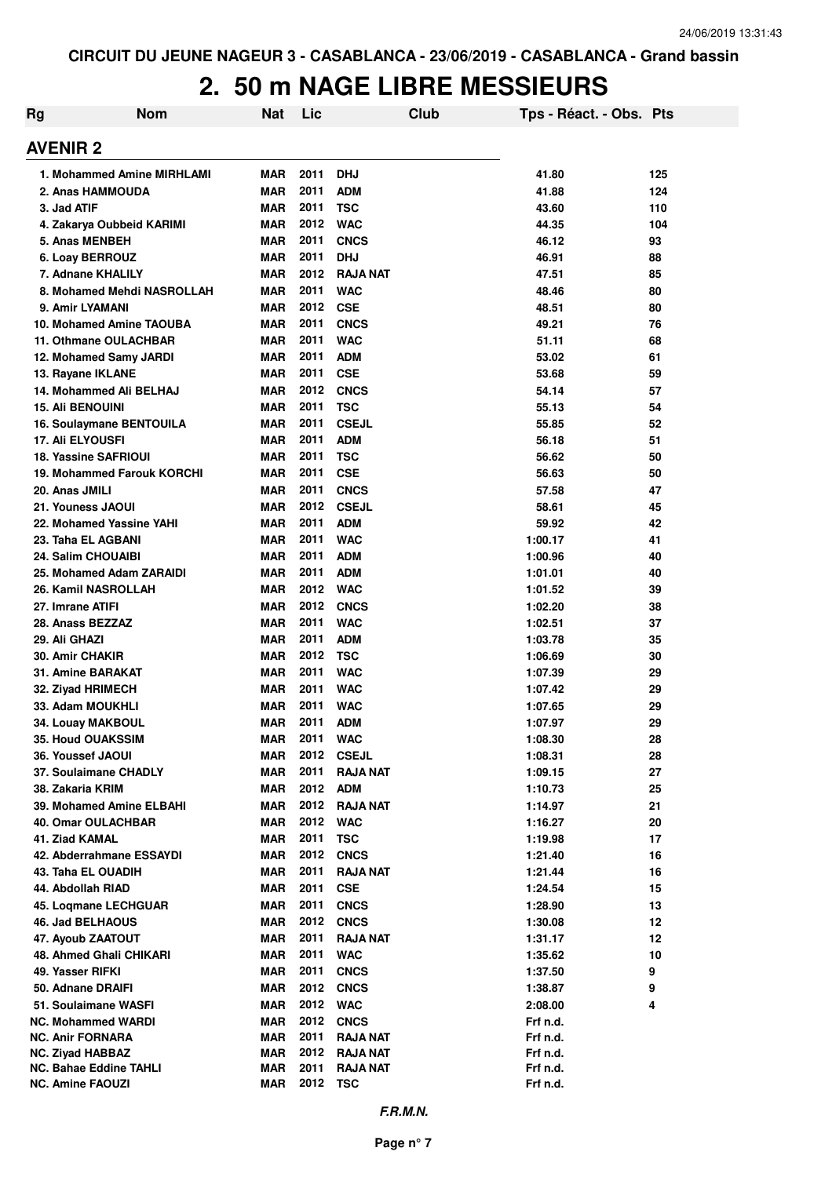| Rg | <b>Nom</b>                                     | <b>Nat</b>               | Lic          | Club                     | Tps - Réact. - Obs. Pts |          |
|----|------------------------------------------------|--------------------------|--------------|--------------------------|-------------------------|----------|
|    | <b>AVENIR 2</b>                                |                          |              |                          |                         |          |
|    | 1. Mohammed Amine MIRHLAMI                     | <b>MAR</b>               | 2011         | <b>DHJ</b>               | 41.80                   | 125      |
|    | 2. Anas HAMMOUDA                               | <b>MAR</b>               | 2011         | <b>ADM</b>               | 41.88                   | 124      |
|    | 3. Jad ATIF                                    | <b>MAR</b>               | 2011         | <b>TSC</b>               | 43.60                   | 110      |
|    | 4. Zakarya Oubbeid KARIMI                      | <b>MAR</b>               | 2012         | <b>WAC</b>               | 44.35                   | 104      |
|    | 5. Anas MENBEH                                 | <b>MAR</b>               | 2011         | <b>CNCS</b>              | 46.12                   | 93       |
|    | 6. Loay BERROUZ                                | <b>MAR</b>               | 2011         | <b>DHJ</b>               | 46.91                   | 88       |
|    | 7. Adnane KHALILY                              | <b>MAR</b>               | 2012         | <b>RAJA NAT</b>          | 47.51                   | 85       |
|    | 8. Mohamed Mehdi NASROLLAH                     | <b>MAR</b>               | 2011         | <b>WAC</b>               | 48.46                   | 80       |
|    | 9. Amir LYAMANI                                | <b>MAR</b>               | 2012         | <b>CSE</b>               | 48.51                   | 80       |
|    | 10. Mohamed Amine TAOUBA                       | <b>MAR</b>               | 2011         | <b>CNCS</b>              | 49.21                   | 76       |
|    | 11. Othmane OULACHBAR                          | <b>MAR</b>               | 2011         | <b>WAC</b>               | 51.11                   | 68       |
|    | 12. Mohamed Samy JARDI                         | <b>MAR</b>               | 2011         | <b>ADM</b>               | 53.02                   | 61       |
|    | 13. Rayane IKLANE                              | <b>MAR</b>               | 2011         | <b>CSE</b>               | 53.68                   | 59       |
|    | 14. Mohammed Ali BELHAJ                        | <b>MAR</b>               | 2012         | <b>CNCS</b>              | 54.14                   | 57       |
|    | <b>15. Ali BENOUINI</b>                        | <b>MAR</b>               | 2011         | <b>TSC</b>               | 55.13                   | 54       |
|    | 16. Soulaymane BENTOUILA                       | <b>MAR</b>               | 2011         | <b>CSEJL</b>             | 55.85                   | 52       |
|    | <b>17. Ali ELYOUSFI</b>                        | <b>MAR</b>               | 2011         | <b>ADM</b>               | 56.18                   | 51       |
|    | <b>18. Yassine SAFRIOUI</b>                    | <b>MAR</b>               | 2011         | <b>TSC</b>               | 56.62                   | 50       |
|    | 19. Mohammed Farouk KORCHI                     | <b>MAR</b>               | 2011         | <b>CSE</b>               | 56.63                   | 50       |
|    | 20. Anas JMILI                                 | <b>MAR</b>               | 2011<br>2012 | <b>CNCS</b>              | 57.58                   | 47       |
|    | 21. Youness JAOUI                              | <b>MAR</b>               | 2011         | <b>CSEJL</b>             | 58.61                   | 45       |
|    | 22. Mohamed Yassine YAHI<br>23. Taha EL AGBANI | <b>MAR</b><br><b>MAR</b> | 2011         | <b>ADM</b><br><b>WAC</b> | 59.92<br>1:00.17        | 42<br>41 |
|    | 24. Salim CHOUAIBI                             | <b>MAR</b>               | 2011         | <b>ADM</b>               | 1:00.96                 | 40       |
|    | 25. Mohamed Adam ZARAIDI                       | <b>MAR</b>               | 2011         | <b>ADM</b>               | 1:01.01                 | 40       |
|    | 26. Kamil NASROLLAH                            | <b>MAR</b>               | 2012         | <b>WAC</b>               | 1:01.52                 | 39       |
|    | 27. Imrane ATIFI                               | <b>MAR</b>               | 2012         | <b>CNCS</b>              | 1:02.20                 | 38       |
|    | 28. Anass BEZZAZ                               | <b>MAR</b>               | 2011         | <b>WAC</b>               | 1:02.51                 | 37       |
|    | 29. Ali GHAZI                                  | <b>MAR</b>               | 2011         | <b>ADM</b>               | 1:03.78                 | 35       |
|    | 30. Amir CHAKIR                                | <b>MAR</b>               | 2012         | <b>TSC</b>               | 1:06.69                 | 30       |
|    | 31. Amine BARAKAT                              | <b>MAR</b>               | 2011         | <b>WAC</b>               | 1:07.39                 | 29       |
|    | 32. Ziyad HRIMECH                              | <b>MAR</b>               | 2011         | <b>WAC</b>               | 1:07.42                 | 29       |
|    | 33. Adam MOUKHLI                               | <b>MAR</b>               | 2011         | <b>WAC</b>               | 1:07.65                 | 29       |
|    | 34. Louav MAKBOUL                              | <b>MAR</b>               | 2011         | <b>ADM</b>               | 1:07.97                 | 29       |
|    | <b>35. Houd OUAKSSIM</b>                       | MAR                      | 2011         | <b>WAC</b>               | 1:08.30                 | 28       |
|    | 36. Youssef JAOUI                              | <b>MAR</b>               | 2012         | <b>CSEJL</b>             | 1:08.31                 | 28       |
|    | 37. Soulaimane CHADLY                          | <b>MAR</b>               | 2011         | <b>RAJA NAT</b>          | 1:09.15                 | 27       |
|    | 38. Zakaria KRIM                               | <b>MAR</b>               | 2012         | <b>ADM</b>               | 1:10.73                 | 25       |
|    | 39. Mohamed Amine ELBAHI                       | <b>MAR</b>               | 2012         | <b>RAJA NAT</b>          | 1:14.97                 | 21       |
|    | 40. Omar OULACHBAR                             | <b>MAR</b>               | 2012         | <b>WAC</b>               | 1:16.27                 | 20       |
|    | 41. Ziad KAMAL                                 | <b>MAR</b>               | 2011         | <b>TSC</b>               | 1:19.98                 | 17       |
|    | 42. Abderrahmane ESSAYDI                       | <b>MAR</b>               | 2012         | <b>CNCS</b>              | 1:21.40                 | 16       |
|    | 43. Taha EL OUADIH                             | <b>MAR</b>               | 2011         | <b>RAJA NAT</b>          | 1:21.44                 | 16       |
|    | 44. Abdollah RIAD                              | <b>MAR</b>               | 2011         | <b>CSE</b>               | 1:24.54                 | 15       |
|    | 45. Logmane LECHGUAR                           | <b>MAR</b>               | 2011         | <b>CNCS</b>              | 1:28.90                 | 13       |
|    | 46. Jad BELHAOUS                               | <b>MAR</b>               | 2012         | <b>CNCS</b>              | 1:30.08                 | 12       |
|    | 47. Ayoub ZAATOUT                              | <b>MAR</b>               | 2011         | <b>RAJA NAT</b>          | 1:31.17                 | 12       |
|    | 48. Ahmed Ghali CHIKARI                        | <b>MAR</b>               | 2011         | <b>WAC</b>               | 1:35.62                 | 10       |
|    | 49. Yasser RIFKI                               | <b>MAR</b>               | 2011         | <b>CNCS</b>              | 1:37.50                 | 9        |
|    | 50. Adnane DRAIFI                              | <b>MAR</b>               | 2012         | <b>CNCS</b>              | 1:38.87                 | 9        |
|    | 51. Soulaimane WASFI                           | <b>MAR</b>               | 2012         | <b>WAC</b>               | 2:08.00                 | 4        |
|    | <b>NC. Mohammed WARDI</b>                      | MAR                      | 2012         | <b>CNCS</b>              | Frf n.d.                |          |
|    | <b>NC. Anir FORNARA</b>                        | MAR                      | 2011         | <b>RAJA NAT</b>          | Frf n.d.                |          |
|    | <b>NC. Ziyad HABBAZ</b>                        | <b>MAR</b>               | 2012         | <b>RAJA NAT</b>          | Frf n.d.                |          |
|    | <b>NC. Bahae Eddine TAHLI</b>                  | <b>MAR</b>               | 2011         | RAJA NAT                 | Frf n.d.                |          |
|    | <b>NC. Amine FAOUZI</b>                        | <b>MAR</b>               | 2012 TSC     |                          | Frf n.d.                |          |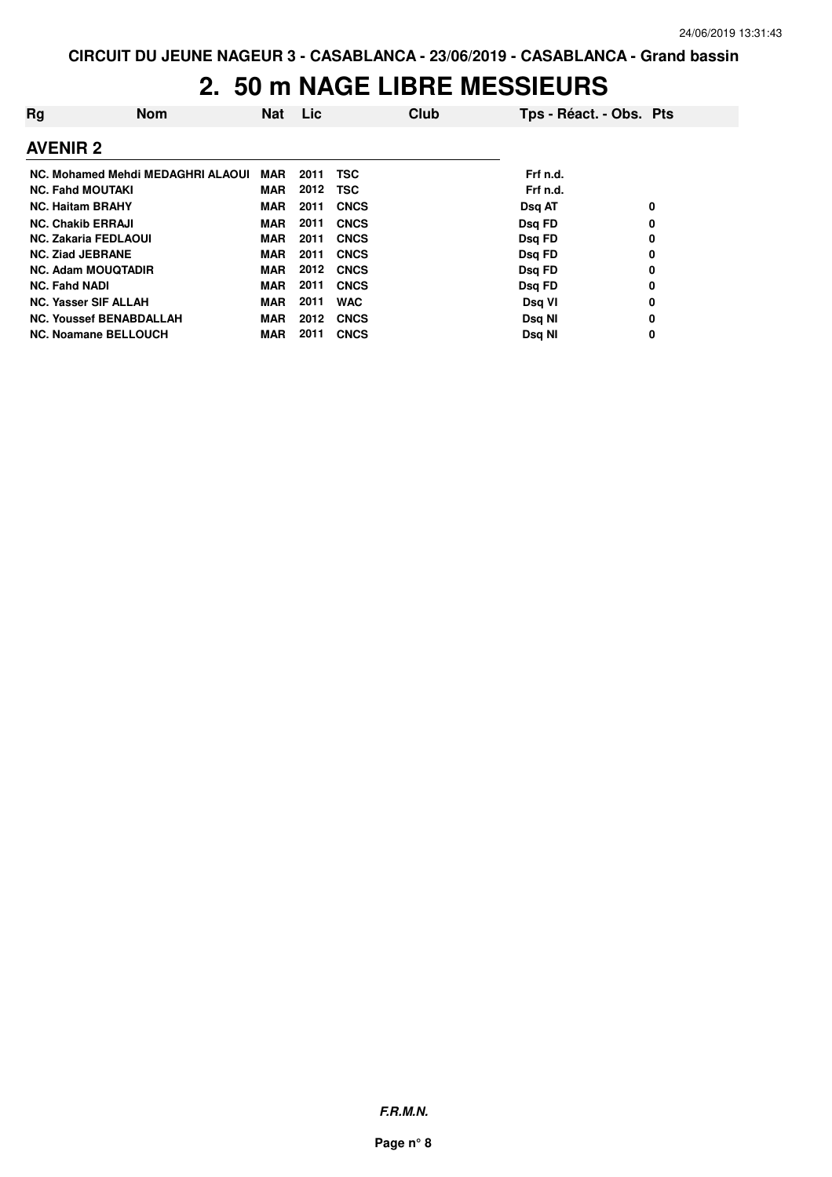| Rg                          | <b>Nom</b>                        | <b>Nat</b> | Lic  |             | Club | Tps - Réact. - Obs. Pts |   |
|-----------------------------|-----------------------------------|------------|------|-------------|------|-------------------------|---|
| <b>AVENIR 2</b>             |                                   |            |      |             |      |                         |   |
|                             | NC. Mohamed Mehdi MEDAGHRI ALAOUI | MAR        | 2011 | TSC         |      | Frf n.d.                |   |
| <b>NC. Fahd MOUTAKI</b>     |                                   | MAR        | 2012 | TSC         |      | Frf n.d.                |   |
| <b>NC. Haitam BRAHY</b>     |                                   | <b>MAR</b> | 2011 | <b>CNCS</b> |      | <b>Dsg AT</b>           | 0 |
| <b>NC. Chakib ERRAJI</b>    |                                   | <b>MAR</b> | 2011 | <b>CNCS</b> |      | Dsg FD                  | 0 |
| <b>NC. Zakaria FEDLAOUI</b> |                                   | <b>MAR</b> | 2011 | <b>CNCS</b> |      | Dsg FD                  | 0 |
| <b>NC. Ziad JEBRANE</b>     |                                   | <b>MAR</b> | 2011 | <b>CNCS</b> |      | Dsg FD                  | 0 |
|                             | <b>NC. Adam MOUQTADIR</b>         | <b>MAR</b> | 2012 | <b>CNCS</b> |      | Dsg FD                  | 0 |
| <b>NC. Fahd NADI</b>        |                                   | <b>MAR</b> | 2011 | <b>CNCS</b> |      | Dsq FD                  | 0 |
| <b>NC. Yasser SIF ALLAH</b> |                                   | <b>MAR</b> | 2011 | <b>WAC</b>  |      | Dsg VI                  | 0 |
|                             | <b>NC. Youssef BENABDALLAH</b>    | <b>MAR</b> | 2012 | <b>CNCS</b> |      | Dsg NI                  | 0 |
|                             | <b>NC. Noamane BELLOUCH</b>       | <b>MAR</b> | 2011 | <b>CNCS</b> |      | Dsg NI                  | 0 |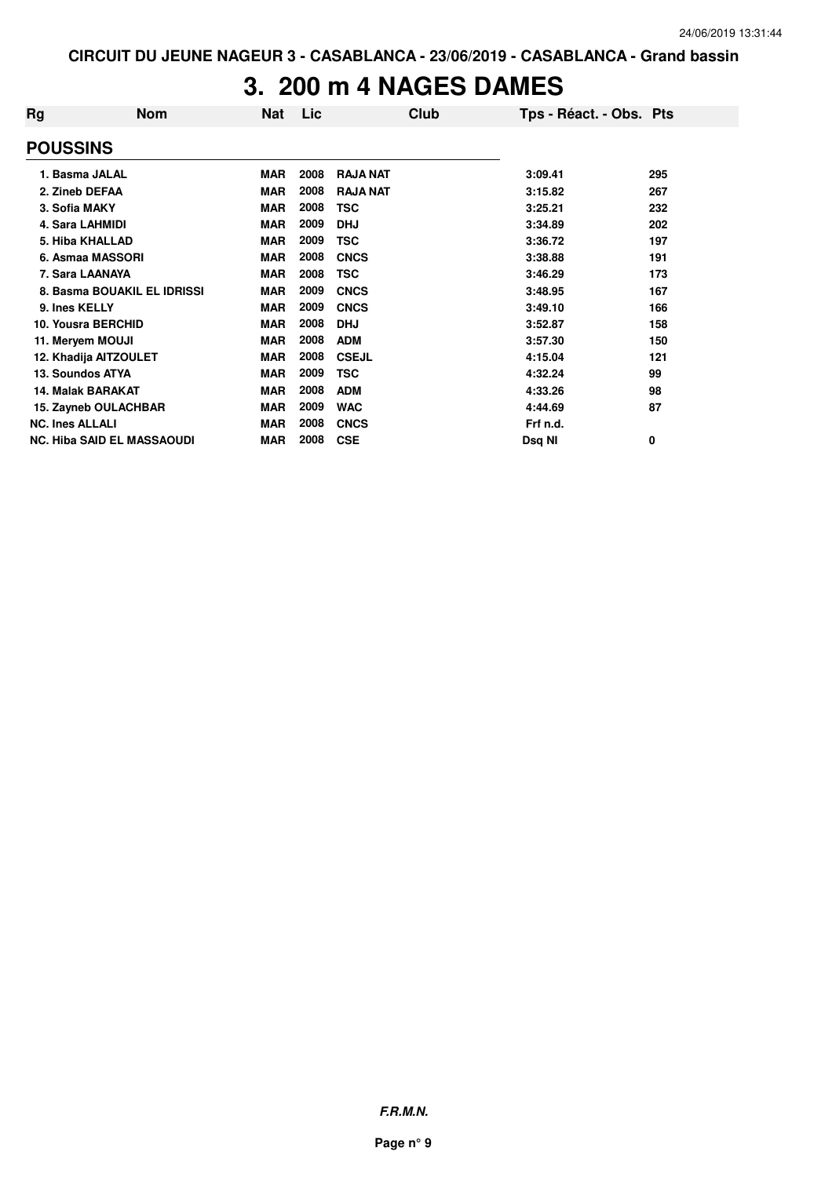#### **3. 200 m 4 NAGES DAMES**

| Rg                     | <b>Nom</b>                        | Nat        | Lic  | Club            | Tps - Réact. - Obs. Pts |     |
|------------------------|-----------------------------------|------------|------|-----------------|-------------------------|-----|
| <b>POUSSINS</b>        |                                   |            |      |                 |                         |     |
| 1. Basma JALAL         |                                   | <b>MAR</b> | 2008 | <b>RAJA NAT</b> | 3:09.41                 | 295 |
| 2. Zineb DEFAA         |                                   | <b>MAR</b> | 2008 | <b>RAJA NAT</b> | 3:15.82                 | 267 |
| 3. Sofia MAKY          |                                   | <b>MAR</b> | 2008 | TSC             | 3:25.21                 | 232 |
| 4. Sara LAHMIDI        |                                   | <b>MAR</b> | 2009 | <b>DHJ</b>      | 3:34.89                 | 202 |
|                        | 5. Hiba KHALLAD                   | <b>MAR</b> | 2009 | TSC             | 3:36.72                 | 197 |
|                        | 6. Asmaa MASSORI                  | <b>MAR</b> | 2008 | <b>CNCS</b>     | 3:38.88                 | 191 |
|                        | 7. Sara LAANAYA                   | <b>MAR</b> | 2008 | TSC             | 3:46.29                 | 173 |
|                        | 8. Basma BOUAKIL EL IDRISSI       | <b>MAR</b> | 2009 | <b>CNCS</b>     | 3:48.95                 | 167 |
| 9. Ines KELLY          |                                   | <b>MAR</b> | 2009 | <b>CNCS</b>     | 3:49.10                 | 166 |
|                        | 10. Yousra BERCHID                | <b>MAR</b> | 2008 | <b>DHJ</b>      | 3:52.87                 | 158 |
| 11. Meryem MOUJI       |                                   | <b>MAR</b> | 2008 | <b>ADM</b>      | 3:57.30                 | 150 |
|                        | 12. Khadija AITZOULET             | <b>MAR</b> | 2008 | <b>CSEJL</b>    | 4:15.04                 | 121 |
| 13. Soundos ATYA       |                                   | <b>MAR</b> | 2009 | TSC             | 4:32.24                 | 99  |
|                        | <b>14. Malak BARAKAT</b>          | <b>MAR</b> | 2008 | <b>ADM</b>      | 4:33.26                 | 98  |
|                        | 15. Zayneb OULACHBAR              | MAR        | 2009 | <b>WAC</b>      | 4:44.69                 | 87  |
| <b>NC. Ines ALLALI</b> |                                   | <b>MAR</b> | 2008 | <b>CNCS</b>     | Frf n.d.                |     |
|                        | <b>NC. Hiba SAID EL MASSAOUDI</b> | MAR        | 2008 | <b>CSE</b>      | Dsg NI                  | 0   |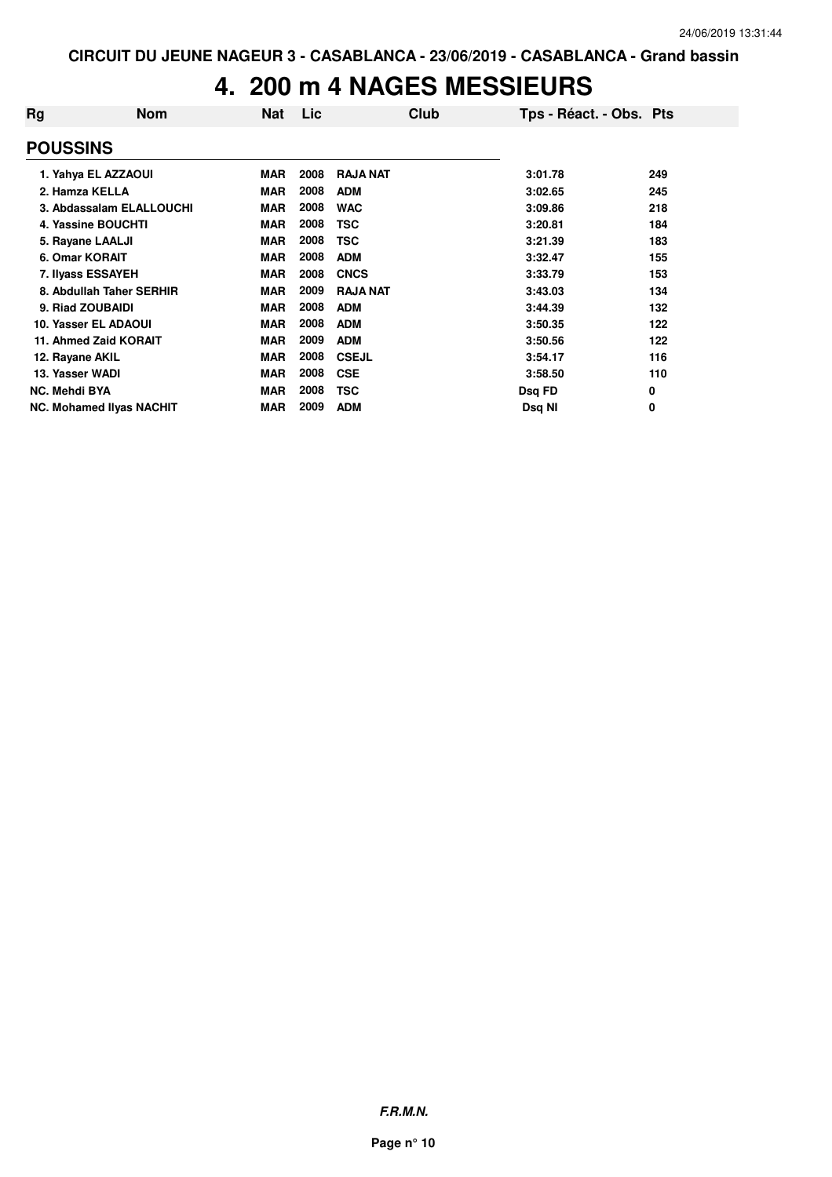### **4. 200 m 4 NAGES MESSIEURS**

| Rg                   | <b>Nom</b>                      | <b>Nat</b> | Lic  | Club            | Tps - Réact. - Obs. Pts |     |
|----------------------|---------------------------------|------------|------|-----------------|-------------------------|-----|
| <b>POUSSINS</b>      |                                 |            |      |                 |                         |     |
|                      | 1. Yahya EL AZZAOUI             | <b>MAR</b> | 2008 | <b>RAJA NAT</b> | 3:01.78                 | 249 |
| 2. Hamza KELLA       |                                 | <b>MAR</b> | 2008 | <b>ADM</b>      | 3:02.65                 | 245 |
|                      | 3. Abdassalam ELALLOUCHI        | <b>MAR</b> | 2008 | <b>WAC</b>      | 3:09.86                 | 218 |
|                      | 4. Yassine BOUCHTI              | <b>MAR</b> | 2008 | TSC             | 3:20.81                 | 184 |
|                      | 5. Rayane LAALJI                | <b>MAR</b> | 2008 | TSC             | 3:21.39                 | 183 |
| 6. Omar KORAIT       |                                 | <b>MAR</b> | 2008 | <b>ADM</b>      | 3:32.47                 | 155 |
|                      | 7. Ilyass ESSAYEH               | <b>MAR</b> | 2008 | <b>CNCS</b>     | 3:33.79                 | 153 |
|                      | 8. Abdullah Taher SERHIR        | <b>MAR</b> | 2009 | <b>RAJA NAT</b> | 3:43.03                 | 134 |
|                      | 9. Riad ZOUBAIDI                | <b>MAR</b> | 2008 | <b>ADM</b>      | 3:44.39                 | 132 |
|                      | 10. Yasser EL ADAOUI            | <b>MAR</b> | 2008 | <b>ADM</b>      | 3:50.35                 | 122 |
|                      | 11. Ahmed Zaid KORAIT           | <b>MAR</b> | 2009 | <b>ADM</b>      | 3:50.56                 | 122 |
| 12. Rayane AKIL      |                                 | <b>MAR</b> | 2008 | <b>CSEJL</b>    | 3:54.17                 | 116 |
| 13. Yasser WADI      |                                 | <b>MAR</b> | 2008 | <b>CSE</b>      | 3:58.50                 | 110 |
| <b>NC. Mehdi BYA</b> |                                 | <b>MAR</b> | 2008 | TSC             | Dsq FD                  | 0   |
|                      | <b>NC. Mohamed Ilyas NACHIT</b> | <b>MAR</b> | 2009 | <b>ADM</b>      | Dsq NI                  | 0   |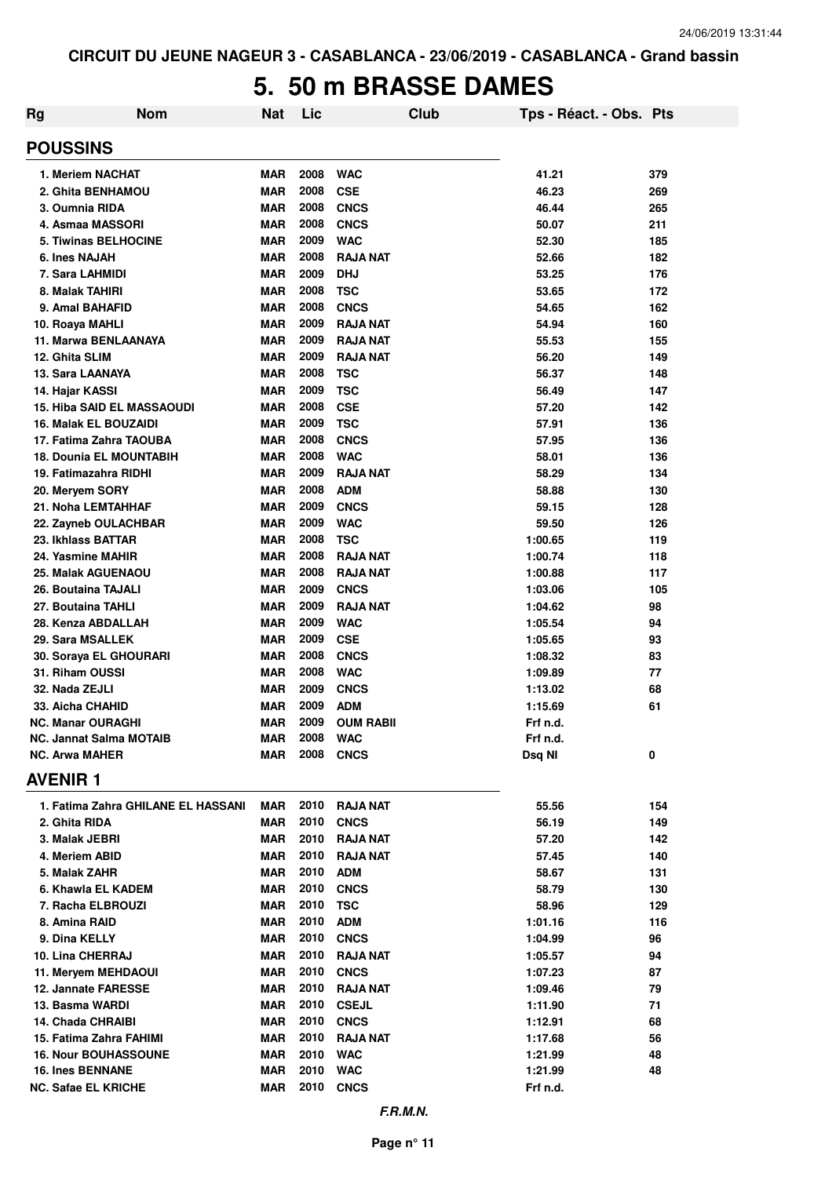### **5. 50 m BRASSE DAMES**

| <b>Rg</b>                  | <b>Nom</b>                         | Nat                      | Lic          | Club                           | Tps - Réact. - Obs. Pts |            |
|----------------------------|------------------------------------|--------------------------|--------------|--------------------------------|-------------------------|------------|
| <b>POUSSINS</b>            |                                    |                          |              |                                |                         |            |
|                            | 1. Meriem NACHAT                   | <b>MAR</b>               | 2008         | <b>WAC</b>                     | 41.21                   | 379        |
|                            | 2. Ghita BENHAMOU                  | <b>MAR</b>               | 2008         | <b>CSE</b>                     | 46.23                   | 269        |
| 3. Oumnia RIDA             |                                    | <b>MAR</b>               | 2008         | <b>CNCS</b>                    | 46.44                   | 265        |
|                            | 4. Asmaa MASSORI                   | <b>MAR</b>               | 2008         | <b>CNCS</b>                    | 50.07                   | 211        |
|                            | <b>5. Tiwinas BELHOCINE</b>        | <b>MAR</b>               | 2009         | <b>WAC</b>                     | 52.30                   | 185        |
| 6. Ines NAJAH              |                                    | <b>MAR</b>               | 2008         | <b>RAJA NAT</b>                | 52.66                   | 182        |
| 7. Sara LAHMIDI            |                                    | <b>MAR</b>               | 2009         | <b>DHJ</b>                     | 53.25                   | 176        |
| 8. Malak TAHIRI            |                                    | <b>MAR</b>               | 2008         | <b>TSC</b>                     | 53.65                   | 172        |
| 9. Amal BAHAFID            |                                    | <b>MAR</b>               | 2008         | <b>CNCS</b>                    | 54.65                   | 162        |
| 10. Roaya MAHLI            |                                    | <b>MAR</b>               | 2009         | <b>RAJA NAT</b>                | 54.94                   | 160        |
|                            | 11. Marwa BENLAANAYA               | <b>MAR</b>               | 2009         | <b>RAJA NAT</b>                | 55.53                   | 155        |
| 12. Ghita SLIM             |                                    | <b>MAR</b>               | 2009         | <b>RAJA NAT</b>                | 56.20                   | 149        |
| 13. Sara LAANAYA           |                                    | <b>MAR</b>               | 2008         | <b>TSC</b>                     | 56.37                   | 148        |
| 14. Hajar KASSI            |                                    | <b>MAR</b>               | 2009         | <b>TSC</b>                     | 56.49                   | 147        |
|                            | <b>15. Hiba SAID EL MASSAOUDI</b>  | <b>MAR</b>               | 2008         | <b>CSE</b>                     | 57.20                   | 142        |
|                            | <b>16. Malak EL BOUZAIDI</b>       | <b>MAR</b>               | 2009         | <b>TSC</b>                     | 57.91                   | 136        |
|                            | 17. Fatima Zahra TAOUBA            | <b>MAR</b>               | 2008         | <b>CNCS</b>                    | 57.95                   | 136        |
|                            | 18. Dounia EL MOUNTABIH            | <b>MAR</b>               | 2008         | <b>WAC</b>                     | 58.01                   | 136        |
|                            | 19. Fatimazahra RIDHI              | <b>MAR</b>               | 2009         | <b>RAJA NAT</b>                | 58.29                   | 134        |
| 20. Meryem SORY            |                                    | <b>MAR</b>               | 2008         | <b>ADM</b>                     | 58.88                   | 130        |
|                            | 21. Noha LEMTAHHAF                 | <b>MAR</b>               | 2009         | <b>CNCS</b>                    | 59.15                   | 128        |
|                            | 22. Zayneb OULACHBAR               | <b>MAR</b>               | 2009<br>2008 | <b>WAC</b>                     | 59.50                   | 126        |
| 23. Ikhlass BATTAR         |                                    | <b>MAR</b>               | 2008         | <b>TSC</b>                     | 1:00.65                 | 119        |
| 24. Yasmine MAHIR          |                                    | <b>MAR</b>               | 2008         | <b>RAJA NAT</b>                | 1:00.74                 | 118        |
|                            | 25. Malak AGUENAOU                 | <b>MAR</b><br><b>MAR</b> | 2009         | <b>RAJA NAT</b><br><b>CNCS</b> | 1:00.88<br>1:03.06      | 117<br>105 |
| 26. Boutaina TAJALI        |                                    | <b>MAR</b>               | 2009         | <b>RAJA NAT</b>                |                         | 98         |
| 27. Boutaina TAHLI         | 28. Kenza ABDALLAH                 | <b>MAR</b>               | 2009         | <b>WAC</b>                     | 1:04.62<br>1:05.54      | 94         |
| 29. Sara MSALLEK           |                                    | <b>MAR</b>               | 2009         | <b>CSE</b>                     | 1:05.65                 | 93         |
|                            | 30. Soraya EL GHOURARI             | <b>MAR</b>               | 2008         | <b>CNCS</b>                    | 1:08.32                 | 83         |
| 31. Riham OUSSI            |                                    | <b>MAR</b>               | 2008         | <b>WAC</b>                     | 1:09.89                 | 77         |
| 32. Nada ZEJLI             |                                    | <b>MAR</b>               | 2009         | <b>CNCS</b>                    | 1:13.02                 | 68         |
| 33. Aicha CHAHID           |                                    | <b>MAR</b>               | 2009         | <b>ADM</b>                     | 1:15.69                 | 61         |
| <b>NC. Manar OURAGHI</b>   |                                    | <b>MAR</b>               | 2009         | <b>OUM RABII</b>               | Frf n.d.                |            |
|                            | <b>NC. Jannat Salma MOTAIB</b>     | <b>MAR</b>               | 2008         | <b>WAC</b>                     | Frf n.d.                |            |
| <b>NC. Arwa MAHER</b>      |                                    | <b>MAR</b>               | 2008         | <b>CNCS</b>                    | Dsq NI                  | 0          |
| <b>AVENIR1</b>             |                                    |                          |              |                                |                         |            |
|                            | 1. Fatima Zahra GHILANE EL HASSANI | <b>MAR</b>               | 2010         | <b>RAJA NAT</b>                | 55.56                   | 154        |
| 2. Ghita RIDA              |                                    | <b>MAR</b>               | 2010         | <b>CNCS</b>                    | 56.19                   | 149        |
| 3. Malak JEBRI             |                                    | <b>MAR</b>               | 2010         | <b>RAJA NAT</b>                | 57.20                   | 142        |
| 4. Meriem ABID             |                                    | <b>MAR</b>               | 2010         | <b>RAJA NAT</b>                | 57.45                   | 140        |
| 5. Malak ZAHR              |                                    | <b>MAR</b>               | 2010         | <b>ADM</b>                     | 58.67                   | 131        |
|                            | 6. Khawla EL KADEM                 | <b>MAR</b>               | 2010         | <b>CNCS</b>                    | 58.79                   | 130        |
|                            | 7. Racha ELBROUZI                  | <b>MAR</b>               | 2010         | <b>TSC</b>                     | 58.96                   | 129        |
| 8. Amina RAID              |                                    | <b>MAR</b>               | 2010         | <b>ADM</b>                     | 1:01.16                 | 116        |
| 9. Dina KELLY              |                                    | <b>MAR</b>               | 2010         | <b>CNCS</b>                    | 1:04.99                 | 96         |
| 10. Lina CHERRAJ           |                                    | <b>MAR</b>               | 2010         | <b>RAJA NAT</b>                | 1:05.57                 | 94         |
|                            | 11. Meryem MEHDAOUI                | <b>MAR</b>               | 2010         | <b>CNCS</b>                    | 1:07.23                 | 87         |
|                            | 12. Jannate FARESSE                | <b>MAR</b>               | 2010         | <b>RAJA NAT</b>                | 1:09.46                 | 79         |
| 13. Basma WARDI            |                                    | <b>MAR</b>               | 2010         | <b>CSEJL</b>                   | 1:11.90                 | 71         |
| 14. Chada CHRAIBI          |                                    | <b>MAR</b>               | 2010         | <b>CNCS</b>                    | 1:12.91                 | 68         |
|                            | 15. Fatima Zahra FAHIMI            | <b>MAR</b>               | 2010         | <b>RAJA NAT</b>                | 1:17.68                 | 56         |
|                            | <b>16. Nour BOUHASSOUNE</b>        | <b>MAR</b>               | 2010         | <b>WAC</b>                     | 1:21.99                 | 48         |
| <b>16. Ines BENNANE</b>    |                                    | <b>MAR</b>               | 2010         | <b>WAC</b>                     | 1:21.99                 | 48         |
| <b>NC. Safae EL KRICHE</b> |                                    | <b>MAR</b>               | 2010         | <b>CNCS</b>                    | Frf n.d.                |            |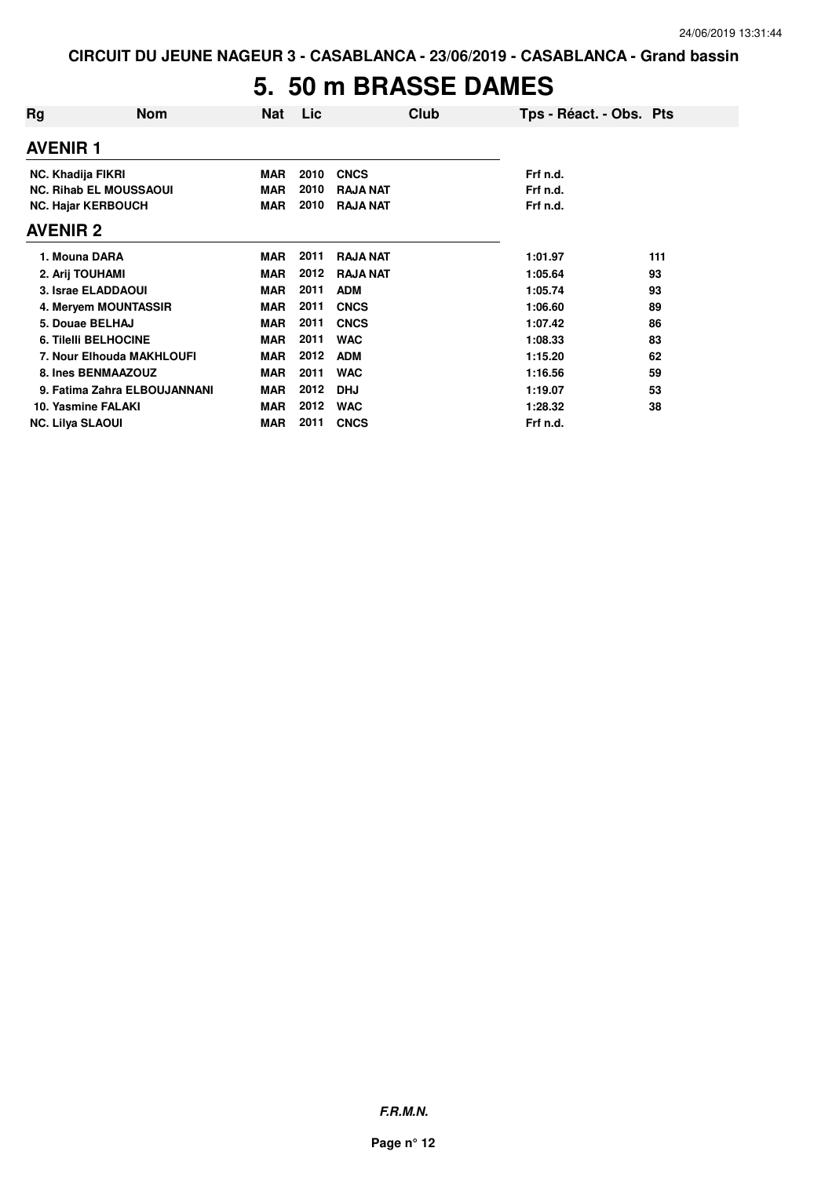### **5. 50 m BRASSE DAMES**

| Rg              | <b>Nom</b>                    | <b>Nat</b> | Lic  |                 | Club | Tps - Réact. - Obs. Pts |     |
|-----------------|-------------------------------|------------|------|-----------------|------|-------------------------|-----|
| <b>AVENIR 1</b> |                               |            |      |                 |      |                         |     |
|                 | <b>NC. Khadija FIKRI</b>      | <b>MAR</b> | 2010 | <b>CNCS</b>     |      | Frf n.d.                |     |
|                 | <b>NC. Rihab EL MOUSSAOUI</b> | <b>MAR</b> | 2010 | <b>RAJA NAT</b> |      | Frf n.d.                |     |
|                 | <b>NC. Hajar KERBOUCH</b>     | <b>MAR</b> | 2010 | <b>RAJA NAT</b> |      | Frf n.d.                |     |
| <b>AVENIR 2</b> |                               |            |      |                 |      |                         |     |
|                 | 1. Mouna DARA                 | <b>MAR</b> | 2011 | <b>RAJA NAT</b> |      | 1:01.97                 | 111 |
|                 | 2. Arij TOUHAMI               | <b>MAR</b> | 2012 | <b>RAJA NAT</b> |      | 1:05.64                 | 93  |
|                 | 3. Israe ELADDAOUI            | <b>MAR</b> | 2011 | <b>ADM</b>      |      | 1:05.74                 | 93  |
|                 | 4. Mervem MOUNTASSIR          | <b>MAR</b> | 2011 | <b>CNCS</b>     |      | 1:06.60                 | 89  |
|                 | 5. Douae BELHAJ               | <b>MAR</b> | 2011 | <b>CNCS</b>     |      | 1:07.42                 | 86  |
|                 | <b>6. Tilelli BELHOCINE</b>   | <b>MAR</b> | 2011 | <b>WAC</b>      |      | 1:08.33                 | 83  |
|                 | 7. Nour Elhouda MAKHLOUFI     | <b>MAR</b> | 2012 | <b>ADM</b>      |      | 1:15.20                 | 62  |
|                 | 8. Ines BENMAAZOUZ            | <b>MAR</b> | 2011 | <b>WAC</b>      |      | 1:16.56                 | 59  |
|                 | 9. Fatima Zahra ELBOUJANNANI  | <b>MAR</b> | 2012 | <b>DHJ</b>      |      | 1:19.07                 | 53  |
|                 | 10. Yasmine FALAKI            | <b>MAR</b> | 2012 | <b>WAC</b>      |      | 1:28.32                 | 38  |
|                 | <b>NC. Lilya SLAOUI</b>       | <b>MAR</b> | 2011 | <b>CNCS</b>     |      | Frf n.d.                |     |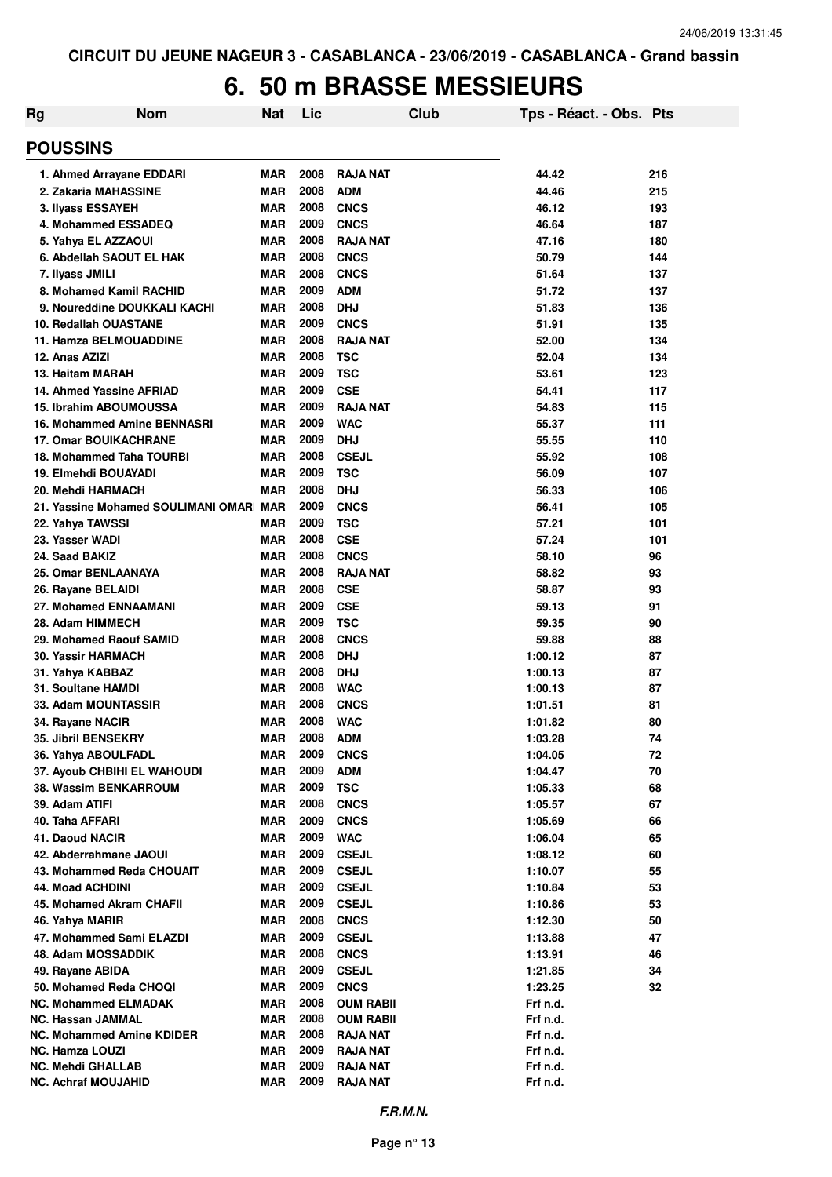## **6. 50 m BRASSE MESSIEURS**

| <b>POUSSINS</b><br>2008<br><b>RAJA NAT</b><br>1. Ahmed Arrayane EDDARI<br><b>MAR</b><br>44.42<br>216<br>2008<br><b>ADM</b><br>2. Zakaria MAHASSINE<br><b>MAR</b><br>44.46<br>215<br>2008<br><b>MAR</b><br><b>CNCS</b><br>46.12<br>3. Ilyass ESSAYEH<br>193<br>2009<br><b>CNCS</b><br>46.64<br>4. Mohammed ESSADEQ<br><b>MAR</b><br>187<br>2008<br><b>RAJA NAT</b><br>5. Yahya EL AZZAOUI<br><b>MAR</b><br>47.16<br>180<br>2008<br>6. Abdellah SAOUT EL HAK<br><b>CNCS</b><br>50.79<br><b>MAR</b><br>144<br>2008<br><b>CNCS</b><br><b>MAR</b><br>51.64<br>137<br>7. Ilyass JMILI<br>2009<br><b>ADM</b><br>8. Mohamed Kamil RACHID<br><b>MAR</b><br>51.72<br>137<br>2008<br><b>DHJ</b><br>9. Noureddine DOUKKALI KACHI<br><b>MAR</b><br>51.83<br>136<br>2009<br><b>CNCS</b><br>10. Redallah OUASTANE<br><b>MAR</b><br>51.91<br>135<br>2008<br><b>RAJA NAT</b><br>11. Hamza BELMOUADDINE<br><b>MAR</b><br>52.00<br>134<br>2008<br><b>TSC</b><br>12. Anas AZIZI<br><b>MAR</b><br>52.04<br>134<br>2009<br><b>TSC</b><br>53.61<br>13. Haitam MARAH<br><b>MAR</b><br>123<br>2009<br><b>CSE</b><br>14. Ahmed Yassine AFRIAD<br><b>MAR</b><br>54.41<br>117<br>2009<br><b>RAJA NAT</b><br>15. Ibrahim ABOUMOUSSA<br><b>MAR</b><br>54.83<br>115<br>2009<br><b>MAR</b><br><b>WAC</b><br>16. Mohammed Amine BENNASRI<br>55.37<br>111<br>2009<br><b>17. Omar BOUIKACHRANE</b><br><b>MAR</b><br><b>DHJ</b><br>55.55<br>110<br>2008<br><b>CSEJL</b><br>18. Mohammed Taha TOURBI<br><b>MAR</b><br>55.92<br>108<br>2009<br><b>TSC</b><br>19. Elmehdi BOUAYADI<br><b>MAR</b><br>56.09<br>107<br>2008<br>20. Mehdi HARMACH<br><b>MAR</b><br><b>DHJ</b><br>56.33<br>106<br>2009<br><b>CNCS</b><br>21. Yassine Mohamed SOULIMANI OMAR MAR<br>56.41<br>105<br>2009<br>22. Yahya TAWSSI<br><b>MAR</b><br><b>TSC</b><br>57.21<br>101<br>2008<br><b>CSE</b><br>23. Yasser WADI<br><b>MAR</b><br>57.24<br>101<br>2008<br><b>CNCS</b><br>24. Saad BAKIZ<br><b>MAR</b><br>96<br>58.10<br>2008<br><b>RAJA NAT</b><br>25. Omar BENLAANAYA<br><b>MAR</b><br>58.82<br>93<br>2008<br><b>CSE</b><br><b>MAR</b><br>58.87<br>93<br>26. Rayane BELAIDI<br>2009<br><b>CSE</b><br>91<br>27. Mohamed ENNAAMANI<br><b>MAR</b><br>59.13<br>2009<br><b>TSC</b><br>28. Adam HIMMECH<br><b>MAR</b><br>59.35<br>90<br>2008<br><b>CNCS</b><br>29. Mohamed Raouf SAMID<br><b>MAR</b><br>59.88<br>88<br>2008<br><b>DHJ</b><br><b>30. Yassir HARMACH</b><br><b>MAR</b><br>1:00.12<br>87<br>2008<br><b>DHJ</b><br><b>MAR</b><br>1:00.13<br>87<br>31. Yahya KABBAZ<br>2008<br><b>MAR</b><br><b>WAC</b><br>87<br>31. Soultane HAMDI<br>1:00.13<br>2008<br>33. Adam MOUNTASSIR<br><b>MAR</b><br><b>CNCS</b><br>81<br>1:01.51<br>2008<br><b>MAR</b><br><b>WAC</b><br>80<br>1:01.82<br>34. Rayane NACIR<br>2008<br>35. Jibril BENSEKRY<br><b>ADM</b><br>1:03.28<br>MAR<br>74<br>2009<br>36. Yahya ABOULFADL<br><b>MAR</b><br><b>CNCS</b><br>72<br>1:04.05<br>2009<br>37. Ayoub CHBIHI EL WAHOUDI<br><b>MAR</b><br><b>ADM</b><br>70<br>1:04.47<br>2009<br><b>38. Wassim BENKARROUM</b><br><b>MAR</b><br><b>TSC</b><br>68<br>1:05.33<br>2008<br>39. Adam ATIFI<br><b>MAR</b><br><b>CNCS</b><br>67<br>1:05.57<br>40. Taha AFFARI<br><b>MAR</b><br>2009<br><b>CNCS</b><br>1:05.69<br>66<br>41. Daoud NACIR<br><b>MAR</b><br>2009<br><b>WAC</b><br>65<br>1:06.04<br>2009<br>42. Abderrahmane JAOUI<br><b>MAR</b><br><b>CSEJL</b><br>60<br>1:08.12<br>43. Mohammed Reda CHOUAIT<br><b>MAR</b><br>2009<br><b>CSEJL</b><br>1:10.07<br>55<br><b>44. Moad ACHDINI</b><br><b>MAR</b><br>2009<br><b>CSEJL</b><br>53<br>1:10.84<br>2009<br>45. Mohamed Akram CHAFII<br><b>MAR</b><br><b>CSEJL</b><br>53<br>1:10.86<br>2008<br><b>CNCS</b><br>46. Yahya MARIR<br><b>MAR</b><br>1:12.30<br>50<br>2009<br>47. Mohammed Sami ELAZDI<br><b>MAR</b><br><b>CSEJL</b><br>1:13.88<br>47<br>2008<br>48. Adam MOSSADDIK<br><b>MAR</b><br><b>CNCS</b><br>1:13.91<br>46<br>2009<br><b>CSEJL</b><br>34<br>49. Rayane ABIDA<br><b>MAR</b><br>1:21.85<br>2009<br>50. Mohamed Reda CHOQI<br><b>CNCS</b><br>32<br><b>MAR</b><br>1:23.25<br>2008<br><b>NC. Mohammed ELMADAK</b><br><b>MAR</b><br><b>OUM RABII</b><br>Frf n.d.<br>2008<br><b>NC. Hassan JAMMAL</b><br><b>MAR</b><br><b>OUM RABII</b><br>Frf n.d.<br>2008<br><b>NC. Mohammed Amine KDIDER</b><br>MAR<br><b>RAJA NAT</b><br>Frf n.d.<br>2009<br><b>NC. Hamza LOUZI</b><br><b>MAR</b><br><b>RAJA NAT</b><br>Frf n.d.<br>2009<br><b>NC. Mehdi GHALLAB</b><br>MAR<br>RAJA NAT<br>Frf n.d.<br>2009<br><b>NC. Achraf MOUJAHID</b><br><b>MAR</b><br><b>RAJA NAT</b><br>Frf n.d. | <b>Rg</b> | <b>Nom</b> | <b>Nat</b> | Lic | Club | Tps - Réact. - Obs. Pts |  |
|-----------------------------------------------------------------------------------------------------------------------------------------------------------------------------------------------------------------------------------------------------------------------------------------------------------------------------------------------------------------------------------------------------------------------------------------------------------------------------------------------------------------------------------------------------------------------------------------------------------------------------------------------------------------------------------------------------------------------------------------------------------------------------------------------------------------------------------------------------------------------------------------------------------------------------------------------------------------------------------------------------------------------------------------------------------------------------------------------------------------------------------------------------------------------------------------------------------------------------------------------------------------------------------------------------------------------------------------------------------------------------------------------------------------------------------------------------------------------------------------------------------------------------------------------------------------------------------------------------------------------------------------------------------------------------------------------------------------------------------------------------------------------------------------------------------------------------------------------------------------------------------------------------------------------------------------------------------------------------------------------------------------------------------------------------------------------------------------------------------------------------------------------------------------------------------------------------------------------------------------------------------------------------------------------------------------------------------------------------------------------------------------------------------------------------------------------------------------------------------------------------------------------------------------------------------------------------------------------------------------------------------------------------------------------------------------------------------------------------------------------------------------------------------------------------------------------------------------------------------------------------------------------------------------------------------------------------------------------------------------------------------------------------------------------------------------------------------------------------------------------------------------------------------------------------------------------------------------------------------------------------------------------------------------------------------------------------------------------------------------------------------------------------------------------------------------------------------------------------------------------------------------------------------------------------------------------------------------------------------------------------------------------------------------------------------------------------------------------------------------------------------------------------------------------------------------------------------------------------------------------------------------------------------------------------------------------------------------------------------------------------------------------------------------------------------------------------------------------------------------------------------------------------------------------------------------------------------------------------------------------------------------------------------------------------------------------------------------------------------------------------------------------------------------------------------------------------------------------------------------------------------------------------------------------|-----------|------------|------------|-----|------|-------------------------|--|
|                                                                                                                                                                                                                                                                                                                                                                                                                                                                                                                                                                                                                                                                                                                                                                                                                                                                                                                                                                                                                                                                                                                                                                                                                                                                                                                                                                                                                                                                                                                                                                                                                                                                                                                                                                                                                                                                                                                                                                                                                                                                                                                                                                                                                                                                                                                                                                                                                                                                                                                                                                                                                                                                                                                                                                                                                                                                                                                                                                                                                                                                                                                                                                                                                                                                                                                                                                                                                                                                                                                                                                                                                                                                                                                                                                                                                                                                                                                                                                                                                                                                                                                                                                                                                                                                                                                                                                                                                                                                                                                                               |           |            |            |     |      |                         |  |
|                                                                                                                                                                                                                                                                                                                                                                                                                                                                                                                                                                                                                                                                                                                                                                                                                                                                                                                                                                                                                                                                                                                                                                                                                                                                                                                                                                                                                                                                                                                                                                                                                                                                                                                                                                                                                                                                                                                                                                                                                                                                                                                                                                                                                                                                                                                                                                                                                                                                                                                                                                                                                                                                                                                                                                                                                                                                                                                                                                                                                                                                                                                                                                                                                                                                                                                                                                                                                                                                                                                                                                                                                                                                                                                                                                                                                                                                                                                                                                                                                                                                                                                                                                                                                                                                                                                                                                                                                                                                                                                                               |           |            |            |     |      |                         |  |
|                                                                                                                                                                                                                                                                                                                                                                                                                                                                                                                                                                                                                                                                                                                                                                                                                                                                                                                                                                                                                                                                                                                                                                                                                                                                                                                                                                                                                                                                                                                                                                                                                                                                                                                                                                                                                                                                                                                                                                                                                                                                                                                                                                                                                                                                                                                                                                                                                                                                                                                                                                                                                                                                                                                                                                                                                                                                                                                                                                                                                                                                                                                                                                                                                                                                                                                                                                                                                                                                                                                                                                                                                                                                                                                                                                                                                                                                                                                                                                                                                                                                                                                                                                                                                                                                                                                                                                                                                                                                                                                                               |           |            |            |     |      |                         |  |
|                                                                                                                                                                                                                                                                                                                                                                                                                                                                                                                                                                                                                                                                                                                                                                                                                                                                                                                                                                                                                                                                                                                                                                                                                                                                                                                                                                                                                                                                                                                                                                                                                                                                                                                                                                                                                                                                                                                                                                                                                                                                                                                                                                                                                                                                                                                                                                                                                                                                                                                                                                                                                                                                                                                                                                                                                                                                                                                                                                                                                                                                                                                                                                                                                                                                                                                                                                                                                                                                                                                                                                                                                                                                                                                                                                                                                                                                                                                                                                                                                                                                                                                                                                                                                                                                                                                                                                                                                                                                                                                                               |           |            |            |     |      |                         |  |
|                                                                                                                                                                                                                                                                                                                                                                                                                                                                                                                                                                                                                                                                                                                                                                                                                                                                                                                                                                                                                                                                                                                                                                                                                                                                                                                                                                                                                                                                                                                                                                                                                                                                                                                                                                                                                                                                                                                                                                                                                                                                                                                                                                                                                                                                                                                                                                                                                                                                                                                                                                                                                                                                                                                                                                                                                                                                                                                                                                                                                                                                                                                                                                                                                                                                                                                                                                                                                                                                                                                                                                                                                                                                                                                                                                                                                                                                                                                                                                                                                                                                                                                                                                                                                                                                                                                                                                                                                                                                                                                                               |           |            |            |     |      |                         |  |
|                                                                                                                                                                                                                                                                                                                                                                                                                                                                                                                                                                                                                                                                                                                                                                                                                                                                                                                                                                                                                                                                                                                                                                                                                                                                                                                                                                                                                                                                                                                                                                                                                                                                                                                                                                                                                                                                                                                                                                                                                                                                                                                                                                                                                                                                                                                                                                                                                                                                                                                                                                                                                                                                                                                                                                                                                                                                                                                                                                                                                                                                                                                                                                                                                                                                                                                                                                                                                                                                                                                                                                                                                                                                                                                                                                                                                                                                                                                                                                                                                                                                                                                                                                                                                                                                                                                                                                                                                                                                                                                                               |           |            |            |     |      |                         |  |
|                                                                                                                                                                                                                                                                                                                                                                                                                                                                                                                                                                                                                                                                                                                                                                                                                                                                                                                                                                                                                                                                                                                                                                                                                                                                                                                                                                                                                                                                                                                                                                                                                                                                                                                                                                                                                                                                                                                                                                                                                                                                                                                                                                                                                                                                                                                                                                                                                                                                                                                                                                                                                                                                                                                                                                                                                                                                                                                                                                                                                                                                                                                                                                                                                                                                                                                                                                                                                                                                                                                                                                                                                                                                                                                                                                                                                                                                                                                                                                                                                                                                                                                                                                                                                                                                                                                                                                                                                                                                                                                                               |           |            |            |     |      |                         |  |
|                                                                                                                                                                                                                                                                                                                                                                                                                                                                                                                                                                                                                                                                                                                                                                                                                                                                                                                                                                                                                                                                                                                                                                                                                                                                                                                                                                                                                                                                                                                                                                                                                                                                                                                                                                                                                                                                                                                                                                                                                                                                                                                                                                                                                                                                                                                                                                                                                                                                                                                                                                                                                                                                                                                                                                                                                                                                                                                                                                                                                                                                                                                                                                                                                                                                                                                                                                                                                                                                                                                                                                                                                                                                                                                                                                                                                                                                                                                                                                                                                                                                                                                                                                                                                                                                                                                                                                                                                                                                                                                                               |           |            |            |     |      |                         |  |
|                                                                                                                                                                                                                                                                                                                                                                                                                                                                                                                                                                                                                                                                                                                                                                                                                                                                                                                                                                                                                                                                                                                                                                                                                                                                                                                                                                                                                                                                                                                                                                                                                                                                                                                                                                                                                                                                                                                                                                                                                                                                                                                                                                                                                                                                                                                                                                                                                                                                                                                                                                                                                                                                                                                                                                                                                                                                                                                                                                                                                                                                                                                                                                                                                                                                                                                                                                                                                                                                                                                                                                                                                                                                                                                                                                                                                                                                                                                                                                                                                                                                                                                                                                                                                                                                                                                                                                                                                                                                                                                                               |           |            |            |     |      |                         |  |
|                                                                                                                                                                                                                                                                                                                                                                                                                                                                                                                                                                                                                                                                                                                                                                                                                                                                                                                                                                                                                                                                                                                                                                                                                                                                                                                                                                                                                                                                                                                                                                                                                                                                                                                                                                                                                                                                                                                                                                                                                                                                                                                                                                                                                                                                                                                                                                                                                                                                                                                                                                                                                                                                                                                                                                                                                                                                                                                                                                                                                                                                                                                                                                                                                                                                                                                                                                                                                                                                                                                                                                                                                                                                                                                                                                                                                                                                                                                                                                                                                                                                                                                                                                                                                                                                                                                                                                                                                                                                                                                                               |           |            |            |     |      |                         |  |
|                                                                                                                                                                                                                                                                                                                                                                                                                                                                                                                                                                                                                                                                                                                                                                                                                                                                                                                                                                                                                                                                                                                                                                                                                                                                                                                                                                                                                                                                                                                                                                                                                                                                                                                                                                                                                                                                                                                                                                                                                                                                                                                                                                                                                                                                                                                                                                                                                                                                                                                                                                                                                                                                                                                                                                                                                                                                                                                                                                                                                                                                                                                                                                                                                                                                                                                                                                                                                                                                                                                                                                                                                                                                                                                                                                                                                                                                                                                                                                                                                                                                                                                                                                                                                                                                                                                                                                                                                                                                                                                                               |           |            |            |     |      |                         |  |
|                                                                                                                                                                                                                                                                                                                                                                                                                                                                                                                                                                                                                                                                                                                                                                                                                                                                                                                                                                                                                                                                                                                                                                                                                                                                                                                                                                                                                                                                                                                                                                                                                                                                                                                                                                                                                                                                                                                                                                                                                                                                                                                                                                                                                                                                                                                                                                                                                                                                                                                                                                                                                                                                                                                                                                                                                                                                                                                                                                                                                                                                                                                                                                                                                                                                                                                                                                                                                                                                                                                                                                                                                                                                                                                                                                                                                                                                                                                                                                                                                                                                                                                                                                                                                                                                                                                                                                                                                                                                                                                                               |           |            |            |     |      |                         |  |
|                                                                                                                                                                                                                                                                                                                                                                                                                                                                                                                                                                                                                                                                                                                                                                                                                                                                                                                                                                                                                                                                                                                                                                                                                                                                                                                                                                                                                                                                                                                                                                                                                                                                                                                                                                                                                                                                                                                                                                                                                                                                                                                                                                                                                                                                                                                                                                                                                                                                                                                                                                                                                                                                                                                                                                                                                                                                                                                                                                                                                                                                                                                                                                                                                                                                                                                                                                                                                                                                                                                                                                                                                                                                                                                                                                                                                                                                                                                                                                                                                                                                                                                                                                                                                                                                                                                                                                                                                                                                                                                                               |           |            |            |     |      |                         |  |
|                                                                                                                                                                                                                                                                                                                                                                                                                                                                                                                                                                                                                                                                                                                                                                                                                                                                                                                                                                                                                                                                                                                                                                                                                                                                                                                                                                                                                                                                                                                                                                                                                                                                                                                                                                                                                                                                                                                                                                                                                                                                                                                                                                                                                                                                                                                                                                                                                                                                                                                                                                                                                                                                                                                                                                                                                                                                                                                                                                                                                                                                                                                                                                                                                                                                                                                                                                                                                                                                                                                                                                                                                                                                                                                                                                                                                                                                                                                                                                                                                                                                                                                                                                                                                                                                                                                                                                                                                                                                                                                                               |           |            |            |     |      |                         |  |
|                                                                                                                                                                                                                                                                                                                                                                                                                                                                                                                                                                                                                                                                                                                                                                                                                                                                                                                                                                                                                                                                                                                                                                                                                                                                                                                                                                                                                                                                                                                                                                                                                                                                                                                                                                                                                                                                                                                                                                                                                                                                                                                                                                                                                                                                                                                                                                                                                                                                                                                                                                                                                                                                                                                                                                                                                                                                                                                                                                                                                                                                                                                                                                                                                                                                                                                                                                                                                                                                                                                                                                                                                                                                                                                                                                                                                                                                                                                                                                                                                                                                                                                                                                                                                                                                                                                                                                                                                                                                                                                                               |           |            |            |     |      |                         |  |
|                                                                                                                                                                                                                                                                                                                                                                                                                                                                                                                                                                                                                                                                                                                                                                                                                                                                                                                                                                                                                                                                                                                                                                                                                                                                                                                                                                                                                                                                                                                                                                                                                                                                                                                                                                                                                                                                                                                                                                                                                                                                                                                                                                                                                                                                                                                                                                                                                                                                                                                                                                                                                                                                                                                                                                                                                                                                                                                                                                                                                                                                                                                                                                                                                                                                                                                                                                                                                                                                                                                                                                                                                                                                                                                                                                                                                                                                                                                                                                                                                                                                                                                                                                                                                                                                                                                                                                                                                                                                                                                                               |           |            |            |     |      |                         |  |
|                                                                                                                                                                                                                                                                                                                                                                                                                                                                                                                                                                                                                                                                                                                                                                                                                                                                                                                                                                                                                                                                                                                                                                                                                                                                                                                                                                                                                                                                                                                                                                                                                                                                                                                                                                                                                                                                                                                                                                                                                                                                                                                                                                                                                                                                                                                                                                                                                                                                                                                                                                                                                                                                                                                                                                                                                                                                                                                                                                                                                                                                                                                                                                                                                                                                                                                                                                                                                                                                                                                                                                                                                                                                                                                                                                                                                                                                                                                                                                                                                                                                                                                                                                                                                                                                                                                                                                                                                                                                                                                                               |           |            |            |     |      |                         |  |
|                                                                                                                                                                                                                                                                                                                                                                                                                                                                                                                                                                                                                                                                                                                                                                                                                                                                                                                                                                                                                                                                                                                                                                                                                                                                                                                                                                                                                                                                                                                                                                                                                                                                                                                                                                                                                                                                                                                                                                                                                                                                                                                                                                                                                                                                                                                                                                                                                                                                                                                                                                                                                                                                                                                                                                                                                                                                                                                                                                                                                                                                                                                                                                                                                                                                                                                                                                                                                                                                                                                                                                                                                                                                                                                                                                                                                                                                                                                                                                                                                                                                                                                                                                                                                                                                                                                                                                                                                                                                                                                                               |           |            |            |     |      |                         |  |
|                                                                                                                                                                                                                                                                                                                                                                                                                                                                                                                                                                                                                                                                                                                                                                                                                                                                                                                                                                                                                                                                                                                                                                                                                                                                                                                                                                                                                                                                                                                                                                                                                                                                                                                                                                                                                                                                                                                                                                                                                                                                                                                                                                                                                                                                                                                                                                                                                                                                                                                                                                                                                                                                                                                                                                                                                                                                                                                                                                                                                                                                                                                                                                                                                                                                                                                                                                                                                                                                                                                                                                                                                                                                                                                                                                                                                                                                                                                                                                                                                                                                                                                                                                                                                                                                                                                                                                                                                                                                                                                                               |           |            |            |     |      |                         |  |
|                                                                                                                                                                                                                                                                                                                                                                                                                                                                                                                                                                                                                                                                                                                                                                                                                                                                                                                                                                                                                                                                                                                                                                                                                                                                                                                                                                                                                                                                                                                                                                                                                                                                                                                                                                                                                                                                                                                                                                                                                                                                                                                                                                                                                                                                                                                                                                                                                                                                                                                                                                                                                                                                                                                                                                                                                                                                                                                                                                                                                                                                                                                                                                                                                                                                                                                                                                                                                                                                                                                                                                                                                                                                                                                                                                                                                                                                                                                                                                                                                                                                                                                                                                                                                                                                                                                                                                                                                                                                                                                                               |           |            |            |     |      |                         |  |
|                                                                                                                                                                                                                                                                                                                                                                                                                                                                                                                                                                                                                                                                                                                                                                                                                                                                                                                                                                                                                                                                                                                                                                                                                                                                                                                                                                                                                                                                                                                                                                                                                                                                                                                                                                                                                                                                                                                                                                                                                                                                                                                                                                                                                                                                                                                                                                                                                                                                                                                                                                                                                                                                                                                                                                                                                                                                                                                                                                                                                                                                                                                                                                                                                                                                                                                                                                                                                                                                                                                                                                                                                                                                                                                                                                                                                                                                                                                                                                                                                                                                                                                                                                                                                                                                                                                                                                                                                                                                                                                                               |           |            |            |     |      |                         |  |
|                                                                                                                                                                                                                                                                                                                                                                                                                                                                                                                                                                                                                                                                                                                                                                                                                                                                                                                                                                                                                                                                                                                                                                                                                                                                                                                                                                                                                                                                                                                                                                                                                                                                                                                                                                                                                                                                                                                                                                                                                                                                                                                                                                                                                                                                                                                                                                                                                                                                                                                                                                                                                                                                                                                                                                                                                                                                                                                                                                                                                                                                                                                                                                                                                                                                                                                                                                                                                                                                                                                                                                                                                                                                                                                                                                                                                                                                                                                                                                                                                                                                                                                                                                                                                                                                                                                                                                                                                                                                                                                                               |           |            |            |     |      |                         |  |
|                                                                                                                                                                                                                                                                                                                                                                                                                                                                                                                                                                                                                                                                                                                                                                                                                                                                                                                                                                                                                                                                                                                                                                                                                                                                                                                                                                                                                                                                                                                                                                                                                                                                                                                                                                                                                                                                                                                                                                                                                                                                                                                                                                                                                                                                                                                                                                                                                                                                                                                                                                                                                                                                                                                                                                                                                                                                                                                                                                                                                                                                                                                                                                                                                                                                                                                                                                                                                                                                                                                                                                                                                                                                                                                                                                                                                                                                                                                                                                                                                                                                                                                                                                                                                                                                                                                                                                                                                                                                                                                                               |           |            |            |     |      |                         |  |
|                                                                                                                                                                                                                                                                                                                                                                                                                                                                                                                                                                                                                                                                                                                                                                                                                                                                                                                                                                                                                                                                                                                                                                                                                                                                                                                                                                                                                                                                                                                                                                                                                                                                                                                                                                                                                                                                                                                                                                                                                                                                                                                                                                                                                                                                                                                                                                                                                                                                                                                                                                                                                                                                                                                                                                                                                                                                                                                                                                                                                                                                                                                                                                                                                                                                                                                                                                                                                                                                                                                                                                                                                                                                                                                                                                                                                                                                                                                                                                                                                                                                                                                                                                                                                                                                                                                                                                                                                                                                                                                                               |           |            |            |     |      |                         |  |
|                                                                                                                                                                                                                                                                                                                                                                                                                                                                                                                                                                                                                                                                                                                                                                                                                                                                                                                                                                                                                                                                                                                                                                                                                                                                                                                                                                                                                                                                                                                                                                                                                                                                                                                                                                                                                                                                                                                                                                                                                                                                                                                                                                                                                                                                                                                                                                                                                                                                                                                                                                                                                                                                                                                                                                                                                                                                                                                                                                                                                                                                                                                                                                                                                                                                                                                                                                                                                                                                                                                                                                                                                                                                                                                                                                                                                                                                                                                                                                                                                                                                                                                                                                                                                                                                                                                                                                                                                                                                                                                                               |           |            |            |     |      |                         |  |
|                                                                                                                                                                                                                                                                                                                                                                                                                                                                                                                                                                                                                                                                                                                                                                                                                                                                                                                                                                                                                                                                                                                                                                                                                                                                                                                                                                                                                                                                                                                                                                                                                                                                                                                                                                                                                                                                                                                                                                                                                                                                                                                                                                                                                                                                                                                                                                                                                                                                                                                                                                                                                                                                                                                                                                                                                                                                                                                                                                                                                                                                                                                                                                                                                                                                                                                                                                                                                                                                                                                                                                                                                                                                                                                                                                                                                                                                                                                                                                                                                                                                                                                                                                                                                                                                                                                                                                                                                                                                                                                                               |           |            |            |     |      |                         |  |
|                                                                                                                                                                                                                                                                                                                                                                                                                                                                                                                                                                                                                                                                                                                                                                                                                                                                                                                                                                                                                                                                                                                                                                                                                                                                                                                                                                                                                                                                                                                                                                                                                                                                                                                                                                                                                                                                                                                                                                                                                                                                                                                                                                                                                                                                                                                                                                                                                                                                                                                                                                                                                                                                                                                                                                                                                                                                                                                                                                                                                                                                                                                                                                                                                                                                                                                                                                                                                                                                                                                                                                                                                                                                                                                                                                                                                                                                                                                                                                                                                                                                                                                                                                                                                                                                                                                                                                                                                                                                                                                                               |           |            |            |     |      |                         |  |
|                                                                                                                                                                                                                                                                                                                                                                                                                                                                                                                                                                                                                                                                                                                                                                                                                                                                                                                                                                                                                                                                                                                                                                                                                                                                                                                                                                                                                                                                                                                                                                                                                                                                                                                                                                                                                                                                                                                                                                                                                                                                                                                                                                                                                                                                                                                                                                                                                                                                                                                                                                                                                                                                                                                                                                                                                                                                                                                                                                                                                                                                                                                                                                                                                                                                                                                                                                                                                                                                                                                                                                                                                                                                                                                                                                                                                                                                                                                                                                                                                                                                                                                                                                                                                                                                                                                                                                                                                                                                                                                                               |           |            |            |     |      |                         |  |
|                                                                                                                                                                                                                                                                                                                                                                                                                                                                                                                                                                                                                                                                                                                                                                                                                                                                                                                                                                                                                                                                                                                                                                                                                                                                                                                                                                                                                                                                                                                                                                                                                                                                                                                                                                                                                                                                                                                                                                                                                                                                                                                                                                                                                                                                                                                                                                                                                                                                                                                                                                                                                                                                                                                                                                                                                                                                                                                                                                                                                                                                                                                                                                                                                                                                                                                                                                                                                                                                                                                                                                                                                                                                                                                                                                                                                                                                                                                                                                                                                                                                                                                                                                                                                                                                                                                                                                                                                                                                                                                                               |           |            |            |     |      |                         |  |
|                                                                                                                                                                                                                                                                                                                                                                                                                                                                                                                                                                                                                                                                                                                                                                                                                                                                                                                                                                                                                                                                                                                                                                                                                                                                                                                                                                                                                                                                                                                                                                                                                                                                                                                                                                                                                                                                                                                                                                                                                                                                                                                                                                                                                                                                                                                                                                                                                                                                                                                                                                                                                                                                                                                                                                                                                                                                                                                                                                                                                                                                                                                                                                                                                                                                                                                                                                                                                                                                                                                                                                                                                                                                                                                                                                                                                                                                                                                                                                                                                                                                                                                                                                                                                                                                                                                                                                                                                                                                                                                                               |           |            |            |     |      |                         |  |
|                                                                                                                                                                                                                                                                                                                                                                                                                                                                                                                                                                                                                                                                                                                                                                                                                                                                                                                                                                                                                                                                                                                                                                                                                                                                                                                                                                                                                                                                                                                                                                                                                                                                                                                                                                                                                                                                                                                                                                                                                                                                                                                                                                                                                                                                                                                                                                                                                                                                                                                                                                                                                                                                                                                                                                                                                                                                                                                                                                                                                                                                                                                                                                                                                                                                                                                                                                                                                                                                                                                                                                                                                                                                                                                                                                                                                                                                                                                                                                                                                                                                                                                                                                                                                                                                                                                                                                                                                                                                                                                                               |           |            |            |     |      |                         |  |
|                                                                                                                                                                                                                                                                                                                                                                                                                                                                                                                                                                                                                                                                                                                                                                                                                                                                                                                                                                                                                                                                                                                                                                                                                                                                                                                                                                                                                                                                                                                                                                                                                                                                                                                                                                                                                                                                                                                                                                                                                                                                                                                                                                                                                                                                                                                                                                                                                                                                                                                                                                                                                                                                                                                                                                                                                                                                                                                                                                                                                                                                                                                                                                                                                                                                                                                                                                                                                                                                                                                                                                                                                                                                                                                                                                                                                                                                                                                                                                                                                                                                                                                                                                                                                                                                                                                                                                                                                                                                                                                                               |           |            |            |     |      |                         |  |
|                                                                                                                                                                                                                                                                                                                                                                                                                                                                                                                                                                                                                                                                                                                                                                                                                                                                                                                                                                                                                                                                                                                                                                                                                                                                                                                                                                                                                                                                                                                                                                                                                                                                                                                                                                                                                                                                                                                                                                                                                                                                                                                                                                                                                                                                                                                                                                                                                                                                                                                                                                                                                                                                                                                                                                                                                                                                                                                                                                                                                                                                                                                                                                                                                                                                                                                                                                                                                                                                                                                                                                                                                                                                                                                                                                                                                                                                                                                                                                                                                                                                                                                                                                                                                                                                                                                                                                                                                                                                                                                                               |           |            |            |     |      |                         |  |
|                                                                                                                                                                                                                                                                                                                                                                                                                                                                                                                                                                                                                                                                                                                                                                                                                                                                                                                                                                                                                                                                                                                                                                                                                                                                                                                                                                                                                                                                                                                                                                                                                                                                                                                                                                                                                                                                                                                                                                                                                                                                                                                                                                                                                                                                                                                                                                                                                                                                                                                                                                                                                                                                                                                                                                                                                                                                                                                                                                                                                                                                                                                                                                                                                                                                                                                                                                                                                                                                                                                                                                                                                                                                                                                                                                                                                                                                                                                                                                                                                                                                                                                                                                                                                                                                                                                                                                                                                                                                                                                                               |           |            |            |     |      |                         |  |
|                                                                                                                                                                                                                                                                                                                                                                                                                                                                                                                                                                                                                                                                                                                                                                                                                                                                                                                                                                                                                                                                                                                                                                                                                                                                                                                                                                                                                                                                                                                                                                                                                                                                                                                                                                                                                                                                                                                                                                                                                                                                                                                                                                                                                                                                                                                                                                                                                                                                                                                                                                                                                                                                                                                                                                                                                                                                                                                                                                                                                                                                                                                                                                                                                                                                                                                                                                                                                                                                                                                                                                                                                                                                                                                                                                                                                                                                                                                                                                                                                                                                                                                                                                                                                                                                                                                                                                                                                                                                                                                                               |           |            |            |     |      |                         |  |
|                                                                                                                                                                                                                                                                                                                                                                                                                                                                                                                                                                                                                                                                                                                                                                                                                                                                                                                                                                                                                                                                                                                                                                                                                                                                                                                                                                                                                                                                                                                                                                                                                                                                                                                                                                                                                                                                                                                                                                                                                                                                                                                                                                                                                                                                                                                                                                                                                                                                                                                                                                                                                                                                                                                                                                                                                                                                                                                                                                                                                                                                                                                                                                                                                                                                                                                                                                                                                                                                                                                                                                                                                                                                                                                                                                                                                                                                                                                                                                                                                                                                                                                                                                                                                                                                                                                                                                                                                                                                                                                                               |           |            |            |     |      |                         |  |
|                                                                                                                                                                                                                                                                                                                                                                                                                                                                                                                                                                                                                                                                                                                                                                                                                                                                                                                                                                                                                                                                                                                                                                                                                                                                                                                                                                                                                                                                                                                                                                                                                                                                                                                                                                                                                                                                                                                                                                                                                                                                                                                                                                                                                                                                                                                                                                                                                                                                                                                                                                                                                                                                                                                                                                                                                                                                                                                                                                                                                                                                                                                                                                                                                                                                                                                                                                                                                                                                                                                                                                                                                                                                                                                                                                                                                                                                                                                                                                                                                                                                                                                                                                                                                                                                                                                                                                                                                                                                                                                                               |           |            |            |     |      |                         |  |
|                                                                                                                                                                                                                                                                                                                                                                                                                                                                                                                                                                                                                                                                                                                                                                                                                                                                                                                                                                                                                                                                                                                                                                                                                                                                                                                                                                                                                                                                                                                                                                                                                                                                                                                                                                                                                                                                                                                                                                                                                                                                                                                                                                                                                                                                                                                                                                                                                                                                                                                                                                                                                                                                                                                                                                                                                                                                                                                                                                                                                                                                                                                                                                                                                                                                                                                                                                                                                                                                                                                                                                                                                                                                                                                                                                                                                                                                                                                                                                                                                                                                                                                                                                                                                                                                                                                                                                                                                                                                                                                                               |           |            |            |     |      |                         |  |
|                                                                                                                                                                                                                                                                                                                                                                                                                                                                                                                                                                                                                                                                                                                                                                                                                                                                                                                                                                                                                                                                                                                                                                                                                                                                                                                                                                                                                                                                                                                                                                                                                                                                                                                                                                                                                                                                                                                                                                                                                                                                                                                                                                                                                                                                                                                                                                                                                                                                                                                                                                                                                                                                                                                                                                                                                                                                                                                                                                                                                                                                                                                                                                                                                                                                                                                                                                                                                                                                                                                                                                                                                                                                                                                                                                                                                                                                                                                                                                                                                                                                                                                                                                                                                                                                                                                                                                                                                                                                                                                                               |           |            |            |     |      |                         |  |
|                                                                                                                                                                                                                                                                                                                                                                                                                                                                                                                                                                                                                                                                                                                                                                                                                                                                                                                                                                                                                                                                                                                                                                                                                                                                                                                                                                                                                                                                                                                                                                                                                                                                                                                                                                                                                                                                                                                                                                                                                                                                                                                                                                                                                                                                                                                                                                                                                                                                                                                                                                                                                                                                                                                                                                                                                                                                                                                                                                                                                                                                                                                                                                                                                                                                                                                                                                                                                                                                                                                                                                                                                                                                                                                                                                                                                                                                                                                                                                                                                                                                                                                                                                                                                                                                                                                                                                                                                                                                                                                                               |           |            |            |     |      |                         |  |
|                                                                                                                                                                                                                                                                                                                                                                                                                                                                                                                                                                                                                                                                                                                                                                                                                                                                                                                                                                                                                                                                                                                                                                                                                                                                                                                                                                                                                                                                                                                                                                                                                                                                                                                                                                                                                                                                                                                                                                                                                                                                                                                                                                                                                                                                                                                                                                                                                                                                                                                                                                                                                                                                                                                                                                                                                                                                                                                                                                                                                                                                                                                                                                                                                                                                                                                                                                                                                                                                                                                                                                                                                                                                                                                                                                                                                                                                                                                                                                                                                                                                                                                                                                                                                                                                                                                                                                                                                                                                                                                                               |           |            |            |     |      |                         |  |
|                                                                                                                                                                                                                                                                                                                                                                                                                                                                                                                                                                                                                                                                                                                                                                                                                                                                                                                                                                                                                                                                                                                                                                                                                                                                                                                                                                                                                                                                                                                                                                                                                                                                                                                                                                                                                                                                                                                                                                                                                                                                                                                                                                                                                                                                                                                                                                                                                                                                                                                                                                                                                                                                                                                                                                                                                                                                                                                                                                                                                                                                                                                                                                                                                                                                                                                                                                                                                                                                                                                                                                                                                                                                                                                                                                                                                                                                                                                                                                                                                                                                                                                                                                                                                                                                                                                                                                                                                                                                                                                                               |           |            |            |     |      |                         |  |
|                                                                                                                                                                                                                                                                                                                                                                                                                                                                                                                                                                                                                                                                                                                                                                                                                                                                                                                                                                                                                                                                                                                                                                                                                                                                                                                                                                                                                                                                                                                                                                                                                                                                                                                                                                                                                                                                                                                                                                                                                                                                                                                                                                                                                                                                                                                                                                                                                                                                                                                                                                                                                                                                                                                                                                                                                                                                                                                                                                                                                                                                                                                                                                                                                                                                                                                                                                                                                                                                                                                                                                                                                                                                                                                                                                                                                                                                                                                                                                                                                                                                                                                                                                                                                                                                                                                                                                                                                                                                                                                                               |           |            |            |     |      |                         |  |
|                                                                                                                                                                                                                                                                                                                                                                                                                                                                                                                                                                                                                                                                                                                                                                                                                                                                                                                                                                                                                                                                                                                                                                                                                                                                                                                                                                                                                                                                                                                                                                                                                                                                                                                                                                                                                                                                                                                                                                                                                                                                                                                                                                                                                                                                                                                                                                                                                                                                                                                                                                                                                                                                                                                                                                                                                                                                                                                                                                                                                                                                                                                                                                                                                                                                                                                                                                                                                                                                                                                                                                                                                                                                                                                                                                                                                                                                                                                                                                                                                                                                                                                                                                                                                                                                                                                                                                                                                                                                                                                                               |           |            |            |     |      |                         |  |
|                                                                                                                                                                                                                                                                                                                                                                                                                                                                                                                                                                                                                                                                                                                                                                                                                                                                                                                                                                                                                                                                                                                                                                                                                                                                                                                                                                                                                                                                                                                                                                                                                                                                                                                                                                                                                                                                                                                                                                                                                                                                                                                                                                                                                                                                                                                                                                                                                                                                                                                                                                                                                                                                                                                                                                                                                                                                                                                                                                                                                                                                                                                                                                                                                                                                                                                                                                                                                                                                                                                                                                                                                                                                                                                                                                                                                                                                                                                                                                                                                                                                                                                                                                                                                                                                                                                                                                                                                                                                                                                                               |           |            |            |     |      |                         |  |
|                                                                                                                                                                                                                                                                                                                                                                                                                                                                                                                                                                                                                                                                                                                                                                                                                                                                                                                                                                                                                                                                                                                                                                                                                                                                                                                                                                                                                                                                                                                                                                                                                                                                                                                                                                                                                                                                                                                                                                                                                                                                                                                                                                                                                                                                                                                                                                                                                                                                                                                                                                                                                                                                                                                                                                                                                                                                                                                                                                                                                                                                                                                                                                                                                                                                                                                                                                                                                                                                                                                                                                                                                                                                                                                                                                                                                                                                                                                                                                                                                                                                                                                                                                                                                                                                                                                                                                                                                                                                                                                                               |           |            |            |     |      |                         |  |
|                                                                                                                                                                                                                                                                                                                                                                                                                                                                                                                                                                                                                                                                                                                                                                                                                                                                                                                                                                                                                                                                                                                                                                                                                                                                                                                                                                                                                                                                                                                                                                                                                                                                                                                                                                                                                                                                                                                                                                                                                                                                                                                                                                                                                                                                                                                                                                                                                                                                                                                                                                                                                                                                                                                                                                                                                                                                                                                                                                                                                                                                                                                                                                                                                                                                                                                                                                                                                                                                                                                                                                                                                                                                                                                                                                                                                                                                                                                                                                                                                                                                                                                                                                                                                                                                                                                                                                                                                                                                                                                                               |           |            |            |     |      |                         |  |
|                                                                                                                                                                                                                                                                                                                                                                                                                                                                                                                                                                                                                                                                                                                                                                                                                                                                                                                                                                                                                                                                                                                                                                                                                                                                                                                                                                                                                                                                                                                                                                                                                                                                                                                                                                                                                                                                                                                                                                                                                                                                                                                                                                                                                                                                                                                                                                                                                                                                                                                                                                                                                                                                                                                                                                                                                                                                                                                                                                                                                                                                                                                                                                                                                                                                                                                                                                                                                                                                                                                                                                                                                                                                                                                                                                                                                                                                                                                                                                                                                                                                                                                                                                                                                                                                                                                                                                                                                                                                                                                                               |           |            |            |     |      |                         |  |
|                                                                                                                                                                                                                                                                                                                                                                                                                                                                                                                                                                                                                                                                                                                                                                                                                                                                                                                                                                                                                                                                                                                                                                                                                                                                                                                                                                                                                                                                                                                                                                                                                                                                                                                                                                                                                                                                                                                                                                                                                                                                                                                                                                                                                                                                                                                                                                                                                                                                                                                                                                                                                                                                                                                                                                                                                                                                                                                                                                                                                                                                                                                                                                                                                                                                                                                                                                                                                                                                                                                                                                                                                                                                                                                                                                                                                                                                                                                                                                                                                                                                                                                                                                                                                                                                                                                                                                                                                                                                                                                                               |           |            |            |     |      |                         |  |
|                                                                                                                                                                                                                                                                                                                                                                                                                                                                                                                                                                                                                                                                                                                                                                                                                                                                                                                                                                                                                                                                                                                                                                                                                                                                                                                                                                                                                                                                                                                                                                                                                                                                                                                                                                                                                                                                                                                                                                                                                                                                                                                                                                                                                                                                                                                                                                                                                                                                                                                                                                                                                                                                                                                                                                                                                                                                                                                                                                                                                                                                                                                                                                                                                                                                                                                                                                                                                                                                                                                                                                                                                                                                                                                                                                                                                                                                                                                                                                                                                                                                                                                                                                                                                                                                                                                                                                                                                                                                                                                                               |           |            |            |     |      |                         |  |
|                                                                                                                                                                                                                                                                                                                                                                                                                                                                                                                                                                                                                                                                                                                                                                                                                                                                                                                                                                                                                                                                                                                                                                                                                                                                                                                                                                                                                                                                                                                                                                                                                                                                                                                                                                                                                                                                                                                                                                                                                                                                                                                                                                                                                                                                                                                                                                                                                                                                                                                                                                                                                                                                                                                                                                                                                                                                                                                                                                                                                                                                                                                                                                                                                                                                                                                                                                                                                                                                                                                                                                                                                                                                                                                                                                                                                                                                                                                                                                                                                                                                                                                                                                                                                                                                                                                                                                                                                                                                                                                                               |           |            |            |     |      |                         |  |
|                                                                                                                                                                                                                                                                                                                                                                                                                                                                                                                                                                                                                                                                                                                                                                                                                                                                                                                                                                                                                                                                                                                                                                                                                                                                                                                                                                                                                                                                                                                                                                                                                                                                                                                                                                                                                                                                                                                                                                                                                                                                                                                                                                                                                                                                                                                                                                                                                                                                                                                                                                                                                                                                                                                                                                                                                                                                                                                                                                                                                                                                                                                                                                                                                                                                                                                                                                                                                                                                                                                                                                                                                                                                                                                                                                                                                                                                                                                                                                                                                                                                                                                                                                                                                                                                                                                                                                                                                                                                                                                                               |           |            |            |     |      |                         |  |
|                                                                                                                                                                                                                                                                                                                                                                                                                                                                                                                                                                                                                                                                                                                                                                                                                                                                                                                                                                                                                                                                                                                                                                                                                                                                                                                                                                                                                                                                                                                                                                                                                                                                                                                                                                                                                                                                                                                                                                                                                                                                                                                                                                                                                                                                                                                                                                                                                                                                                                                                                                                                                                                                                                                                                                                                                                                                                                                                                                                                                                                                                                                                                                                                                                                                                                                                                                                                                                                                                                                                                                                                                                                                                                                                                                                                                                                                                                                                                                                                                                                                                                                                                                                                                                                                                                                                                                                                                                                                                                                                               |           |            |            |     |      |                         |  |
|                                                                                                                                                                                                                                                                                                                                                                                                                                                                                                                                                                                                                                                                                                                                                                                                                                                                                                                                                                                                                                                                                                                                                                                                                                                                                                                                                                                                                                                                                                                                                                                                                                                                                                                                                                                                                                                                                                                                                                                                                                                                                                                                                                                                                                                                                                                                                                                                                                                                                                                                                                                                                                                                                                                                                                                                                                                                                                                                                                                                                                                                                                                                                                                                                                                                                                                                                                                                                                                                                                                                                                                                                                                                                                                                                                                                                                                                                                                                                                                                                                                                                                                                                                                                                                                                                                                                                                                                                                                                                                                                               |           |            |            |     |      |                         |  |
|                                                                                                                                                                                                                                                                                                                                                                                                                                                                                                                                                                                                                                                                                                                                                                                                                                                                                                                                                                                                                                                                                                                                                                                                                                                                                                                                                                                                                                                                                                                                                                                                                                                                                                                                                                                                                                                                                                                                                                                                                                                                                                                                                                                                                                                                                                                                                                                                                                                                                                                                                                                                                                                                                                                                                                                                                                                                                                                                                                                                                                                                                                                                                                                                                                                                                                                                                                                                                                                                                                                                                                                                                                                                                                                                                                                                                                                                                                                                                                                                                                                                                                                                                                                                                                                                                                                                                                                                                                                                                                                                               |           |            |            |     |      |                         |  |
|                                                                                                                                                                                                                                                                                                                                                                                                                                                                                                                                                                                                                                                                                                                                                                                                                                                                                                                                                                                                                                                                                                                                                                                                                                                                                                                                                                                                                                                                                                                                                                                                                                                                                                                                                                                                                                                                                                                                                                                                                                                                                                                                                                                                                                                                                                                                                                                                                                                                                                                                                                                                                                                                                                                                                                                                                                                                                                                                                                                                                                                                                                                                                                                                                                                                                                                                                                                                                                                                                                                                                                                                                                                                                                                                                                                                                                                                                                                                                                                                                                                                                                                                                                                                                                                                                                                                                                                                                                                                                                                                               |           |            |            |     |      |                         |  |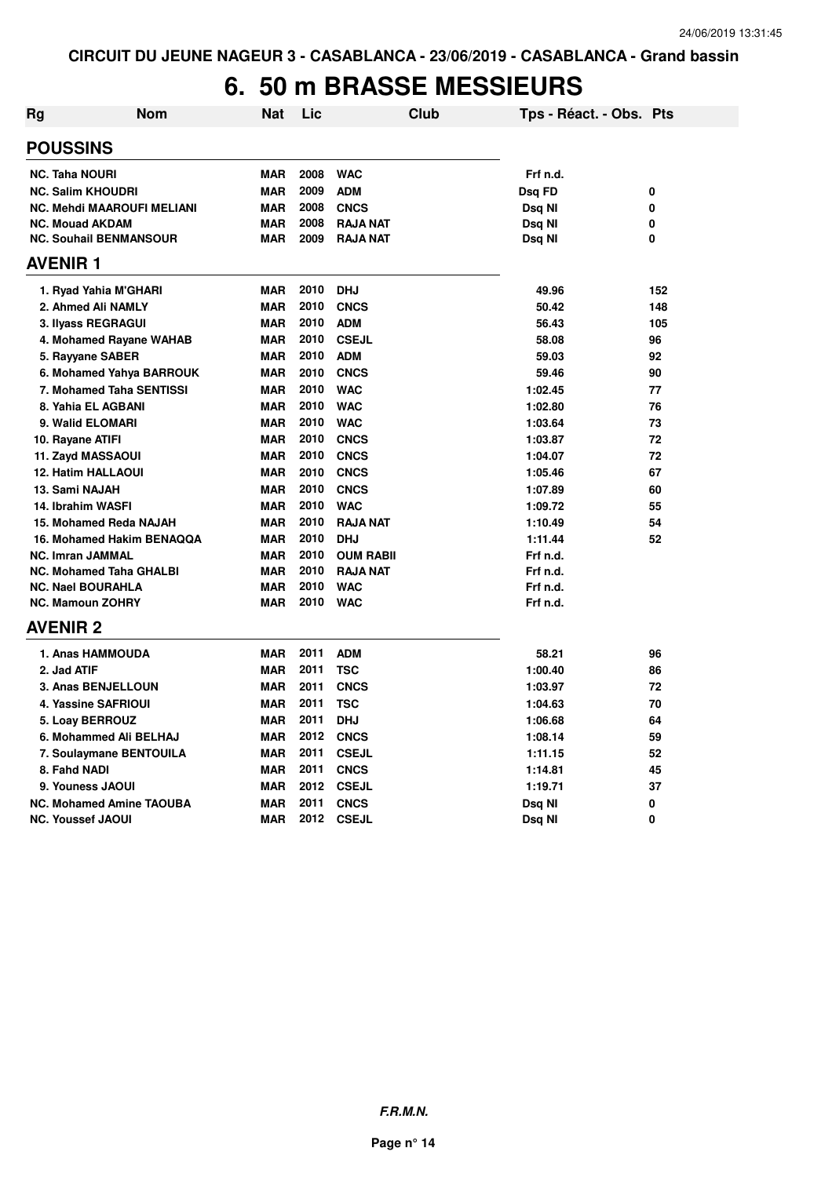## **6. 50 m BRASSE MESSIEURS**

| <b>Rg</b> | <b>Nom</b>                        | Nat        | Lic  | <b>Club</b>      | Tps - Réact. - Obs. Pts |     |
|-----------|-----------------------------------|------------|------|------------------|-------------------------|-----|
|           | <b>POUSSINS</b>                   |            |      |                  |                         |     |
|           | <b>NC. Taha NOURI</b>             | <b>MAR</b> | 2008 | <b>WAC</b>       | Frf n.d.                |     |
|           | <b>NC. Salim KHOUDRI</b>          | <b>MAR</b> | 2009 | <b>ADM</b>       | Dsq FD                  | 0   |
|           | <b>NC. Mehdi MAAROUFI MELIANI</b> | <b>MAR</b> | 2008 | <b>CNCS</b>      | Dsg NI                  | 0   |
|           | <b>NC. Mouad AKDAM</b>            | <b>MAR</b> | 2008 | <b>RAJA NAT</b>  | Dsq NI                  | 0   |
|           | <b>NC. Souhail BENMANSOUR</b>     | <b>MAR</b> | 2009 | <b>RAJA NAT</b>  | Dsq NI                  | 0   |
|           | <b>AVENIR 1</b>                   |            |      |                  |                         |     |
|           | 1. Ryad Yahia M'GHARI             | <b>MAR</b> | 2010 | <b>DHJ</b>       | 49.96                   | 152 |
|           | 2. Ahmed Ali NAMLY                | <b>MAR</b> | 2010 | <b>CNCS</b>      | 50.42                   | 148 |
|           | 3. Ilyass REGRAGUI                | <b>MAR</b> | 2010 | <b>ADM</b>       | 56.43                   | 105 |
|           | 4. Mohamed Rayane WAHAB           | <b>MAR</b> | 2010 | <b>CSEJL</b>     | 58.08                   | 96  |
|           | 5. Rayyane SABER                  | <b>MAR</b> | 2010 | <b>ADM</b>       | 59.03                   | 92  |
|           | 6. Mohamed Yahya BARROUK          | <b>MAR</b> | 2010 | <b>CNCS</b>      | 59.46                   | 90  |
|           | 7. Mohamed Taha SENTISSI          | <b>MAR</b> | 2010 | <b>WAC</b>       | 1:02.45                 | 77  |
|           | 8. Yahia EL AGBANI                | <b>MAR</b> | 2010 | <b>WAC</b>       | 1:02.80                 | 76  |
|           | 9. Walid ELOMARI                  | <b>MAR</b> | 2010 | <b>WAC</b>       | 1:03.64                 | 73  |
|           | 10. Rayane ATIFI                  | <b>MAR</b> | 2010 | <b>CNCS</b>      | 1:03.87                 | 72  |
|           | 11. Zayd MASSAOUI                 | <b>MAR</b> | 2010 | <b>CNCS</b>      | 1:04.07                 | 72  |
|           | <b>12. Hatim HALLAOUI</b>         | <b>MAR</b> | 2010 | <b>CNCS</b>      | 1:05.46                 | 67  |
|           | 13. Sami NAJAH                    | <b>MAR</b> | 2010 | <b>CNCS</b>      | 1:07.89                 | 60  |
|           | 14. Ibrahim WASFI                 | <b>MAR</b> | 2010 | <b>WAC</b>       | 1:09.72                 | 55  |
|           | 15. Mohamed Reda NAJAH            | <b>MAR</b> | 2010 | <b>RAJA NAT</b>  | 1:10.49                 | 54  |
|           | 16. Mohamed Hakim BENAQQA         | <b>MAR</b> | 2010 | <b>DHJ</b>       | 1:11.44                 | 52  |
|           | NC. Imran JAMMAL                  | <b>MAR</b> | 2010 | <b>OUM RABII</b> | Frf n.d.                |     |
|           | <b>NC. Mohamed Taha GHALBI</b>    | <b>MAR</b> | 2010 | <b>RAJA NAT</b>  | Frf n.d.                |     |
|           | <b>NC. Nael BOURAHLA</b>          | <b>MAR</b> | 2010 | <b>WAC</b>       | Frf n.d.                |     |
|           | <b>NC. Mamoun ZOHRY</b>           | <b>MAR</b> |      | 2010 WAC         | Frf n.d.                |     |
|           | <b>AVENIR 2</b>                   |            |      |                  |                         |     |
|           | 1. Anas HAMMOUDA                  | <b>MAR</b> | 2011 | <b>ADM</b>       | 58.21                   | 96  |
|           | 2. Jad ATIF                       | <b>MAR</b> | 2011 | <b>TSC</b>       | 1:00.40                 | 86  |
|           | 3. Anas BENJELLOUN                | <b>MAR</b> | 2011 | <b>CNCS</b>      | 1:03.97                 | 72  |
|           | 4. Yassine SAFRIOUI               | <b>MAR</b> | 2011 | <b>TSC</b>       | 1:04.63                 | 70  |
|           | 5. Loay BERROUZ                   | <b>MAR</b> | 2011 | <b>DHJ</b>       | 1:06.68                 | 64  |
|           | 6. Mohammed Ali BELHAJ            | <b>MAR</b> | 2012 | <b>CNCS</b>      | 1:08.14                 | 59  |
|           | 7. Soulaymane BENTOUILA           | <b>MAR</b> | 2011 | <b>CSEJL</b>     | 1:11.15                 | 52  |
|           | 8. Fahd NADI                      | <b>MAR</b> | 2011 | <b>CNCS</b>      | 1:14.81                 | 45  |
|           | 9. Youness JAOUI                  | <b>MAR</b> | 2012 | <b>CSEJL</b>     | 1:19.71                 | 37  |
|           | <b>NC. Mohamed Amine TAOUBA</b>   | <b>MAR</b> | 2011 | <b>CNCS</b>      | Dsq NI                  | 0   |
|           | <b>NC. Youssef JAOUI</b>          | <b>MAR</b> | 2012 | <b>CSEJL</b>     | Dsq Nl                  | 0   |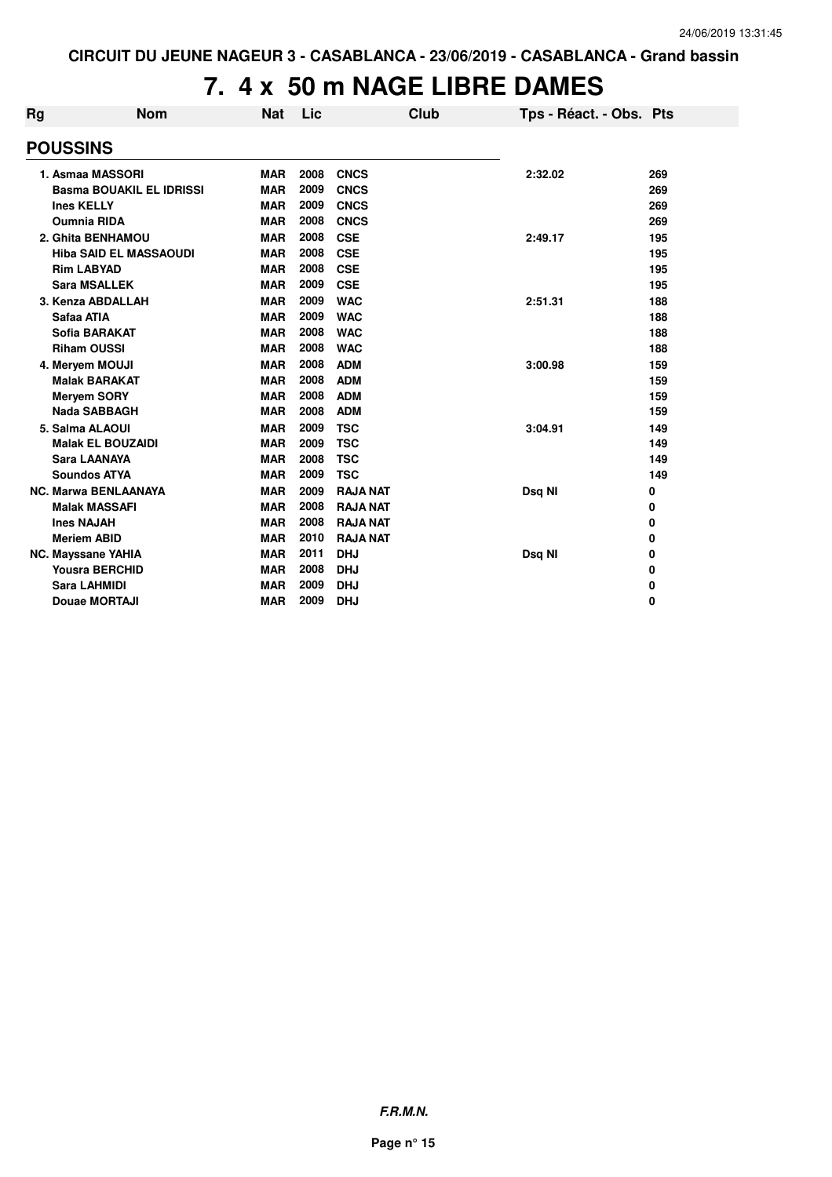# **7. 4 x 50 m NAGE LIBRE DAMES**

| Rg | <b>Nom</b>                      | <b>Nat</b> | Lic  | Club            | Tps - Réact. - Obs. Pts |     |
|----|---------------------------------|------------|------|-----------------|-------------------------|-----|
|    | <b>POUSSINS</b>                 |            |      |                 |                         |     |
|    | 1. Asmaa MASSORI                | <b>MAR</b> | 2008 | <b>CNCS</b>     | 2:32.02                 | 269 |
|    | <b>Basma BOUAKIL EL IDRISSI</b> | <b>MAR</b> | 2009 | <b>CNCS</b>     |                         | 269 |
|    | <b>Ines KELLY</b>               | <b>MAR</b> | 2009 | <b>CNCS</b>     |                         | 269 |
|    | <b>Oumnia RIDA</b>              | <b>MAR</b> | 2008 | <b>CNCS</b>     |                         | 269 |
|    | 2. Ghita BENHAMOU               | <b>MAR</b> | 2008 | <b>CSE</b>      | 2:49.17                 | 195 |
|    | <b>Hiba SAID EL MASSAOUDI</b>   | <b>MAR</b> | 2008 | <b>CSE</b>      |                         | 195 |
|    | <b>Rim LABYAD</b>               | <b>MAR</b> | 2008 | <b>CSE</b>      |                         | 195 |
|    | <b>Sara MSALLEK</b>             | <b>MAR</b> | 2009 | <b>CSE</b>      |                         | 195 |
|    | 3. Kenza ABDALLAH               | <b>MAR</b> | 2009 | <b>WAC</b>      | 2:51.31                 | 188 |
|    | Safaa ATIA                      | <b>MAR</b> | 2009 | <b>WAC</b>      |                         | 188 |
|    | <b>Sofia BARAKAT</b>            | <b>MAR</b> | 2008 | <b>WAC</b>      |                         | 188 |
|    | <b>Riham OUSSI</b>              | <b>MAR</b> | 2008 | <b>WAC</b>      |                         | 188 |
|    | 4. Meryem MOUJI                 | <b>MAR</b> | 2008 | <b>ADM</b>      | 3:00.98                 | 159 |
|    | <b>Malak BARAKAT</b>            | <b>MAR</b> | 2008 | <b>ADM</b>      |                         | 159 |
|    | <b>Meryem SORY</b>              | <b>MAR</b> | 2008 | <b>ADM</b>      |                         | 159 |
|    | <b>Nada SABBAGH</b>             | <b>MAR</b> | 2008 | <b>ADM</b>      |                         | 159 |
|    | 5. Salma ALAOUI                 | <b>MAR</b> | 2009 | <b>TSC</b>      | 3:04.91                 | 149 |
|    | <b>Malak EL BOUZAIDI</b>        | <b>MAR</b> | 2009 | <b>TSC</b>      |                         | 149 |
|    | <b>Sara LAANAYA</b>             | <b>MAR</b> | 2008 | <b>TSC</b>      |                         | 149 |
|    | <b>Soundos ATYA</b>             | <b>MAR</b> | 2009 | <b>TSC</b>      |                         | 149 |
|    | <b>NC. Marwa BENLAANAYA</b>     | <b>MAR</b> | 2009 | <b>RAJA NAT</b> | Dsq NI                  | 0   |
|    | <b>Malak MASSAFI</b>            | <b>MAR</b> | 2008 | <b>RAJA NAT</b> |                         | 0   |
|    | <b>Ines NAJAH</b>               | <b>MAR</b> | 2008 | <b>RAJA NAT</b> |                         | 0   |
|    | <b>Meriem ABID</b>              | <b>MAR</b> | 2010 | <b>RAJA NAT</b> |                         | 0   |
|    | <b>NC. Mayssane YAHIA</b>       | <b>MAR</b> | 2011 | <b>DHJ</b>      | Dsq NI                  | 0   |
|    | <b>Yousra BERCHID</b>           | <b>MAR</b> | 2008 | <b>DHJ</b>      |                         | 0   |
|    | <b>Sara LAHMIDI</b>             | <b>MAR</b> | 2009 | <b>DHJ</b>      |                         | 0   |
|    | Douae MORTAJI                   | <b>MAR</b> | 2009 | <b>DHJ</b>      |                         | 0   |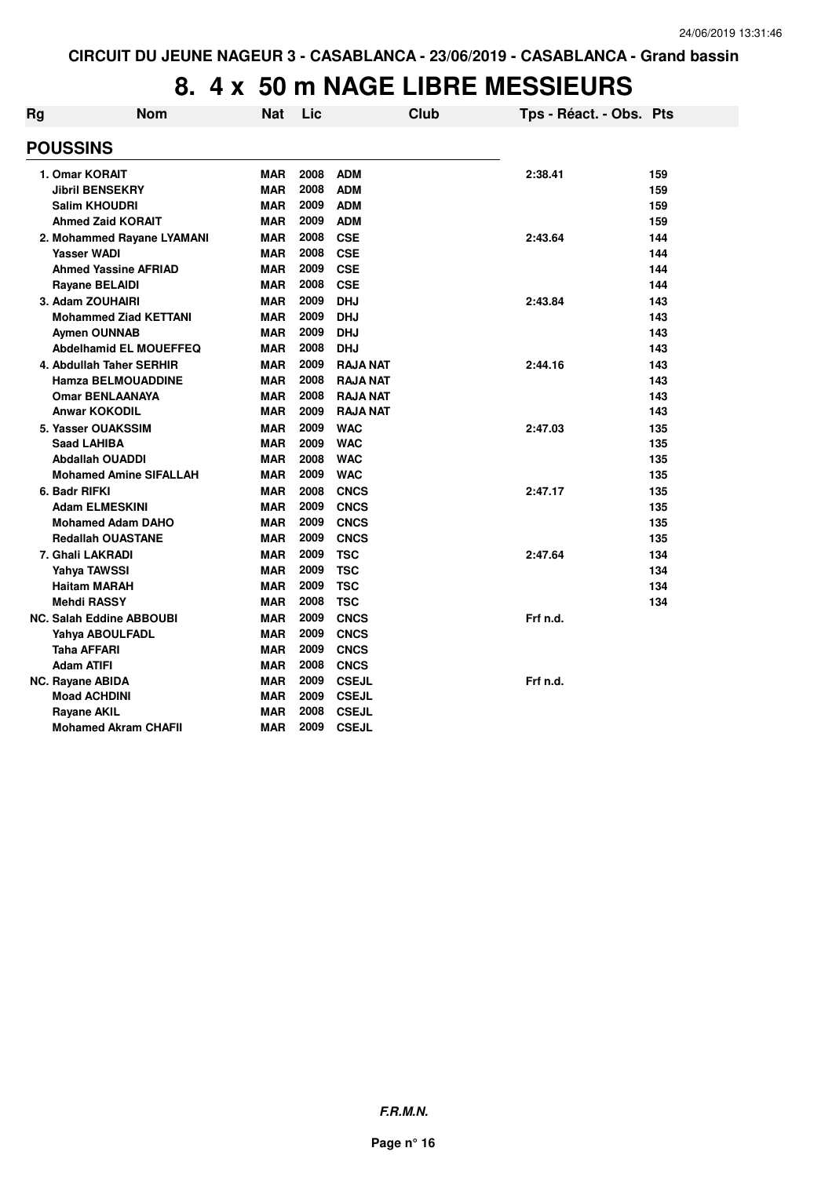| Rg | <b>Nom</b>                      | <b>Nat</b> | Lic  |                 | Club | Tps - Réact. - Obs. Pts |     |
|----|---------------------------------|------------|------|-----------------|------|-------------------------|-----|
|    | <b>POUSSINS</b>                 |            |      |                 |      |                         |     |
|    | 1. Omar KORAIT                  | <b>MAR</b> | 2008 | <b>ADM</b>      |      | 2:38.41                 | 159 |
|    | <b>Jibril BENSEKRY</b>          | <b>MAR</b> | 2008 | <b>ADM</b>      |      |                         | 159 |
|    | <b>Salim KHOUDRI</b>            | MAR        | 2009 | <b>ADM</b>      |      |                         | 159 |
|    | <b>Ahmed Zaid KORAIT</b>        | <b>MAR</b> | 2009 | <b>ADM</b>      |      |                         | 159 |
|    | 2. Mohammed Rayane LYAMANI      | <b>MAR</b> | 2008 | <b>CSE</b>      |      | 2:43.64                 | 144 |
|    | <b>Yasser WADI</b>              | <b>MAR</b> | 2008 | <b>CSE</b>      |      |                         | 144 |
|    | <b>Ahmed Yassine AFRIAD</b>     | <b>MAR</b> | 2009 | <b>CSE</b>      |      |                         | 144 |
|    | <b>Rayane BELAIDI</b>           | <b>MAR</b> | 2008 | <b>CSE</b>      |      |                         | 144 |
|    | 3. Adam ZOUHAIRI                | <b>MAR</b> | 2009 | <b>DHJ</b>      |      | 2:43.84                 | 143 |
|    | <b>Mohammed Ziad KETTANI</b>    | <b>MAR</b> | 2009 | <b>DHJ</b>      |      |                         | 143 |
|    | <b>Aymen OUNNAB</b>             | <b>MAR</b> | 2009 | <b>DHJ</b>      |      |                         | 143 |
|    | <b>Abdelhamid EL MOUEFFEQ</b>   | MAR        | 2008 | <b>DHJ</b>      |      |                         | 143 |
|    | 4. Abdullah Taher SERHIR        | <b>MAR</b> | 2009 | <b>RAJA NAT</b> |      | 2:44.16                 | 143 |
|    | <b>Hamza BELMOUADDINE</b>       | <b>MAR</b> | 2008 | <b>RAJA NAT</b> |      |                         | 143 |
|    | <b>Omar BENLAANAYA</b>          | <b>MAR</b> | 2008 | <b>RAJA NAT</b> |      |                         | 143 |
|    | <b>Anwar KOKODIL</b>            | MAR        | 2009 | <b>RAJA NAT</b> |      |                         | 143 |
|    | 5. Yasser OUAKSSIM              | <b>MAR</b> | 2009 | <b>WAC</b>      |      | 2:47.03                 | 135 |
|    | <b>Saad LAHIBA</b>              | MAR        | 2009 | <b>WAC</b>      |      |                         | 135 |
|    | <b>Abdallah OUADDI</b>          | <b>MAR</b> | 2008 | <b>WAC</b>      |      |                         | 135 |
|    | <b>Mohamed Amine SIFALLAH</b>   | MAR        | 2009 | <b>WAC</b>      |      |                         | 135 |
|    | 6. Badr RIFKI                   | <b>MAR</b> | 2008 | <b>CNCS</b>     |      | 2:47.17                 | 135 |
|    | <b>Adam ELMESKINI</b>           | <b>MAR</b> | 2009 | <b>CNCS</b>     |      |                         | 135 |
|    | <b>Mohamed Adam DAHO</b>        | <b>MAR</b> | 2009 | <b>CNCS</b>     |      |                         | 135 |
|    | <b>Redallah OUASTANE</b>        | <b>MAR</b> | 2009 | <b>CNCS</b>     |      |                         | 135 |
|    | 7. Ghali LAKRADI                | MAR        | 2009 | <b>TSC</b>      |      | 2:47.64                 | 134 |
|    | <b>Yahya TAWSSI</b>             | <b>MAR</b> | 2009 | <b>TSC</b>      |      |                         | 134 |
|    | <b>Haitam MARAH</b>             | <b>MAR</b> | 2009 | <b>TSC</b>      |      |                         | 134 |
|    | <b>Mehdi RASSY</b>              | <b>MAR</b> | 2008 | <b>TSC</b>      |      |                         | 134 |
|    | <b>NC. Salah Eddine ABBOUBI</b> | MAR        | 2009 | <b>CNCS</b>     |      | Frf n.d.                |     |
|    | Yahya ABOULFADL                 | <b>MAR</b> | 2009 | <b>CNCS</b>     |      |                         |     |
|    | <b>Taha AFFARI</b>              | <b>MAR</b> | 2009 | <b>CNCS</b>     |      |                         |     |
|    | <b>Adam ATIFI</b>               | <b>MAR</b> | 2008 | <b>CNCS</b>     |      |                         |     |
|    | <b>NC. Rayane ABIDA</b>         | MAR        | 2009 | <b>CSEJL</b>    |      | Frf n.d.                |     |
|    | <b>Moad ACHDINI</b>             | MAR        | 2009 | <b>CSEJL</b>    |      |                         |     |
|    | <b>Rayane AKIL</b>              | <b>MAR</b> | 2008 | <b>CSEJL</b>    |      |                         |     |
|    | <b>Mohamed Akram CHAFII</b>     | <b>MAR</b> | 2009 | <b>CSEJL</b>    |      |                         |     |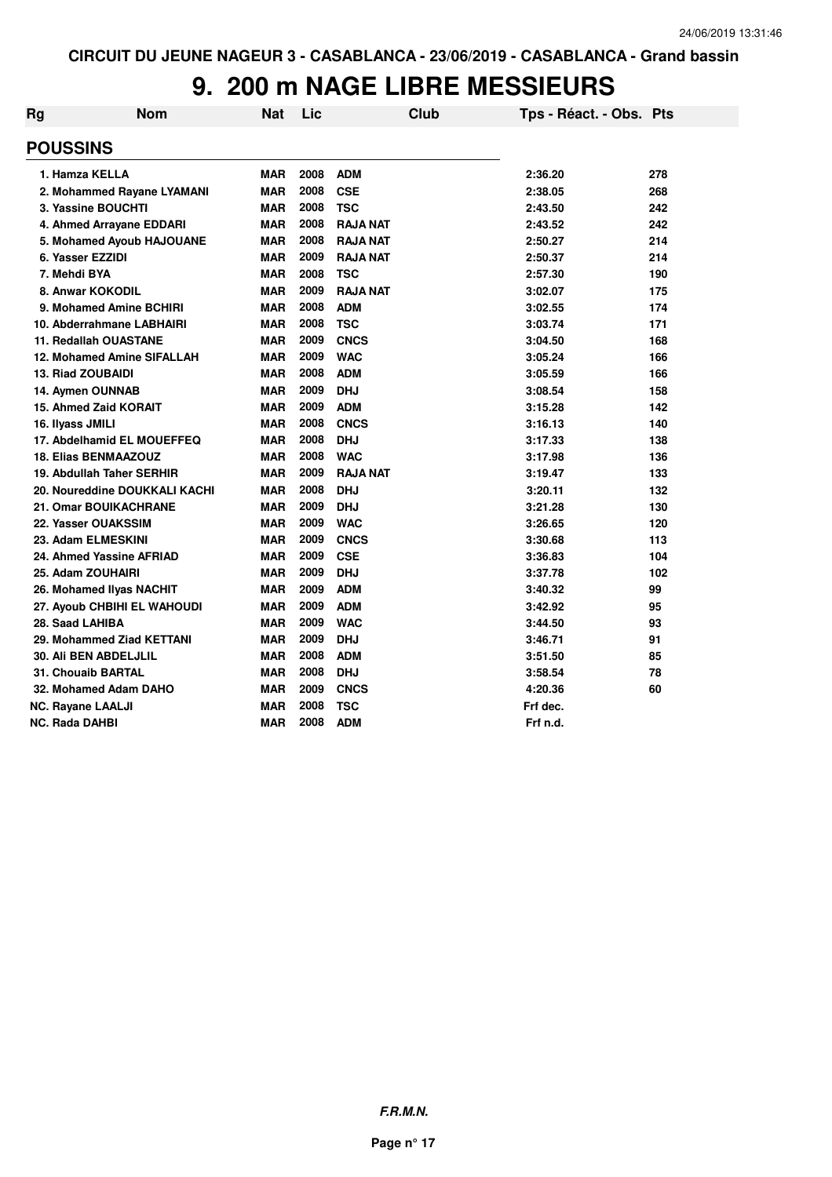| Rg | <b>Nom</b>                    | <b>Nat</b> | Lic  | <b>Club</b>     | Tps - Réact. - Obs. Pts |     |
|----|-------------------------------|------------|------|-----------------|-------------------------|-----|
|    | <b>POUSSINS</b>               |            |      |                 |                         |     |
|    | 1. Hamza KELLA                | <b>MAR</b> | 2008 | <b>ADM</b>      | 2:36.20                 | 278 |
|    | 2. Mohammed Rayane LYAMANI    | <b>MAR</b> | 2008 | <b>CSE</b>      | 2:38.05                 | 268 |
|    | 3. Yassine BOUCHTI            | <b>MAR</b> | 2008 | <b>TSC</b>      | 2:43.50                 | 242 |
|    | 4. Ahmed Arrayane EDDARI      | <b>MAR</b> | 2008 | <b>RAJA NAT</b> | 2:43.52                 | 242 |
|    | 5. Mohamed Ayoub HAJOUANE     | <b>MAR</b> | 2008 | <b>RAJA NAT</b> | 2:50.27                 | 214 |
|    | 6. Yasser EZZIDI              | <b>MAR</b> | 2009 | <b>RAJA NAT</b> | 2:50.37                 | 214 |
|    | 7. Mehdi BYA                  | <b>MAR</b> | 2008 | <b>TSC</b>      | 2:57.30                 | 190 |
|    | 8. Anwar KOKODIL              | <b>MAR</b> | 2009 | <b>RAJA NAT</b> | 3:02.07                 | 175 |
|    | 9. Mohamed Amine BCHIRI       | <b>MAR</b> | 2008 | <b>ADM</b>      | 3:02.55                 | 174 |
|    | 10. Abderrahmane LABHAIRI     | <b>MAR</b> | 2008 | <b>TSC</b>      | 3:03.74                 | 171 |
|    | <b>11. Redallah OUASTANE</b>  | <b>MAR</b> | 2009 | <b>CNCS</b>     | 3:04.50                 | 168 |
|    | 12. Mohamed Amine SIFALLAH    | <b>MAR</b> | 2009 | <b>WAC</b>      | 3:05.24                 | 166 |
|    | <b>13. Riad ZOUBAIDI</b>      | <b>MAR</b> | 2008 | <b>ADM</b>      | 3:05.59                 | 166 |
|    | 14. Aymen OUNNAB              | <b>MAR</b> | 2009 | <b>DHJ</b>      | 3:08.54                 | 158 |
|    | 15. Ahmed Zaid KORAIT         | <b>MAR</b> | 2009 | <b>ADM</b>      | 3:15.28                 | 142 |
|    | 16. Ilyass JMILI              | <b>MAR</b> | 2008 | <b>CNCS</b>     | 3:16.13                 | 140 |
|    | 17. Abdelhamid EL MOUEFFEQ    | <b>MAR</b> | 2008 | <b>DHJ</b>      | 3:17.33                 | 138 |
|    | <b>18. Elias BENMAAZOUZ</b>   | <b>MAR</b> | 2008 | <b>WAC</b>      | 3:17.98                 | 136 |
|    | 19. Abdullah Taher SERHIR     | <b>MAR</b> | 2009 | <b>RAJA NAT</b> | 3:19.47                 | 133 |
|    | 20. Noureddine DOUKKALI KACHI | <b>MAR</b> | 2008 | <b>DHJ</b>      | 3:20.11                 | 132 |
|    | <b>21. Omar BOUIKACHRANE</b>  | <b>MAR</b> | 2009 | <b>DHJ</b>      | 3:21.28                 | 130 |
|    | 22. Yasser OUAKSSIM           | <b>MAR</b> | 2009 | <b>WAC</b>      | 3:26.65                 | 120 |
|    | 23. Adam ELMESKINI            | <b>MAR</b> | 2009 | <b>CNCS</b>     | 3:30.68                 | 113 |
|    | 24. Ahmed Yassine AFRIAD      | <b>MAR</b> | 2009 | <b>CSE</b>      | 3:36.83                 | 104 |
|    | 25. Adam ZOUHAIRI             | <b>MAR</b> | 2009 | <b>DHJ</b>      | 3:37.78                 | 102 |
|    | 26. Mohamed Ilyas NACHIT      | <b>MAR</b> | 2009 | <b>ADM</b>      | 3:40.32                 | 99  |
|    | 27. Ayoub CHBIHI EL WAHOUDI   | <b>MAR</b> | 2009 | <b>ADM</b>      | 3:42.92                 | 95  |
|    | 28. Saad LAHIBA               | <b>MAR</b> | 2009 | <b>WAC</b>      | 3:44.50                 | 93  |
|    | 29. Mohammed Ziad KETTANI     | <b>MAR</b> | 2009 | <b>DHJ</b>      | 3:46.71                 | 91  |
|    | <b>30. Ali BEN ABDELJLIL</b>  | <b>MAR</b> | 2008 | <b>ADM</b>      | 3:51.50                 | 85  |
|    | <b>31. Chouaib BARTAL</b>     | <b>MAR</b> | 2008 | <b>DHJ</b>      | 3:58.54                 | 78  |
|    | 32. Mohamed Adam DAHO         | <b>MAR</b> | 2009 | <b>CNCS</b>     | 4:20.36                 | 60  |
|    | <b>NC. Rayane LAALJI</b>      | <b>MAR</b> | 2008 | <b>TSC</b>      | Frf dec.                |     |
|    | <b>NC. Rada DAHBI</b>         | <b>MAR</b> | 2008 | <b>ADM</b>      | Frf n.d.                |     |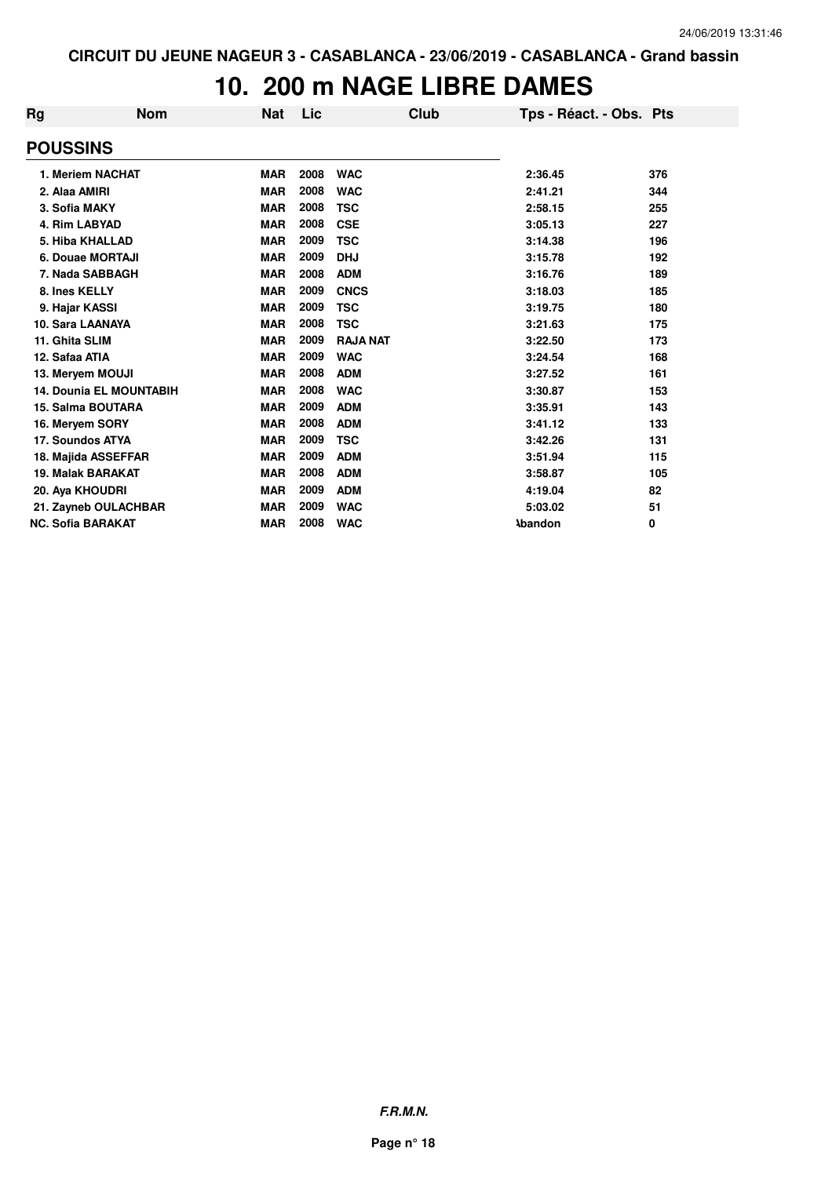### **10. 200 m NAGE LIBRE DAMES**

| Rg                       | <b>Nom</b>                     | <b>Nat</b> | Lic  | Club            | Tps - Réact. - Obs. Pts |     |
|--------------------------|--------------------------------|------------|------|-----------------|-------------------------|-----|
| <b>POUSSINS</b>          |                                |            |      |                 |                         |     |
| 1. Meriem NACHAT         |                                | <b>MAR</b> | 2008 | <b>WAC</b>      | 2:36.45                 | 376 |
| 2. Alaa AMIRI            |                                | <b>MAR</b> | 2008 | <b>WAC</b>      | 2:41.21                 | 344 |
| 3. Sofia MAKY            |                                | <b>MAR</b> | 2008 | <b>TSC</b>      | 2:58.15                 | 255 |
| 4. Rim LABYAD            |                                | <b>MAR</b> | 2008 | <b>CSE</b>      | 3:05.13                 | 227 |
| 5. Hiba KHALLAD          |                                | <b>MAR</b> | 2009 | <b>TSC</b>      | 3:14.38                 | 196 |
| 6. Douae MORTAJI         |                                | <b>MAR</b> | 2009 | <b>DHJ</b>      | 3:15.78                 | 192 |
| 7. Nada SABBAGH          |                                | <b>MAR</b> | 2008 | <b>ADM</b>      | 3:16.76                 | 189 |
| 8. Ines KELLY            |                                | <b>MAR</b> | 2009 | <b>CNCS</b>     | 3:18.03                 | 185 |
| 9. Hajar KASSI           |                                | <b>MAR</b> | 2009 | <b>TSC</b>      | 3:19.75                 | 180 |
| 10. Sara LAANAYA         |                                | <b>MAR</b> | 2008 | <b>TSC</b>      | 3:21.63                 | 175 |
| 11. Ghita SLIM           |                                | <b>MAR</b> | 2009 | <b>RAJA NAT</b> | 3:22.50                 | 173 |
| 12. Safaa ATIA           |                                | <b>MAR</b> | 2009 | <b>WAC</b>      | 3:24.54                 | 168 |
| 13. Meryem MOUJI         |                                | <b>MAR</b> | 2008 | <b>ADM</b>      | 3:27.52                 | 161 |
|                          | <b>14. Dounia EL MOUNTABIH</b> | <b>MAR</b> | 2008 | <b>WAC</b>      | 3:30.87                 | 153 |
| <b>15. Salma BOUTARA</b> |                                | <b>MAR</b> | 2009 | <b>ADM</b>      | 3:35.91                 | 143 |
| 16. Meryem SORY          |                                | <b>MAR</b> | 2008 | <b>ADM</b>      | 3:41.12                 | 133 |
| 17. Soundos ATYA         |                                | <b>MAR</b> | 2009 | <b>TSC</b>      | 3:42.26                 | 131 |
| 18. Majida ASSEFFAR      |                                | <b>MAR</b> | 2009 | <b>ADM</b>      | 3:51.94                 | 115 |
| <b>19. Malak BARAKAT</b> |                                | <b>MAR</b> | 2008 | <b>ADM</b>      | 3:58.87                 | 105 |
| 20. Aya KHOUDRI          |                                | <b>MAR</b> | 2009 | <b>ADM</b>      | 4:19.04                 | 82  |
| 21. Zayneb OULACHBAR     |                                | <b>MAR</b> | 2009 | <b>WAC</b>      | 5:03.02                 | 51  |
| <b>NC. Sofia BARAKAT</b> |                                | <b>MAR</b> | 2008 | <b>WAC</b>      | <b>\bandon</b>          | 0   |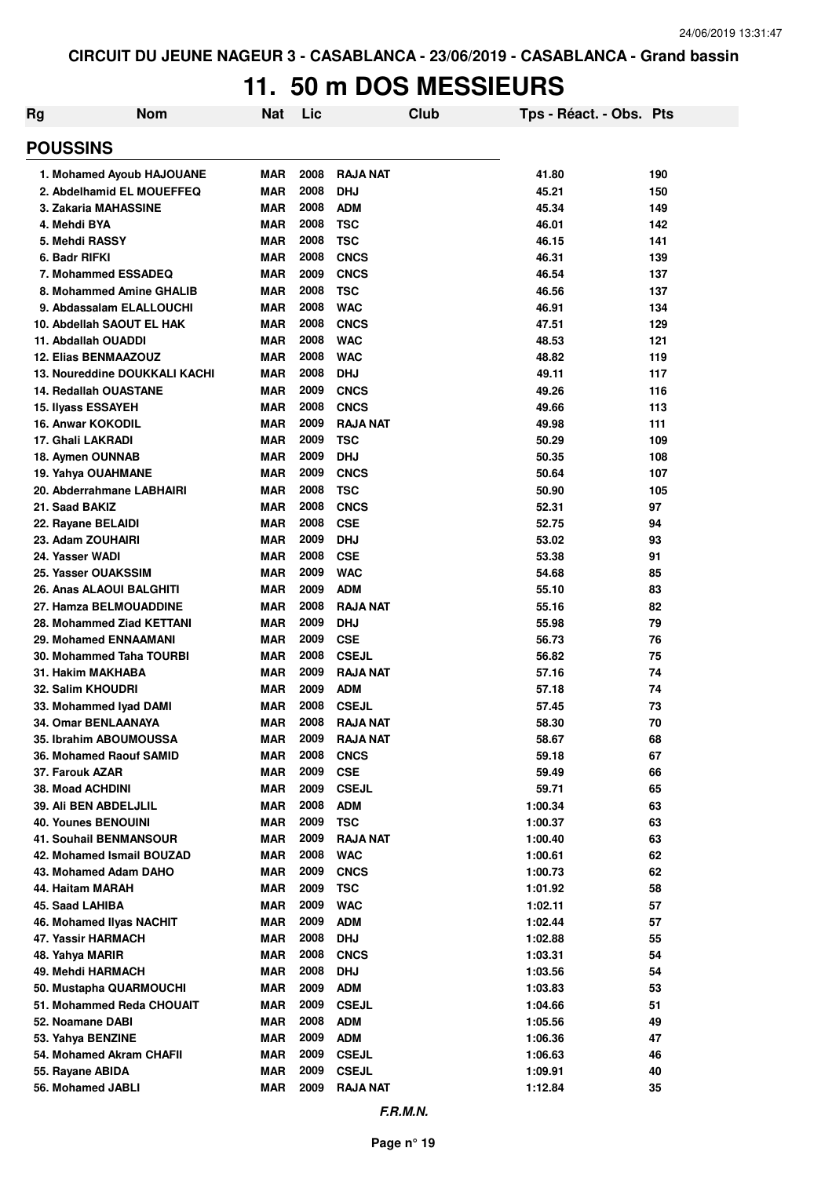# **11. 50 m DOS MESSIEURS**

| Rg                                                | <b>Nom</b>                    | <b>Nat</b>               | Lic          | Club                       | Tps - Réact. - Obs. Pts |          |
|---------------------------------------------------|-------------------------------|--------------------------|--------------|----------------------------|-------------------------|----------|
| <b>POUSSINS</b>                                   |                               |                          |              |                            |                         |          |
|                                                   | 1. Mohamed Ayoub HAJOUANE     | <b>MAR</b>               | 2008         | <b>RAJA NAT</b>            | 41.80                   | 190      |
|                                                   | 2. Abdelhamid EL MOUEFFEQ     | <b>MAR</b>               | 2008         | <b>DHJ</b>                 | 45.21                   | 150      |
| 3. Zakaria MAHASSINE                              |                               | <b>MAR</b>               | 2008         | <b>ADM</b>                 | 45.34                   | 149      |
| 4. Mehdi BYA                                      |                               | <b>MAR</b>               | 2008         | <b>TSC</b>                 | 46.01                   | 142      |
| 5. Mehdi RASSY                                    |                               | <b>MAR</b>               | 2008         | <b>TSC</b>                 | 46.15                   | 141      |
| 6. Badr RIFKI                                     |                               | <b>MAR</b>               | 2008         | <b>CNCS</b>                | 46.31                   | 139      |
| 7. Mohammed ESSADEQ                               |                               | <b>MAR</b>               | 2009         | <b>CNCS</b>                | 46.54                   | 137      |
|                                                   | 8. Mohammed Amine GHALIB      | <b>MAR</b>               | 2008         | <b>TSC</b>                 | 46.56                   | 137      |
| 9. Abdassalam ELALLOUCHI                          |                               | <b>MAR</b>               | 2008         | <b>WAC</b>                 | 46.91                   | 134      |
| 10. Abdellah SAOUT EL HAK                         |                               | <b>MAR</b>               | 2008         | <b>CNCS</b>                | 47.51                   | 129      |
| 11. Abdallah OUADDI                               |                               | <b>MAR</b>               | 2008         | <b>WAC</b>                 | 48.53                   | 121      |
| <b>12. Elias BENMAAZOUZ</b>                       |                               | <b>MAR</b>               | 2008         | <b>WAC</b>                 | 48.82                   | 119      |
|                                                   | 13. Noureddine DOUKKALI KACHI | <b>MAR</b>               | 2008         | <b>DHJ</b>                 | 49.11                   | 117      |
| <b>14. Redallah OUASTANE</b>                      |                               | <b>MAR</b>               | 2009         | <b>CNCS</b>                | 49.26                   | 116      |
| <b>15. Ilyass ESSAYEH</b>                         |                               | <b>MAR</b>               | 2008         | <b>CNCS</b>                | 49.66                   | 113      |
| <b>16. Anwar KOKODIL</b>                          |                               | <b>MAR</b>               | 2009         | <b>RAJA NAT</b>            | 49.98                   | 111      |
| 17. Ghali LAKRADI                                 |                               | <b>MAR</b>               | 2009         | <b>TSC</b>                 | 50.29                   | 109      |
| 18. Aymen OUNNAB                                  |                               | <b>MAR</b>               | 2009         | <b>DHJ</b>                 | 50.35                   | 108      |
| 19. Yahya OUAHMANE                                |                               | <b>MAR</b>               | 2009         | <b>CNCS</b>                | 50.64                   | 107      |
| 20. Abderrahmane LABHAIRI                         |                               | <b>MAR</b>               | 2008         | <b>TSC</b>                 | 50.90                   | 105      |
| 21. Saad BAKIZ                                    |                               | <b>MAR</b>               | 2008         | <b>CNCS</b>                | 52.31                   | 97       |
| 22. Rayane BELAIDI                                |                               | <b>MAR</b>               | 2008         | <b>CSE</b>                 | 52.75                   | 94       |
| 23. Adam ZOUHAIRI                                 |                               | <b>MAR</b>               | 2009         | <b>DHJ</b>                 | 53.02                   | 93       |
| 24. Yasser WADI                                   |                               | <b>MAR</b>               | 2008         | <b>CSE</b>                 | 53.38                   | 91       |
| 25. Yasser OUAKSSIM                               |                               | <b>MAR</b>               | 2009         | <b>WAC</b>                 | 54.68                   | 85       |
| 26. Anas ALAOUI BALGHITI                          |                               | <b>MAR</b>               | 2009         | <b>ADM</b>                 | 55.10                   | 83       |
| 27. Hamza BELMOUADDINE                            |                               | <b>MAR</b>               | 2008         | <b>RAJA NAT</b>            | 55.16                   | 82       |
| 28. Mohammed Ziad KETTANI                         |                               | <b>MAR</b>               | 2009<br>2009 | <b>DHJ</b>                 | 55.98                   | 79       |
| 29. Mohamed ENNAAMANI<br>30. Mohammed Taha TOURBI |                               | <b>MAR</b><br><b>MAR</b> | 2008         | <b>CSE</b><br><b>CSEJL</b> | 56.73<br>56.82          | 76<br>75 |
| 31. Hakim MAKHABA                                 |                               | <b>MAR</b>               | 2009         | <b>RAJA NAT</b>            | 57.16                   | 74       |
| 32. Salim KHOUDRI                                 |                               | <b>MAR</b>               | 2009         | <b>ADM</b>                 | 57.18                   | 74       |
| 33. Mohammed Iyad DAMI                            |                               | <b>MAR</b>               | 2008         | <b>CSEJL</b>               | 57.45                   | 73       |
| 34. Omar BENLAANAYA                               |                               | <b>MAR</b>               | 2008         | <b>RAJA NAT</b>            | 58.30                   | 70       |
| 35. Ibrahim ABOUMOUSSA                            |                               | <b>MAR</b>               | 2009         | <b>RAJA NAT</b>            | 58.67                   | 68       |
| 36. Mohamed Raouf SAMID                           |                               | <b>MAR</b>               | 2008         | <b>CNCS</b>                | 59.18                   | 67       |
| 37. Farouk AZAR                                   |                               | <b>MAR</b>               | 2009         | <b>CSE</b>                 | 59.49                   | 66       |
| 38. Moad ACHDINI                                  |                               | <b>MAR</b>               | 2009         | <b>CSEJL</b>               | 59.71                   | 65       |
| 39. Ali BEN ABDELJLIL                             |                               | <b>MAR</b>               | 2008         | <b>ADM</b>                 | 1:00.34                 | 63       |
| <b>40. Younes BENOUINI</b>                        |                               | <b>MAR</b>               | 2009         | <b>TSC</b>                 | 1:00.37                 | 63       |
| <b>41. Souhail BENMANSOUR</b>                     |                               | <b>MAR</b>               | 2009         | <b>RAJA NAT</b>            | 1:00.40                 | 63       |
| 42. Mohamed Ismail BOUZAD                         |                               | <b>MAR</b>               | 2008         | <b>WAC</b>                 | 1:00.61                 | 62       |
| 43. Mohamed Adam DAHO                             |                               | <b>MAR</b>               | 2009         | <b>CNCS</b>                | 1:00.73                 | 62       |
| 44. Haitam MARAH                                  |                               | <b>MAR</b>               | 2009         | <b>TSC</b>                 | 1:01.92                 | 58       |
| 45. Saad LAHIBA                                   |                               | <b>MAR</b>               | 2009         | <b>WAC</b>                 | 1:02.11                 | 57       |
| 46. Mohamed Ilyas NACHIT                          |                               | <b>MAR</b>               | 2009         | <b>ADM</b>                 | 1:02.44                 | 57       |
| 47. Yassir HARMACH                                |                               | <b>MAR</b>               | 2008         | <b>DHJ</b>                 | 1:02.88                 | 55       |
| 48. Yahya MARIR                                   |                               | <b>MAR</b>               | 2008         | <b>CNCS</b>                | 1:03.31                 | 54       |
| 49. Mehdi HARMACH                                 |                               | <b>MAR</b>               | 2008         | <b>DHJ</b>                 | 1:03.56                 | 54       |
| 50. Mustapha QUARMOUCHI                           |                               | <b>MAR</b>               | 2009         | <b>ADM</b>                 | 1:03.83                 | 53       |
| 51. Mohammed Reda CHOUAIT                         |                               | <b>MAR</b>               | 2009         | <b>CSEJL</b>               | 1:04.66                 | 51       |
| 52. Noamane DABI                                  |                               | <b>MAR</b>               | 2008         | <b>ADM</b>                 | 1:05.56                 | 49       |
| 53. Yahya BENZINE                                 |                               | <b>MAR</b>               | 2009         | <b>ADM</b>                 | 1:06.36                 | 47       |
| 54. Mohamed Akram CHAFII                          |                               | <b>MAR</b>               | 2009         | <b>CSEJL</b>               | 1:06.63                 | 46       |
| 55. Rayane ABIDA                                  |                               | <b>MAR</b>               | 2009         | <b>CSEJL</b>               | 1:09.91                 | 40       |
| 56. Mohamed JABLI                                 |                               | <b>MAR</b>               | 2009         | <b>RAJA NAT</b>            | 1:12.84                 | 35       |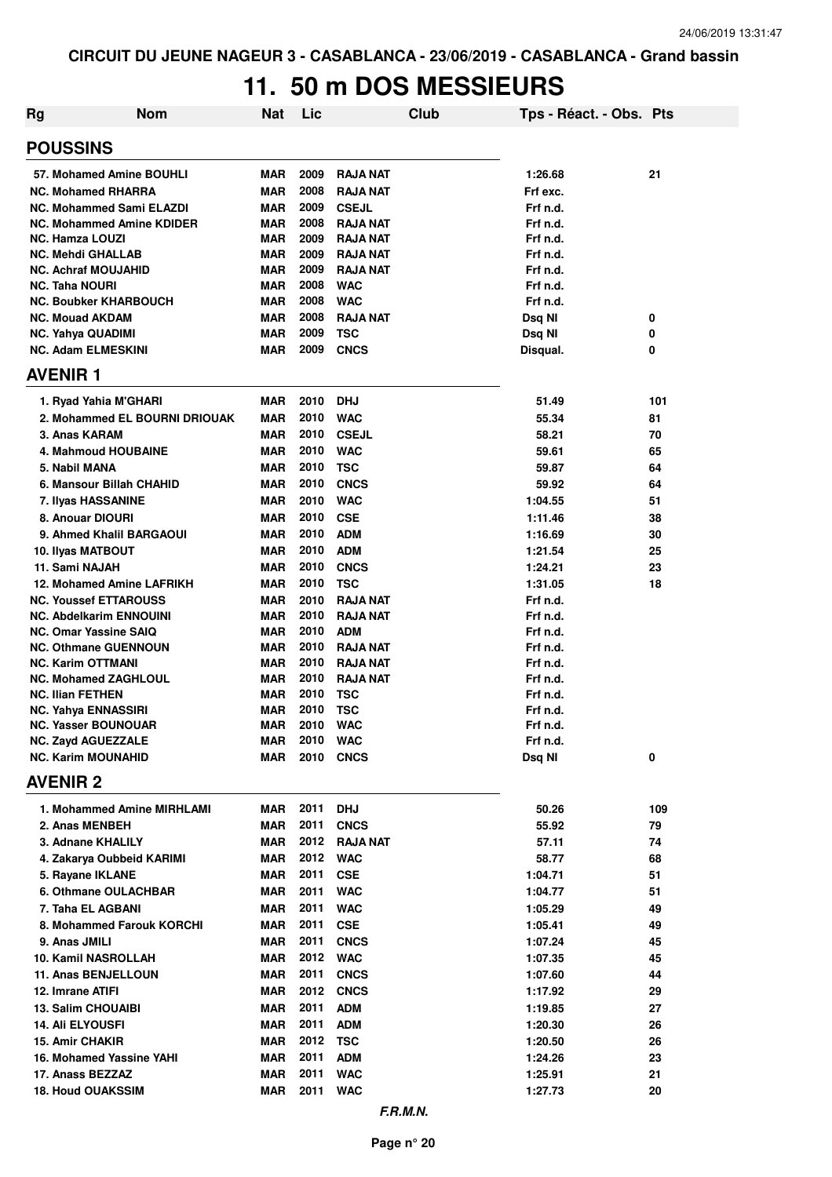# **11. 50 m DOS MESSIEURS**

| Rg                    | <b>Nom</b>                                             | Nat                      | Lic          |                               | <b>Club</b> | Tps - Réact. - Obs. Pts |     |
|-----------------------|--------------------------------------------------------|--------------------------|--------------|-------------------------------|-------------|-------------------------|-----|
| <b>POUSSINS</b>       |                                                        |                          |              |                               |             |                         |     |
|                       | 57. Mohamed Amine BOUHLI                               | MAR                      | 2009         | <b>RAJA NAT</b>               |             | 1:26.68                 | 21  |
|                       | <b>NC. Mohamed RHARRA</b>                              | <b>MAR</b>               | 2008         | <b>RAJA NAT</b>               |             | Frf exc.                |     |
|                       | <b>NC. Mohammed Sami ELAZDI</b>                        | <b>MAR</b>               | 2009         | <b>CSEJL</b>                  |             | Frf n.d.                |     |
|                       | <b>NC. Mohammed Amine KDIDER</b>                       | MAR                      | 2008         | <b>RAJA NAT</b>               |             | Frf n.d.                |     |
|                       | <b>NC. Hamza LOUZI</b>                                 | MAR                      | 2009         | <b>RAJA NAT</b>               |             | Frf n.d.                |     |
|                       | <b>NC. Mehdi GHALLAB</b>                               | <b>MAR</b>               | 2009         | <b>RAJA NAT</b>               |             | Frf n.d.                |     |
|                       | <b>NC. Achraf MOUJAHID</b>                             | <b>MAR</b>               | 2009         | <b>RAJA NAT</b>               |             | Frf n.d.                |     |
| <b>NC. Taha NOURI</b> |                                                        | MAR                      | 2008         | <b>WAC</b>                    |             | Frf n.d.                |     |
|                       | <b>NC. Boubker KHARBOUCH</b>                           | MAR                      | 2008         | <b>WAC</b>                    |             | Frf n.d.                |     |
|                       | <b>NC. Mouad AKDAM</b>                                 | <b>MAR</b>               | 2008         | <b>RAJA NAT</b>               |             | Dsq NI                  | 0   |
|                       | <b>NC. Yahya QUADIMI</b>                               | <b>MAR</b>               | 2009         | <b>TSC</b>                    |             | Dsq NI                  | 0   |
|                       | <b>NC. Adam ELMESKINI</b>                              | <b>MAR</b>               | 2009         | <b>CNCS</b>                   |             | Disqual.                | 0   |
| <b>AVENIR 1</b>       |                                                        |                          |              |                               |             |                         |     |
|                       | 1. Ryad Yahia M'GHARI                                  | MAR                      | 2010         | <b>DHJ</b>                    |             | 51.49                   | 101 |
|                       | 2. Mohammed EL BOURNI DRIOUAK                          | <b>MAR</b>               | 2010         | <b>WAC</b>                    |             | 55.34                   | 81  |
|                       | 3. Anas KARAM                                          | <b>MAR</b>               | 2010         | <b>CSEJL</b>                  |             | 58.21                   | 70  |
|                       | 4. Mahmoud HOUBAINE                                    | <b>MAR</b>               | 2010         | <b>WAC</b>                    |             | 59.61                   | 65  |
|                       | 5. Nabil MANA                                          | <b>MAR</b>               | 2010         | <b>TSC</b>                    |             | 59.87                   | 64  |
|                       | 6. Mansour Billah CHAHID                               | <b>MAR</b>               | 2010         | <b>CNCS</b>                   |             | 59.92                   | 64  |
|                       | 7. Ilyas HASSANINE                                     | <b>MAR</b>               | 2010         | <b>WAC</b>                    |             | 1:04.55                 | 51  |
|                       | 8. Anouar DIOURI                                       | <b>MAR</b>               | 2010         | <b>CSE</b>                    |             | 1:11.46                 | 38  |
|                       | 9. Ahmed Khalil BARGAOUI                               | <b>MAR</b>               | 2010         | <b>ADM</b>                    |             | 1:16.69                 | 30  |
|                       | 10. Ilyas MATBOUT                                      | <b>MAR</b>               | 2010         | <b>ADM</b>                    |             | 1:21.54                 | 25  |
|                       | 11. Sami NAJAH                                         | MAR                      | 2010         | <b>CNCS</b>                   |             | 1:24.21                 | 23  |
|                       | 12. Mohamed Amine LAFRIKH                              | <b>MAR</b>               | 2010         | <b>TSC</b>                    |             | 1:31.05                 | 18  |
|                       | <b>NC. Youssef ETTAROUSS</b>                           | <b>MAR</b>               | 2010         | <b>RAJA NAT</b>               |             | Frf n.d.                |     |
|                       | <b>NC. Abdelkarim ENNOUINI</b>                         | <b>MAR</b>               | 2010         | <b>RAJA NAT</b>               |             | Frf n.d.                |     |
|                       | <b>NC. Omar Yassine SAIQ</b>                           | <b>MAR</b>               | 2010         | <b>ADM</b>                    |             | Frf n.d.                |     |
|                       | <b>NC. Othmane GUENNOUN</b>                            | <b>MAR</b>               | 2010         | <b>RAJA NAT</b>               |             | Frf n.d.                |     |
|                       | <b>NC. Karim OTTMANI</b>                               | <b>MAR</b>               | 2010<br>2010 | <b>RAJA NAT</b>               |             | Frf n.d.                |     |
|                       | <b>NC. Mohamed ZAGHLOUL</b><br><b>NC. Ilian FETHEN</b> | <b>MAR</b><br><b>MAR</b> | 2010         | <b>RAJA NAT</b><br><b>TSC</b> |             | Frf n.d.<br>Frf n.d.    |     |
|                       | <b>NC. Yahya ENNASSIRI</b>                             | MAR                      | 2010         | <b>TSC</b>                    |             | Frf n.d.                |     |
|                       | <b>NC. Yasser BOUNOUAR</b>                             | MAR                      | 2010         | <b>WAC</b>                    |             | Frf n.d.                |     |
|                       | <b>NC. Zayd AGUEZZALE</b>                              | <b>MAR</b>               |              | 2010 WAC                      |             | Frf n.d.                |     |
|                       | <b>NC. Karim MOUNAHID</b>                              | MAR                      | 2010         | <b>CNCS</b>                   |             | Dsq NI                  | 0   |
| <b>AVENIR 2</b>       |                                                        |                          |              |                               |             |                         |     |
|                       | 1. Mohammed Amine MIRHLAMI                             | MAR                      | 2011         | <b>DHJ</b>                    |             | 50.26                   | 109 |
|                       | 2. Anas MENBEH                                         | MAR                      | 2011         | <b>CNCS</b>                   |             | 55.92                   | 79  |
|                       | 3. Adnane KHALILY                                      | MAR                      | 2012         | <b>RAJA NAT</b>               |             | 57.11                   | 74  |
|                       | 4. Zakarya Oubbeid KARIMI                              | MAR                      | 2012         | <b>WAC</b>                    |             | 58.77                   | 68  |
|                       | 5. Rayane IKLANE                                       | MAR                      | 2011         | <b>CSE</b>                    |             | 1:04.71                 | 51  |
|                       | 6. Othmane OULACHBAR                                   | MAR                      | 2011         | <b>WAC</b>                    |             | 1:04.77                 | 51  |
|                       | 7. Taha EL AGBANI                                      | MAR                      | 2011         | <b>WAC</b>                    |             | 1:05.29                 | 49  |
|                       | 8. Mohammed Farouk KORCHI                              | MAR                      | 2011         | <b>CSE</b>                    |             | 1:05.41                 | 49  |
|                       | 9. Anas JMILI                                          | MAR                      | 2011         | <b>CNCS</b>                   |             | 1:07.24                 | 45  |
|                       | 10. Kamil NASROLLAH                                    | <b>MAR</b>               | 2012         | <b>WAC</b>                    |             | 1:07.35                 | 45  |
|                       | 11. Anas BENJELLOUN                                    | <b>MAR</b>               | 2011         | <b>CNCS</b>                   |             | 1:07.60                 | 44  |
|                       | 12. Imrane ATIFI                                       | <b>MAR</b>               | 2012         | <b>CNCS</b>                   |             | 1:17.92                 | 29  |
|                       | <b>13. Salim CHOUAIBI</b>                              | <b>MAR</b>               | 2011         | <b>ADM</b>                    |             | 1:19.85                 | 27  |
|                       | 14. Ali ELYOUSFI                                       | MAR                      | 2011         | <b>ADM</b>                    |             | 1:20.30                 | 26  |
|                       | 15. Amir CHAKIR                                        | MAR                      | 2012         | <b>TSC</b>                    |             | 1:20.50                 | 26  |
|                       | 16. Mohamed Yassine YAHI                               | MAR                      | 2011         | <b>ADM</b>                    |             | 1:24.26                 | 23  |
|                       | 17. Anass BEZZAZ                                       | <b>MAR</b>               | 2011         | <b>WAC</b>                    |             | 1:25.91                 | 21  |
|                       | <b>18. Houd OUAKSSIM</b>                               | MAR                      | 2011         | <b>WAC</b>                    |             | 1:27.73                 | 20  |
|                       |                                                        |                          |              |                               |             |                         |     |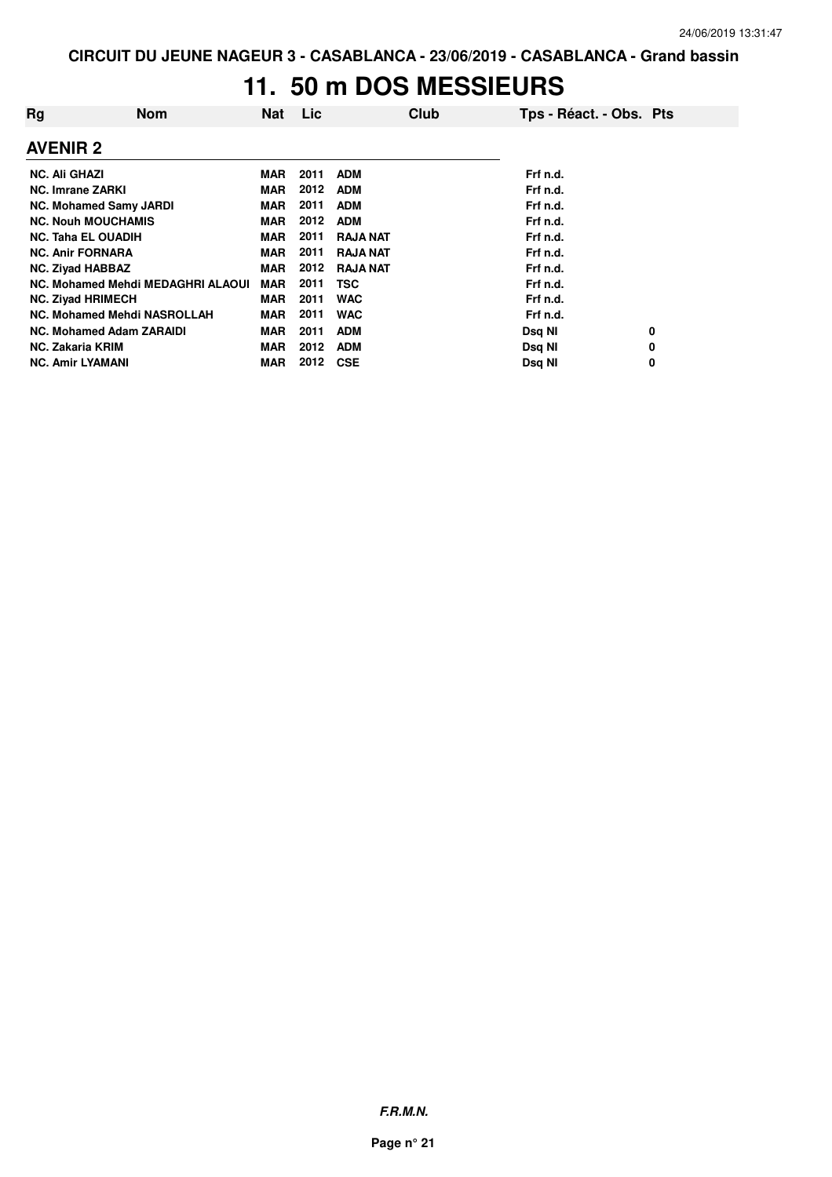# **11. 50 m DOS MESSIEURS**

| Rg                        | <b>Nom</b>                        | Nat        | <b>Lic</b> | Club            | Tps - Réact. - Obs. Pts |
|---------------------------|-----------------------------------|------------|------------|-----------------|-------------------------|
| <b>AVENIR 2</b>           |                                   |            |            |                 |                         |
| <b>NC. Ali GHAZI</b>      |                                   | MAR        | 2011       | <b>ADM</b>      | Frf n.d.                |
| <b>NC. Imrane ZARKI</b>   |                                   | <b>MAR</b> | 2012       | <b>ADM</b>      | Frf n.d.                |
|                           | <b>NC. Mohamed Samy JARDI</b>     | <b>MAR</b> | 2011       | <b>ADM</b>      | Frf n.d.                |
|                           | <b>NC. Nouh MOUCHAMIS</b>         | <b>MAR</b> | 2012       | <b>ADM</b>      | Frf n.d.                |
| <b>NC. Taha EL OUADIH</b> |                                   | <b>MAR</b> | 2011       | <b>RAJA NAT</b> | Frf n.d.                |
| <b>NC. Anir FORNARA</b>   |                                   | MAR        | 2011       | <b>RAJA NAT</b> | Frf n.d.                |
| <b>NC. Zivad HABBAZ</b>   |                                   | <b>MAR</b> | 2012       | <b>RAJA NAT</b> | Frf n.d.                |
|                           | NC. Mohamed Mehdi MEDAGHRI ALAOUI | <b>MAR</b> | 2011       | <b>TSC</b>      | Frf n.d.                |
| <b>NC. Ziyad HRIMECH</b>  |                                   | <b>MAR</b> | 2011       | <b>WAC</b>      | Frf n.d.                |
|                           | NC. Mohamed Mehdi NASROLLAH       | <b>MAR</b> | 2011       | <b>WAC</b>      | Frf n.d.                |
|                           | <b>NC. Mohamed Adam ZARAIDI</b>   | <b>MAR</b> | 2011       | <b>ADM</b>      | Dsq NI<br>0             |
| <b>NC. Zakaria KRIM</b>   |                                   | <b>MAR</b> | 2012       | <b>ADM</b>      | Dsq NI<br>0             |
| <b>NC. Amir LYAMANI</b>   |                                   | <b>MAR</b> | 2012       | <b>CSE</b>      | Dsq NI<br>0             |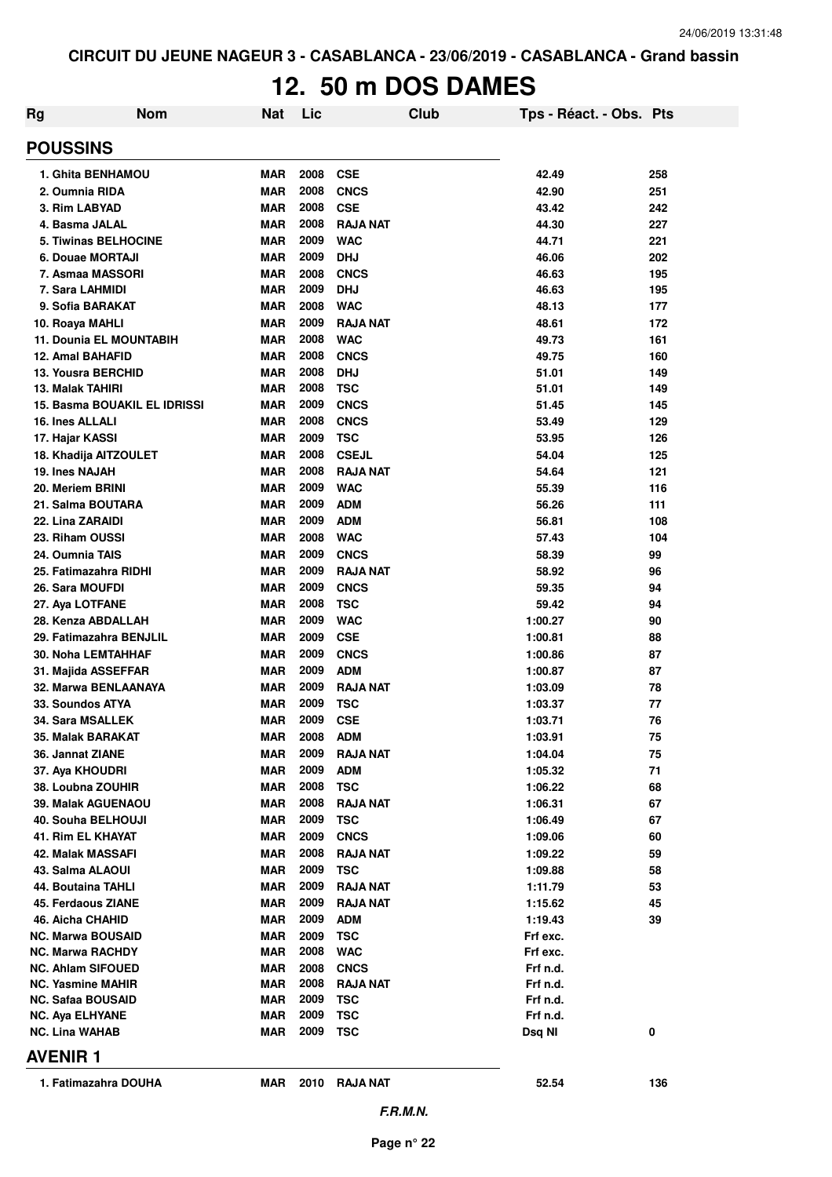# **12. 50 m DOS DAMES**

| Rg | <b>Nom</b>                          | Nat        | Lic  |                 | <b>Club</b> | Tps - Réact. - Obs. Pts |     |
|----|-------------------------------------|------------|------|-----------------|-------------|-------------------------|-----|
|    | <b>POUSSINS</b>                     |            |      |                 |             |                         |     |
|    | 1. Ghita BENHAMOU                   | MAR        | 2008 | <b>CSE</b>      |             | 42.49                   | 258 |
|    | 2. Oumnia RIDA                      | MAR        | 2008 | <b>CNCS</b>     |             | 42.90                   | 251 |
|    | 3. Rim LABYAD                       | <b>MAR</b> | 2008 | <b>CSE</b>      |             | 43.42                   | 242 |
|    | 4. Basma JALAL                      | <b>MAR</b> | 2008 | <b>RAJA NAT</b> |             | 44.30                   | 227 |
|    | <b>5. Tiwinas BELHOCINE</b>         | <b>MAR</b> | 2009 | <b>WAC</b>      |             | 44.71                   | 221 |
|    | 6. Douae MORTAJI                    | <b>MAR</b> | 2009 | <b>DHJ</b>      |             | 46.06                   | 202 |
|    | 7. Asmaa MASSORI                    | <b>MAR</b> | 2008 | <b>CNCS</b>     |             | 46.63                   | 195 |
|    | 7. Sara LAHMIDI                     | <b>MAR</b> | 2009 | <b>DHJ</b>      |             | 46.63                   | 195 |
|    | 9. Sofia BARAKAT                    | <b>MAR</b> | 2008 | <b>WAC</b>      |             | 48.13                   | 177 |
|    | 10. Roaya MAHLI                     | <b>MAR</b> | 2009 | <b>RAJA NAT</b> |             | 48.61                   | 172 |
|    | 11. Dounia EL MOUNTABIH             | <b>MAR</b> | 2008 | <b>WAC</b>      |             | 49.73                   | 161 |
|    | 12. Amal BAHAFID                    | <b>MAR</b> | 2008 | <b>CNCS</b>     |             | 49.75                   | 160 |
|    | <b>13. Yousra BERCHID</b>           | <b>MAR</b> | 2008 | <b>DHJ</b>      |             | 51.01                   | 149 |
|    | 13. Malak TAHIRI                    | MAR        | 2008 | <b>TSC</b>      |             | 51.01                   | 149 |
|    | <b>15. Basma BOUAKIL EL IDRISSI</b> | <b>MAR</b> | 2009 | <b>CNCS</b>     |             | 51.45                   | 145 |
|    | <b>16. Ines ALLALI</b>              | <b>MAR</b> | 2008 | <b>CNCS</b>     |             | 53.49                   | 129 |
|    | 17. Hajar KASSI                     | <b>MAR</b> | 2009 | <b>TSC</b>      |             | 53.95                   | 126 |
|    | 18. Khadija AITZOULET               | <b>MAR</b> | 2008 | <b>CSEJL</b>    |             | 54.04                   | 125 |
|    | 19. Ines NAJAH                      | <b>MAR</b> | 2008 | <b>RAJA NAT</b> |             | 54.64                   | 121 |
|    | 20. Meriem BRINI                    | <b>MAR</b> | 2009 | <b>WAC</b>      |             | 55.39                   | 116 |
|    | 21. Salma BOUTARA                   | <b>MAR</b> | 2009 | <b>ADM</b>      |             | 56.26                   | 111 |
|    | 22. Lina ZARAIDI                    | <b>MAR</b> | 2009 | <b>ADM</b>      |             | 56.81                   | 108 |
|    | 23. Riham OUSSI                     | <b>MAR</b> | 2008 | <b>WAC</b>      |             | 57.43                   | 104 |
|    | 24. Oumnia TAIS                     | <b>MAR</b> | 2009 | <b>CNCS</b>     |             | 58.39                   | 99  |
|    | 25. Fatimazahra RIDHI               | <b>MAR</b> | 2009 | <b>RAJA NAT</b> |             | 58.92                   | 96  |
|    | 26. Sara MOUFDI                     | <b>MAR</b> | 2009 | <b>CNCS</b>     |             | 59.35                   | 94  |
|    | 27. Aya LOTFANE                     | <b>MAR</b> | 2008 | <b>TSC</b>      |             | 59.42                   | 94  |
|    | 28. Kenza ABDALLAH                  | <b>MAR</b> | 2009 | <b>WAC</b>      |             | 1:00.27                 | 90  |
|    | 29. Fatimazahra BENJLIL             | <b>MAR</b> | 2009 | <b>CSE</b>      |             | 1:00.81                 | 88  |
|    | <b>30. Noha LEMTAHHAF</b>           | <b>MAR</b> | 2009 | <b>CNCS</b>     |             | 1:00.86                 | 87  |
|    | 31. Majida ASSEFFAR                 | <b>MAR</b> | 2009 | <b>ADM</b>      |             | 1:00.87                 | 87  |
|    | 32. Marwa BENLAANAYA                | <b>MAR</b> | 2009 | <b>RAJA NAT</b> |             | 1:03.09                 | 78  |
|    | 33. Soundos ATYA                    | <b>MAR</b> | 2009 | <b>TSC</b>      |             | 1:03.37                 | 77  |
|    | <b>34. Sara MSALLEK</b>             | <b>MAR</b> | 2009 | <b>CSE</b>      |             | 1:03.71                 | 76  |
|    | 35. Malak BARAKAT                   | <b>MAR</b> | 2008 | <b>ADM</b>      |             | 1:03.91                 | 75  |
|    | 36. Jannat ZIANE                    | <b>MAR</b> | 2009 | <b>RAJA NAT</b> |             | 1:04.04                 | 75  |
|    | 37. Aya KHOUDRI                     | <b>MAR</b> | 2009 | <b>ADM</b>      |             | 1:05.32                 | 71  |
|    | 38. Loubna ZOUHIR                   | <b>MAR</b> | 2008 | <b>TSC</b>      |             | 1:06.22                 | 68  |
|    | 39. Malak AGUENAOU                  | <b>MAR</b> | 2008 | <b>RAJA NAT</b> |             | 1:06.31                 | 67  |
|    | 40. Souha BELHOUJI                  | <b>MAR</b> | 2009 | <b>TSC</b>      |             | 1:06.49                 | 67  |
|    | 41. Rim EL KHAYAT                   | <b>MAR</b> | 2009 | <b>CNCS</b>     |             | 1:09.06                 | 60  |
|    | 42. Malak MASSAFI                   | <b>MAR</b> | 2008 | <b>RAJA NAT</b> |             | 1:09.22                 | 59  |
|    | 43. Salma ALAOUI                    | <b>MAR</b> | 2009 | <b>TSC</b>      |             | 1:09.88                 | 58  |
|    | 44. Boutaina TAHLI                  | <b>MAR</b> | 2009 | RAJA NAT        |             | 1:11.79                 | 53  |
|    | 45. Ferdaous ZIANE                  | MAR        | 2009 | <b>RAJA NAT</b> |             | 1:15.62                 | 45  |
|    | 46. Aicha CHAHID                    | <b>MAR</b> | 2009 | <b>ADM</b>      |             | 1:19.43                 | 39  |
|    | <b>NC. Marwa BOUSAID</b>            | <b>MAR</b> | 2009 | <b>TSC</b>      |             | Frf exc.                |     |
|    | NC. Marwa RACHDY                    | <b>MAR</b> | 2008 | <b>WAC</b>      |             | Frf exc.                |     |
|    | <b>NC. Ahlam SIFOUED</b>            | <b>MAR</b> | 2008 | <b>CNCS</b>     |             | Frf n.d.                |     |
|    | NC. Yasmine MAHIR                   | MAR        | 2008 | <b>RAJA NAT</b> |             | Frf n.d.                |     |
|    | NC. Safaa BOUSAID                   | <b>MAR</b> | 2009 | TSC             |             | Frf n.d.                |     |
|    | <b>NC. Aya ELHYANE</b>              | <b>MAR</b> | 2009 | <b>TSC</b>      |             | Frf n.d.                |     |
|    | <b>NC. Lina WAHAB</b>               | MAR        | 2009 | <b>TSC</b>      |             | Dsq NI                  | 0   |
|    | <b>AVENIR1</b>                      |            |      |                 |             |                         |     |
|    | 1. Fatimazahra DOUHA                | <b>MAR</b> | 2010 | <b>RAJA NAT</b> |             | 52.54                   | 136 |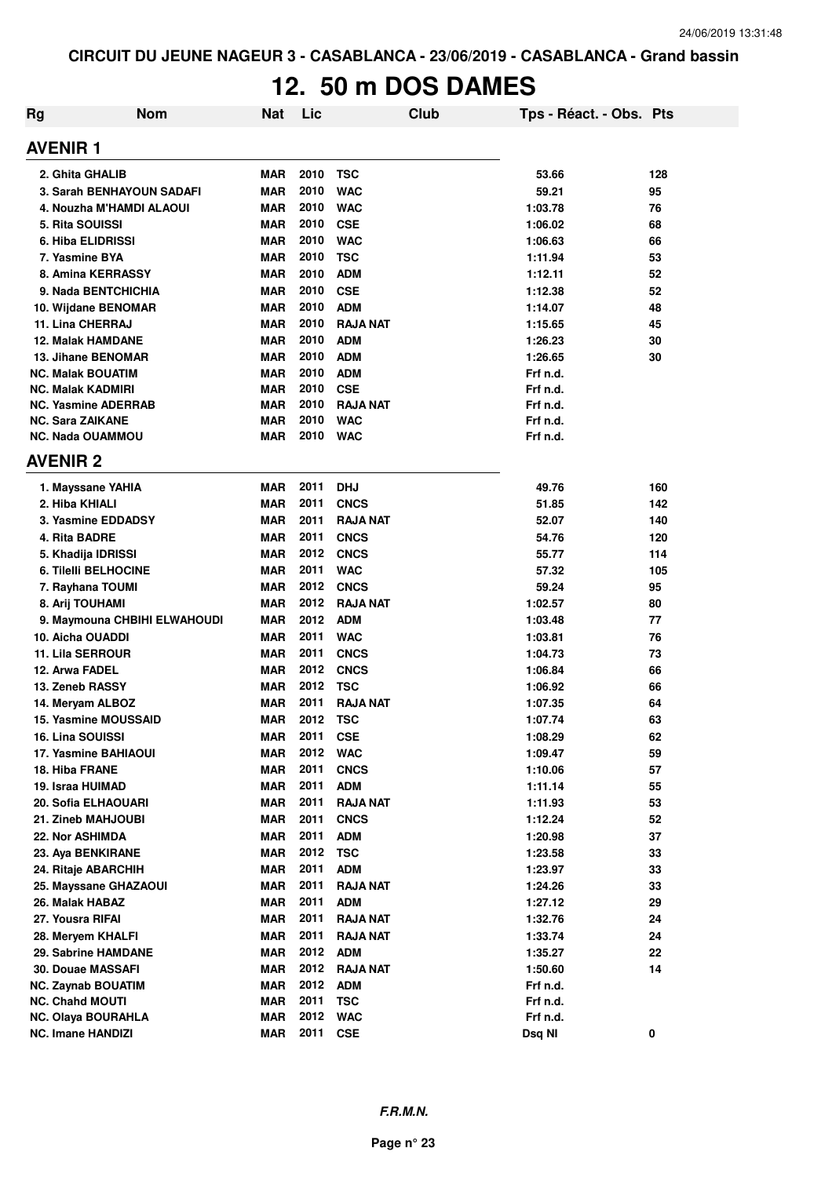# **12. 50 m DOS DAMES**

| Rg                        | <b>Nom</b>                   | <b>Nat</b> | Lic  |                 | Club | Tps - Réact. - Obs. Pts |     |
|---------------------------|------------------------------|------------|------|-----------------|------|-------------------------|-----|
| <b>AVENIR1</b>            |                              |            |      |                 |      |                         |     |
| 2. Ghita GHALIB           |                              | MAR        | 2010 | <b>TSC</b>      |      | 53.66                   | 128 |
|                           | 3. Sarah BENHAYOUN SADAFI    | MAR        | 2010 | <b>WAC</b>      |      | 59.21                   | 95  |
|                           | 4. Nouzha M'HAMDI ALAOUI     | <b>MAR</b> | 2010 | <b>WAC</b>      |      | 1:03.78                 | 76  |
| 5. Rita SOUISSI           |                              | MAR        | 2010 | <b>CSE</b>      |      | 1:06.02                 | 68  |
| <b>6. Hiba ELIDRISSI</b>  |                              | <b>MAR</b> | 2010 | <b>WAC</b>      |      | 1:06.63                 | 66  |
| 7. Yasmine BYA            |                              | <b>MAR</b> | 2010 | <b>TSC</b>      |      | 1:11.94                 | 53  |
|                           | 8. Amina KERRASSY            | <b>MAR</b> | 2010 | <b>ADM</b>      |      | 1:12.11                 | 52  |
|                           | 9. Nada BENTCHICHIA          | <b>MAR</b> | 2010 | <b>CSE</b>      |      | 1:12.38                 | 52  |
|                           | 10. Wijdane BENOMAR          | <b>MAR</b> | 2010 | <b>ADM</b>      |      | 1:14.07                 | 48  |
| 11. Lina CHERRAJ          |                              | <b>MAR</b> | 2010 | <b>RAJA NAT</b> |      | 1:15.65                 | 45  |
| <b>12. Malak HAMDANE</b>  |                              | <b>MAR</b> | 2010 | <b>ADM</b>      |      | 1:26.23                 | 30  |
|                           | 13. Jihane BENOMAR           | <b>MAR</b> | 2010 | <b>ADM</b>      |      | 1:26.65                 | 30  |
| <b>NC. Malak BOUATIM</b>  |                              | <b>MAR</b> | 2010 | <b>ADM</b>      |      | Frf n.d.                |     |
| <b>NC. Malak KADMIRI</b>  |                              | <b>MAR</b> | 2010 | <b>CSE</b>      |      | Frf n.d.                |     |
|                           | <b>NC. Yasmine ADERRAB</b>   | <b>MAR</b> | 2010 | <b>RAJA NAT</b> |      | Frf n.d.                |     |
| <b>NC. Sara ZAIKANE</b>   |                              | <b>MAR</b> | 2010 | <b>WAC</b>      |      | Frf n.d.                |     |
| <b>NC. Nada OUAMMOU</b>   |                              | <b>MAR</b> | 2010 | <b>WAC</b>      |      | Frf n.d.                |     |
| <b>AVENIR 2</b>           |                              |            |      |                 |      |                         |     |
| 1. Mayssane YAHIA         |                              | <b>MAR</b> | 2011 | <b>DHJ</b>      |      | 49.76                   | 160 |
| 2. Hiba KHIALI            |                              | <b>MAR</b> | 2011 | <b>CNCS</b>     |      | 51.85                   | 142 |
|                           | 3. Yasmine EDDADSY           | <b>MAR</b> | 2011 | <b>RAJA NAT</b> |      | 52.07                   | 140 |
| 4. Rita BADRE             |                              | <b>MAR</b> | 2011 | <b>CNCS</b>     |      | 54.76                   | 120 |
| 5. Khadija IDRISSI        |                              | <b>MAR</b> | 2012 | <b>CNCS</b>     |      | 55.77                   | 114 |
|                           | <b>6. Tilelli BELHOCINE</b>  | <b>MAR</b> | 2011 | <b>WAC</b>      |      | 57.32                   | 105 |
| 7. Rayhana TOUMI          |                              | <b>MAR</b> | 2012 | <b>CNCS</b>     |      | 59.24                   | 95  |
| 8. Arij TOUHAMI           |                              | <b>MAR</b> | 2012 | <b>RAJA NAT</b> |      | 1:02.57                 | 80  |
|                           | 9. Maymouna CHBIHI ELWAHOUDI | <b>MAR</b> | 2012 | <b>ADM</b>      |      | 1:03.48                 | 77  |
| 10. Aicha OUADDI          |                              | <b>MAR</b> | 2011 | <b>WAC</b>      |      | 1:03.81                 | 76  |
| <b>11. Lila SERROUR</b>   |                              | <b>MAR</b> | 2011 | <b>CNCS</b>     |      | 1:04.73                 | 73  |
| 12. Arwa FADEL            |                              | <b>MAR</b> | 2012 | <b>CNCS</b>     |      | 1:06.84                 | 66  |
| 13. Zeneb RASSY           |                              | <b>MAR</b> | 2012 | <b>TSC</b>      |      | 1:06.92                 | 66  |
| 14. Meryam ALBOZ          |                              | <b>MAR</b> | 2011 | <b>RAJA NAT</b> |      | 1:07.35                 | 64  |
|                           | <b>15. Yasmine MOUSSAID</b>  | <b>MAR</b> | 2012 | <b>TSC</b>      |      | 1:07.74                 | 63  |
| 16. Lina SOUISSI          |                              | <b>MAR</b> | 2011 | <b>CSE</b>      |      | 1:08.29                 | 62  |
|                           | 17. Yasmine BAHIAOUI         | <b>MAR</b> | 2012 | <b>WAC</b>      |      | 1:09.47                 | 59  |
| 18. Hiba FRANE            |                              | MAR        | 2011 | <b>CNCS</b>     |      | 1:10.06                 | 57  |
| 19. Israa HUIMAD          |                              | MAR        | 2011 | <b>ADM</b>      |      | 1:11.14                 | 55  |
|                           | 20. Sofia ELHAOUARI          | <b>MAR</b> | 2011 | <b>RAJA NAT</b> |      | 1:11.93                 | 53  |
| 21. Zineb MAHJOUBI        |                              | <b>MAR</b> | 2011 | <b>CNCS</b>     |      | 1:12.24                 | 52  |
| 22. Nor ASHIMDA           |                              | <b>MAR</b> | 2011 | <b>ADM</b>      |      | 1:20.98                 | 37  |
| 23. Aya BENKIRANE         |                              | <b>MAR</b> | 2012 | <b>TSC</b>      |      | 1:23.58                 | 33  |
| 24. Ritaje ABARCHIH       |                              | MAR        | 2011 | <b>ADM</b>      |      | 1:23.97                 | 33  |
|                           | 25. Mayssane GHAZAOUI        | MAR        | 2011 | <b>RAJA NAT</b> |      | 1:24.26                 | 33  |
| 26. Malak HABAZ           |                              | <b>MAR</b> | 2011 | <b>ADM</b>      |      | 1:27.12                 | 29  |
| 27. Yousra RIFAI          |                              | <b>MAR</b> | 2011 | <b>RAJA NAT</b> |      | 1:32.76                 | 24  |
| 28. Meryem KHALFI         |                              | <b>MAR</b> | 2011 | <b>RAJA NAT</b> |      | 1:33.74                 | 24  |
|                           | 29. Sabrine HAMDANE          | <b>MAR</b> | 2012 | <b>ADM</b>      |      | 1:35.27                 | 22  |
| <b>30. Douae MASSAFI</b>  |                              | <b>MAR</b> | 2012 | <b>RAJA NAT</b> |      | 1:50.60                 | 14  |
| <b>NC. Zaynab BOUATIM</b> |                              | MAR        | 2012 | <b>ADM</b>      |      | Frf n.d.                |     |
| <b>NC. Chahd MOUTI</b>    |                              | <b>MAR</b> | 2011 | <b>TSC</b>      |      | Frf n.d.                |     |
| <b>NC. Olaya BOURAHLA</b> |                              | MAR        | 2012 | <b>WAC</b>      |      | Frf n.d.                |     |
| <b>NC. Imane HANDIZI</b>  |                              | <b>MAR</b> | 2011 | <b>CSE</b>      |      | Dsq NI                  | 0   |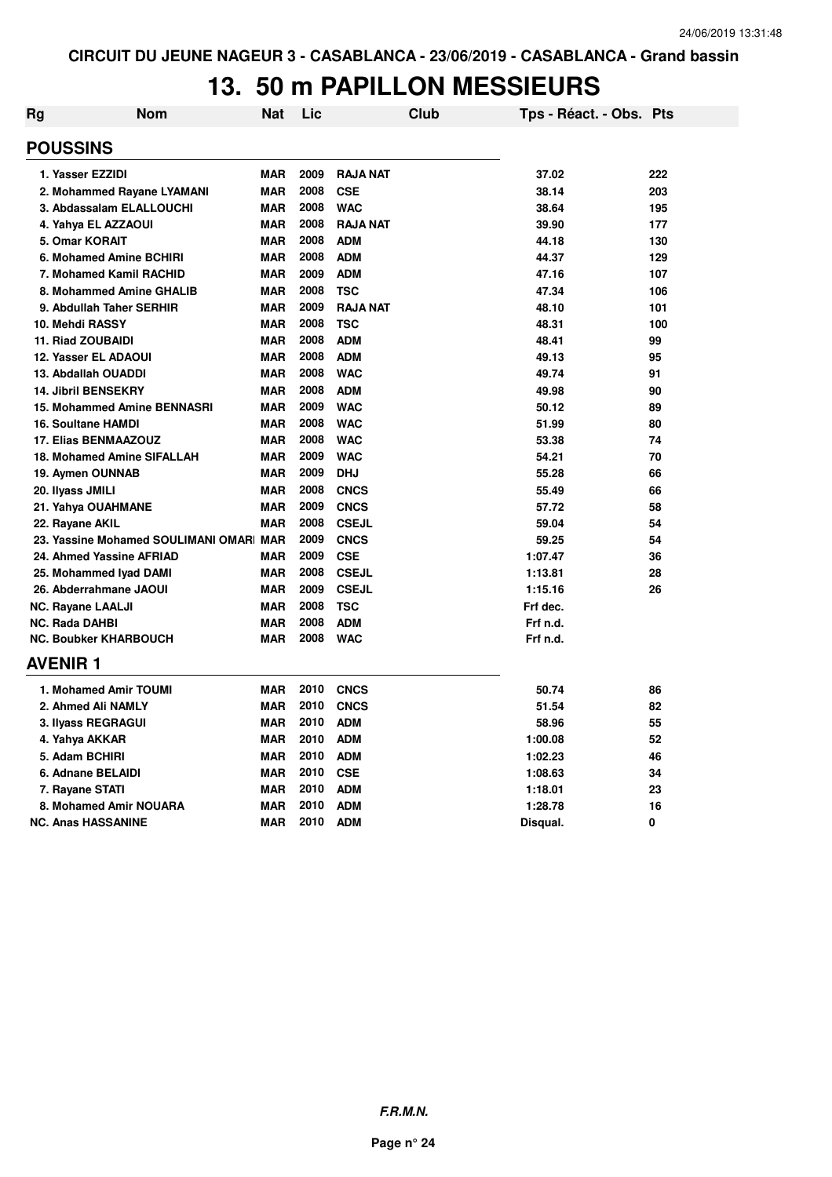# **13. 50 m PAPILLON MESSIEURS**

| Rg | <b>Nom</b>                             | Nat        | Lic      |                 | Club | Tps - Réact. - Obs. Pts |     |
|----|----------------------------------------|------------|----------|-----------------|------|-------------------------|-----|
|    | <b>POUSSINS</b>                        |            |          |                 |      |                         |     |
|    | 1. Yasser EZZIDI                       | <b>MAR</b> | 2009     | RAJA NAT        |      | 37.02                   | 222 |
|    | 2. Mohammed Rayane LYAMANI             | <b>MAR</b> | 2008     | <b>CSE</b>      |      | 38.14                   | 203 |
|    | 3. Abdassalam ELALLOUCHI               | <b>MAR</b> | 2008     | <b>WAC</b>      |      | 38.64                   | 195 |
|    | 4. Yahya EL AZZAOUI                    | <b>MAR</b> | 2008     | <b>RAJA NAT</b> |      | 39.90                   | 177 |
|    | 5. Omar KORAIT                         | <b>MAR</b> | 2008     | <b>ADM</b>      |      | 44.18                   | 130 |
|    | 6. Mohamed Amine BCHIRI                | <b>MAR</b> | 2008     | <b>ADM</b>      |      | 44.37                   | 129 |
|    | 7. Mohamed Kamil RACHID                | <b>MAR</b> | 2009     | <b>ADM</b>      |      | 47.16                   | 107 |
|    | 8. Mohammed Amine GHALIB               | <b>MAR</b> | 2008     | <b>TSC</b>      |      | 47.34                   | 106 |
|    | 9. Abdullah Taher SERHIR               | <b>MAR</b> | 2009     | <b>RAJA NAT</b> |      | 48.10                   | 101 |
|    | 10. Mehdi RASSY                        | <b>MAR</b> | 2008     | <b>TSC</b>      |      | 48.31                   | 100 |
|    | 11. Riad ZOUBAIDI                      | <b>MAR</b> | 2008     | <b>ADM</b>      |      | 48.41                   | 99  |
|    | <b>12. Yasser EL ADAOUI</b>            | <b>MAR</b> | 2008     | <b>ADM</b>      |      | 49.13                   | 95  |
|    | 13. Abdallah OUADDI                    | <b>MAR</b> | 2008     | <b>WAC</b>      |      | 49.74                   | 91  |
|    | <b>14. Jibril BENSEKRY</b>             | <b>MAR</b> | 2008     | <b>ADM</b>      |      | 49.98                   | 90  |
|    | 15. Mohammed Amine BENNASRI            | <b>MAR</b> | 2009     | <b>WAC</b>      |      | 50.12                   | 89  |
|    | <b>16. Soultane HAMDI</b>              | <b>MAR</b> | 2008     | <b>WAC</b>      |      | 51.99                   | 80  |
|    | <b>17. Elias BENMAAZOUZ</b>            | <b>MAR</b> | 2008     | <b>WAC</b>      |      | 53.38                   | 74  |
|    | 18. Mohamed Amine SIFALLAH             | <b>MAR</b> | 2009     | <b>WAC</b>      |      | 54.21                   | 70  |
|    | 19. Aymen OUNNAB                       | <b>MAR</b> | 2009     | <b>DHJ</b>      |      | 55.28                   | 66  |
|    | 20. Ilyass JMILI                       | <b>MAR</b> | 2008     | <b>CNCS</b>     |      | 55.49                   | 66  |
|    | 21. Yahya OUAHMANE                     | <b>MAR</b> | 2009     | <b>CNCS</b>     |      | 57.72                   | 58  |
|    | 22. Rayane AKIL                        | <b>MAR</b> | 2008     | <b>CSEJL</b>    |      | 59.04                   | 54  |
|    | 23. Yassine Mohamed SOULIMANI OMAR MAR |            | 2009     | <b>CNCS</b>     |      | 59.25                   | 54  |
|    | 24. Ahmed Yassine AFRIAD               | <b>MAR</b> | 2009     | <b>CSE</b>      |      | 1:07.47                 | 36  |
|    | 25. Mohammed Iyad DAMI                 | <b>MAR</b> | 2008     | <b>CSEJL</b>    |      | 1:13.81                 | 28  |
|    | 26. Abderrahmane JAOUI                 | <b>MAR</b> | 2009     | <b>CSEJL</b>    |      | 1:15.16                 | 26  |
|    | <b>NC. Rayane LAALJI</b>               | <b>MAR</b> | 2008     | <b>TSC</b>      |      | Frf dec.                |     |
|    | NC. Rada DAHBI                         | <b>MAR</b> | 2008     | <b>ADM</b>      |      | Frf n.d.                |     |
|    | <b>NC. Boubker KHARBOUCH</b>           | <b>MAR</b> | 2008     | <b>WAC</b>      |      | Frf n.d.                |     |
|    | <b>AVENIR1</b>                         |            |          |                 |      |                         |     |
|    | 1. Mohamed Amir TOUMI                  | <b>MAR</b> | 2010     | CNCS            |      | 50.74                   | 86  |
|    | 2. Ahmed Ali NAMLY                     | <b>MAR</b> | 2010     | <b>CNCS</b>     |      | 51.54                   | 82  |
|    | 3. Ilyass REGRAGUI                     | <b>MAR</b> | 2010     | <b>ADM</b>      |      | 58.96                   | 55  |
|    | 4. Yahya AKKAR                         | <b>MAR</b> | 2010     | <b>ADM</b>      |      | 1:00.08                 | 52  |
|    | 5. Adam BCHIRI                         | <b>MAR</b> | 2010     | <b>ADM</b>      |      | 1:02.23                 | 46  |
|    | 6. Adnane BELAIDI                      | <b>MAR</b> | 2010 CSE |                 |      | 1:08.63                 | 34  |
|    | 7. Rayane STATI                        | <b>MAR</b> | 2010     | <b>ADM</b>      |      | 1:18.01                 | 23  |
|    | 8. Mohamed Amir NOUARA                 | <b>MAR</b> | 2010     | <b>ADM</b>      |      | 1:28.78                 | 16  |
|    | <b>NC. Anas HASSANINE</b>              | <b>MAR</b> | 2010     | <b>ADM</b>      |      | Disqual.                | 0   |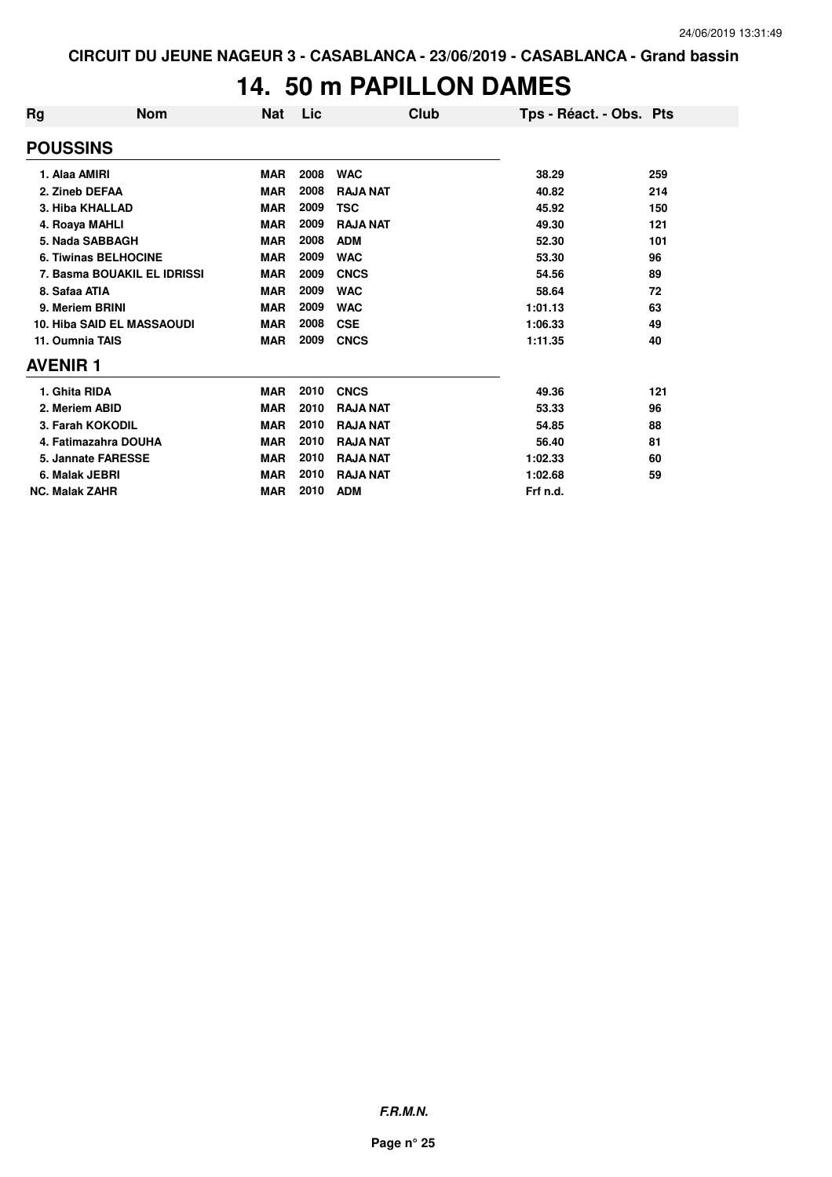### **14. 50 m PAPILLON DAMES**

| Rg                    | <b>Nom</b>                        | <b>Nat</b> | Lic  | Club            | Tps - Réact. - Obs. Pts |     |
|-----------------------|-----------------------------------|------------|------|-----------------|-------------------------|-----|
| <b>POUSSINS</b>       |                                   |            |      |                 |                         |     |
| 1. Alaa AMIRI         |                                   | <b>MAR</b> | 2008 | <b>WAC</b>      | 38.29                   | 259 |
| 2. Zineb DEFAA        |                                   | <b>MAR</b> | 2008 | <b>RAJA NAT</b> | 40.82                   | 214 |
|                       | 3. Hiba KHALLAD                   | <b>MAR</b> | 2009 | <b>TSC</b>      | 45.92                   | 150 |
| 4. Roaya MAHLI        |                                   | <b>MAR</b> | 2009 | <b>RAJA NAT</b> | 49.30                   | 121 |
|                       | 5. Nada SABBAGH                   | <b>MAR</b> | 2008 | <b>ADM</b>      | 52.30                   | 101 |
|                       | <b>6. Tiwinas BELHOCINE</b>       | <b>MAR</b> | 2009 | <b>WAC</b>      | 53.30                   | 96  |
|                       | 7. Basma BOUAKIL EL IDRISSI       | <b>MAR</b> | 2009 | <b>CNCS</b>     | 54.56                   | 89  |
| 8. Safaa ATIA         |                                   | <b>MAR</b> | 2009 | <b>WAC</b>      | 58.64                   | 72  |
| 9. Meriem BRINI       |                                   | <b>MAR</b> | 2009 | <b>WAC</b>      | 1:01.13                 | 63  |
|                       | <b>10. Hiba SAID EL MASSAOUDI</b> | <b>MAR</b> | 2008 | <b>CSE</b>      | 1:06.33                 | 49  |
| 11. Oumnia TAIS       |                                   | <b>MAR</b> | 2009 | <b>CNCS</b>     | 1:11.35                 | 40  |
| <b>AVENIR 1</b>       |                                   |            |      |                 |                         |     |
| 1. Ghita RIDA         |                                   | <b>MAR</b> | 2010 | <b>CNCS</b>     | 49.36                   | 121 |
| 2. Meriem ABID        |                                   | <b>MAR</b> | 2010 | <b>RAJA NAT</b> | 53.33                   | 96  |
|                       | 3. Farah KOKODIL                  | <b>MAR</b> | 2010 | <b>RAJA NAT</b> | 54.85                   | 88  |
|                       | 4. Fatimazahra DOUHA              | <b>MAR</b> | 2010 | <b>RAJA NAT</b> | 56.40                   | 81  |
|                       | 5. Jannate FARESSE                | <b>MAR</b> | 2010 | <b>RAJA NAT</b> | 1:02.33                 | 60  |
| 6. Malak JEBRI        |                                   | <b>MAR</b> | 2010 | <b>RAJA NAT</b> | 1:02.68                 | 59  |
| <b>NC. Malak ZAHR</b> |                                   | <b>MAR</b> | 2010 | <b>ADM</b>      | Frf n.d.                |     |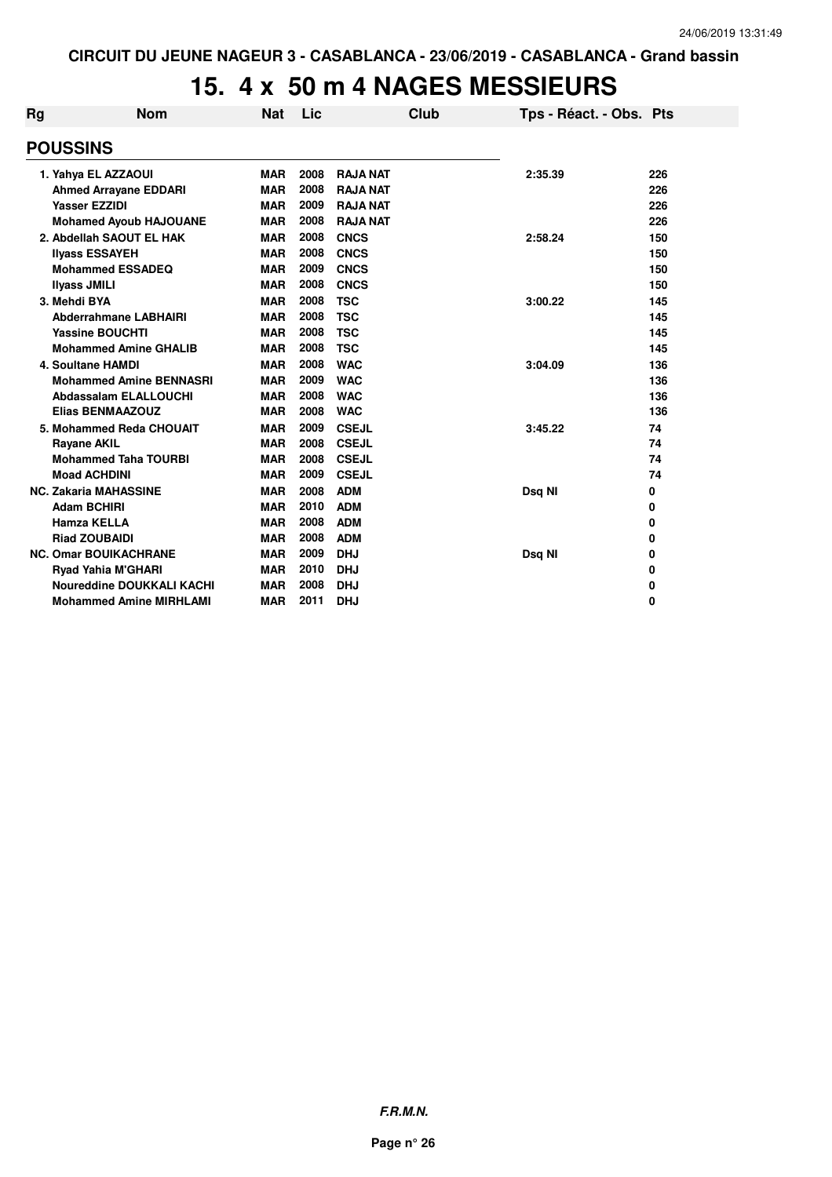# **15. 4 x 50 m 4 NAGES MESSIEURS**

| Rg              | <b>Nom</b>                       | <b>Nat</b> | Lic  |                 | Club | Tps - Réact. - Obs. Pts |     |
|-----------------|----------------------------------|------------|------|-----------------|------|-------------------------|-----|
| <b>POUSSINS</b> |                                  |            |      |                 |      |                         |     |
|                 | 1. Yahya EL AZZAOUI              | <b>MAR</b> | 2008 | <b>RAJA NAT</b> |      | 2:35.39                 | 226 |
|                 | <b>Ahmed Arrayane EDDARI</b>     | <b>MAR</b> | 2008 | <b>RAJA NAT</b> |      |                         | 226 |
|                 | <b>Yasser EZZIDI</b>             | <b>MAR</b> | 2009 | <b>RAJA NAT</b> |      |                         | 226 |
|                 | <b>Mohamed Ayoub HAJOUANE</b>    | <b>MAR</b> | 2008 | <b>RAJA NAT</b> |      |                         | 226 |
|                 | 2. Abdellah SAOUT EL HAK         | <b>MAR</b> | 2008 | <b>CNCS</b>     |      | 2:58.24                 | 150 |
|                 | <b>Ilyass ESSAYEH</b>            | <b>MAR</b> | 2008 | <b>CNCS</b>     |      |                         | 150 |
|                 | <b>Mohammed ESSADEQ</b>          | <b>MAR</b> | 2009 | <b>CNCS</b>     |      |                         | 150 |
|                 | <b>Ilvass JMILI</b>              | <b>MAR</b> | 2008 | <b>CNCS</b>     |      |                         | 150 |
|                 | 3. Mehdi BYA                     | <b>MAR</b> | 2008 | <b>TSC</b>      |      | 3:00.22                 | 145 |
|                 | <b>Abderrahmane LABHAIRI</b>     | <b>MAR</b> | 2008 | <b>TSC</b>      |      |                         | 145 |
|                 | <b>Yassine BOUCHTI</b>           | <b>MAR</b> | 2008 | <b>TSC</b>      |      |                         | 145 |
|                 | <b>Mohammed Amine GHALIB</b>     | <b>MAR</b> | 2008 | <b>TSC</b>      |      |                         | 145 |
|                 | <b>4. Soultane HAMDI</b>         | <b>MAR</b> | 2008 | <b>WAC</b>      |      | 3:04.09                 | 136 |
|                 | <b>Mohammed Amine BENNASRI</b>   | <b>MAR</b> | 2009 | <b>WAC</b>      |      |                         | 136 |
|                 | Abdassalam ELALLOUCHI            | <b>MAR</b> | 2008 | <b>WAC</b>      |      |                         | 136 |
|                 | <b>Elias BENMAAZOUZ</b>          | <b>MAR</b> | 2008 | <b>WAC</b>      |      |                         | 136 |
|                 | 5. Mohammed Reda CHOUAIT         | <b>MAR</b> | 2009 | <b>CSEJL</b>    |      | 3:45.22                 | 74  |
|                 | <b>Rayane AKIL</b>               | <b>MAR</b> | 2008 | <b>CSEJL</b>    |      |                         | 74  |
|                 | <b>Mohammed Taha TOURBI</b>      | <b>MAR</b> | 2008 | <b>CSEJL</b>    |      |                         | 74  |
|                 | <b>Moad ACHDINI</b>              | <b>MAR</b> | 2009 | <b>CSEJL</b>    |      |                         | 74  |
|                 | <b>NC. Zakaria MAHASSINE</b>     | <b>MAR</b> | 2008 | <b>ADM</b>      |      | Dsq NI                  | 0   |
|                 | <b>Adam BCHIRI</b>               | <b>MAR</b> | 2010 | <b>ADM</b>      |      |                         | 0   |
|                 | <b>Hamza KELLA</b>               | <b>MAR</b> | 2008 | <b>ADM</b>      |      |                         | 0   |
|                 | <b>Riad ZOUBAIDI</b>             | <b>MAR</b> | 2008 | <b>ADM</b>      |      |                         | 0   |
|                 | <b>NC. Omar BOUIKACHRANE</b>     | <b>MAR</b> | 2009 | <b>DHJ</b>      |      | Dsq NI                  | 0   |
|                 | Ryad Yahia M'GHARI               | <b>MAR</b> | 2010 | <b>DHJ</b>      |      |                         | 0   |
|                 | <b>Noureddine DOUKKALI KACHI</b> | <b>MAR</b> | 2008 | <b>DHJ</b>      |      |                         | 0   |
|                 | <b>Mohammed Amine MIRHLAMI</b>   | <b>MAR</b> | 2011 | <b>DHJ</b>      |      |                         | 0   |